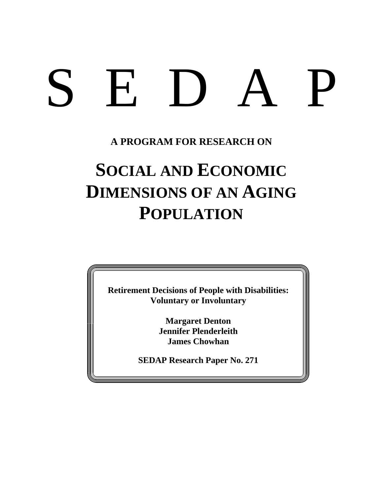# SEDAP

# **A PROGRAM FOR RESEARCH ON**

# **SOCIAL AND ECONOMIC DIMENSIONS OF AN AGING POPULATION**

**Retirement Decisions of People with Disabilities: Voluntary or Involuntary**

> **Margaret Denton Jennifer Plenderleith James Chowhan**

**SEDAP Research Paper No. 271**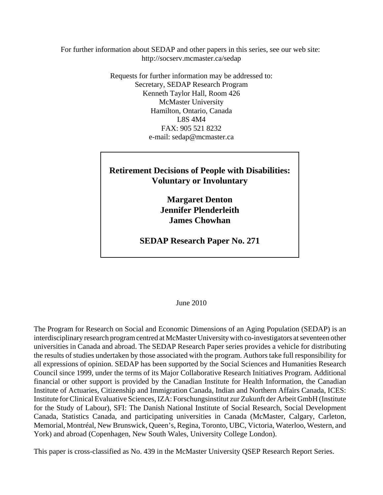For further information about SEDAP and other papers in this series, see our web site: http://socserv.mcmaster.ca/sedap

> Requests for further information may be addressed to: Secretary, SEDAP Research Program Kenneth Taylor Hall, Room 426 McMaster University Hamilton, Ontario, Canada L8S 4M4 FAX: 905 521 8232 e-mail: sedap@mcmaster.ca

# **Retirement Decisions of People with Disabilities: Voluntary or Involuntary**

**Margaret Denton Jennifer Plenderleith James Chowhan**

**SEDAP Research Paper No. 271**

#### June 2010

The Program for Research on Social and Economic Dimensions of an Aging Population (SEDAP) is an interdisciplinary research program centred at McMaster University with co-investigators at seventeen other universities in Canada and abroad. The SEDAP Research Paper series provides a vehicle for distributing the results of studies undertaken by those associated with the program. Authors take full responsibility for all expressions of opinion. SEDAP has been supported by the Social Sciences and Humanities Research Council since 1999, under the terms of its Major Collaborative Research Initiatives Program. Additional financial or other support is provided by the Canadian Institute for Health Information, the Canadian Institute of Actuaries, Citizenship and Immigration Canada, Indian and Northern Affairs Canada, ICES: Institute for Clinical Evaluative Sciences, IZA: Forschungsinstitut zur Zukunft der Arbeit GmbH (Institute for the Study of Labour), SFI: The Danish National Institute of Social Research, Social Development Canada, Statistics Canada, and participating universities in Canada (McMaster, Calgary, Carleton, Memorial, Montréal, New Brunswick, Queen's, Regina, Toronto, UBC, Victoria, Waterloo, Western, and York) and abroad (Copenhagen, New South Wales, University College London).

This paper is cross-classified as No. 439 in the McMaster University QSEP Research Report Series.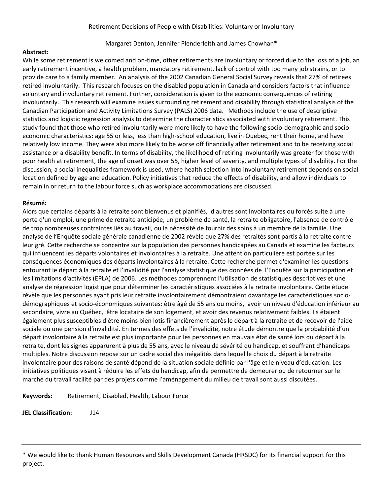#### Margaret Denton, Jennifer Plenderleith and James Chowhan\*

#### **Abstract:**

While some retirement is welcomed and on-time, other retirements are involuntary or forced due to the loss of a job, an early retirement incentive, a health problem, mandatory retirement, lack of control with too many job strains, or to provide care to a family member. An analysis of the 2002 Canadian General Social Survey reveals that 27% of retirees retired involuntarily. This research focuses on the disabled population in Canada and considers factors that influence voluntary and involuntary retirement. Further, consideration is given to the economic consequences of retiring involuntarily. This research will examine issues surrounding retirement and disability through statistical analysis of the Canadian Participation and Activity Limitations Survey (PALS) 2006 data. Methods include the use of descriptive statistics and logistic regression analysis to determine the characteristics associated with involuntary retirement. This study found that those who retired involuntarily were more likely to have the following socio‐demographic and socio‐ economic characteristics: age 55 or less, less than high‐school education, live in Quebec, rent their home, and have relatively low income. They were also more likely to be worse off financially after retirement and to be receiving social assistance or a disability benefit. In terms of disability, the likelihood of retiring involuntarily was greater for those with poor health at retirement, the age of onset was over 55, higher level of severity, and multiple types of disability. For the discussion, a social inequalities framework is used, where health selection into involuntary retirement depends on social location defined by age and education. Policy initiatives that reduce the effects of disability, and allow individuals to remain in or return to the labour force such as workplace accommodations are discussed.

#### **R**J**sum**J**:**

Alors que certains départs à la retraite sont bienvenus et planifiés, d'autres sont involontaires ou forcés suite à une perte d'un emploi, une prime de retraite anticipée, un problème de santé, la retraite obligatoire, l'absence de contrôle de trop nombreuses contraintes liés au travail, ou la nécessité de fournir des soins à un membre de la famille. Une analyse de l'Enquête sociale générale canadienne de 2002 révèle que 27% des retraités sont partis à la retraite contre leur gré. Cette recherche se concentre sur la population des personnes handicapées au Canada et examine les facteurs qui influencent les départs volontaires et involontaires à la retraite. Une attention particulière est portée sur les conséquences économiques des départs involontaires à la retraite. Cette recherche permet d'examiner les questions entourant le départ à la retraite et l'invalidité par l'analyse statistique des données de l'Enquête sur la participation et les limitations d'activités (EPLA) de 2006. Les méthodes comprennent l'utilisation de statistiques descriptives et une analyse de régression logistique pour déterminer les caractéristiques associées à la retraite involontaire. Cette étude révèle que les personnes ayant pris leur retraite involontairement démontraient davantage les caractéristiques socio‐ démographiques et socio‐économiques suivantes: être âgé de 55 ans ou moins, avoir un niveau d'éducation inférieur au secondaire, vivre au Québec, être locataire de son logement, et avoir des revenus relativement faibles. Ils étaient également plus susceptibles d'être moins bien lotis financièrement après le départ à la retraite et de recevoir de l'aide sociale ou une pension d'invalidité. En termes des effets de l'invalidité, notre étude démontre que la probabilité d'un départ involontaire à la retraite est plus importante pour les personnes en mauvais état de santé lors du départ à la retraite, dont les signes apparurent à plus de 55 ans, avec le niveau de sévérité du handicap, et souffrant d'handicaps multiples. Notre discussion repose sur un cadre social des inégalités dans lequel le choix du départ à la retraite involontaire pour des raisons de santé dépend de la situation sociale définie par l'âge et le niveau d'éducation. Les initiatives politiques visant à réduire les effets du handicap, afin de permettre de demeurer ou de retourner sur le marché du travail facilité par des projets comme l'aménagement du milieu de travail sont aussi discutées.

**Keywords:** Retirement, Disabled, Health, Labour Force

**JEL Classification:** J14

<sup>\*</sup> We would like to thank Human Resources and Skills Development Canada (HRSDC) for its financial support for this project.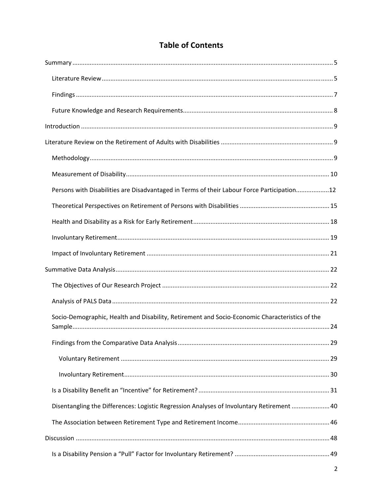| <b>Table of Contents</b> |  |
|--------------------------|--|
|--------------------------|--|

| Persons with Disabilities are Disadvantaged in Terms of their Labour Force Participation12     |  |
|------------------------------------------------------------------------------------------------|--|
|                                                                                                |  |
|                                                                                                |  |
|                                                                                                |  |
|                                                                                                |  |
|                                                                                                |  |
|                                                                                                |  |
|                                                                                                |  |
| Socio-Demographic, Health and Disability, Retirement and Socio-Economic Characteristics of the |  |
|                                                                                                |  |
|                                                                                                |  |
|                                                                                                |  |
|                                                                                                |  |
| Disentangling the Differences: Logistic Regression Analyses of Involuntary Retirement  40      |  |
|                                                                                                |  |
|                                                                                                |  |
|                                                                                                |  |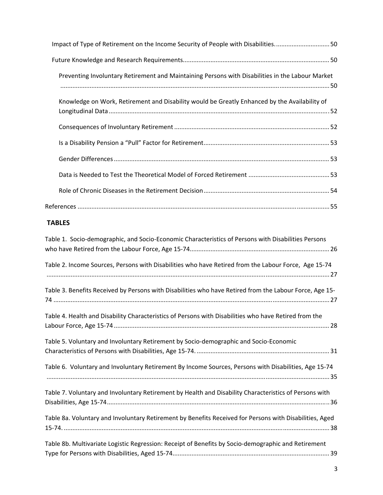| Impact of Type of Retirement on the Income Security of People with Disabilities50                       |
|---------------------------------------------------------------------------------------------------------|
|                                                                                                         |
| Preventing Involuntary Retirement and Maintaining Persons with Disabilities in the Labour Market        |
| Knowledge on Work, Retirement and Disability would be Greatly Enhanced by the Availability of           |
|                                                                                                         |
|                                                                                                         |
|                                                                                                         |
|                                                                                                         |
|                                                                                                         |
|                                                                                                         |
| <b>TABLES</b>                                                                                           |
| Table 1. Socio-demographic, and Socio-Economic Characteristics of Persons with Disabilities Persons     |
| Table 2. Income Sources, Persons with Disabilities who have Retired from the Labour Force, Age 15-74    |
| Table 3. Benefits Received by Persons with Disabilities who have Retired from the Labour Force, Age 15- |
| Table 4. Health and Disability Characteristics of Persons with Disabilities who have Retired from the   |
| Table 5. Voluntary and Involuntary Retirement by Socio-demographic and Socio-Economic                   |
| Table 6. Voluntary and Involuntary Retirement By Income Sources, Persons with Disabilities, Age 15-74   |
| Table 7. Voluntary and Involuntary Retirement by Health and Disability Characteristics of Persons with  |
| Table 8a. Voluntary and Involuntary Retirement by Benefits Received for Persons with Disabilities, Aged |
| Table 8b. Multivariate Logistic Regression: Receipt of Benefits by Socio-demographic and Retirement     |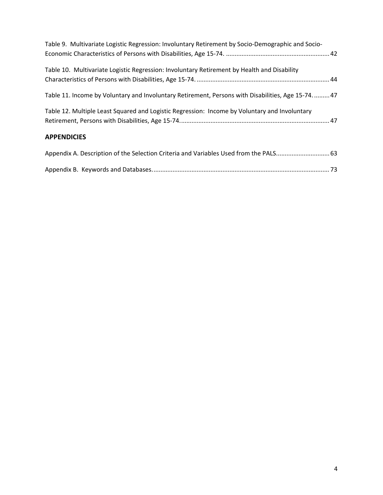| Table 9. Multivariate Logistic Regression: Involuntary Retirement by Socio-Demographic and Socio-   |  |
|-----------------------------------------------------------------------------------------------------|--|
| Table 10. Multivariate Logistic Regression: Involuntary Retirement by Health and Disability         |  |
| Table 11. Income by Voluntary and Involuntary Retirement, Persons with Disabilities, Age 15-74.  47 |  |
| Table 12. Multiple Least Squared and Logistic Regression: Income by Voluntary and Involuntary       |  |
| <b>APPENDICIES</b>                                                                                  |  |
| Appendix A. Description of the Selection Criteria and Variables Used from the PALS 63               |  |
|                                                                                                     |  |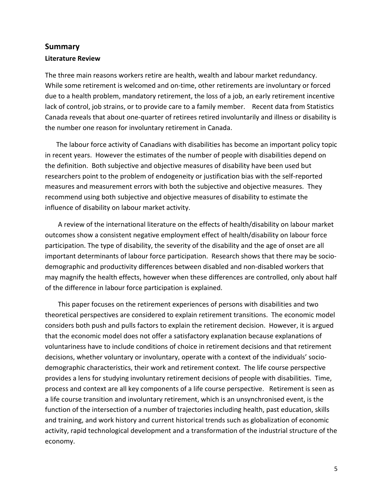### **Summary Literature Review**

The three main reasons workers retire are health, wealth and labour market redundancy. While some retirement is welcomed and on-time, other retirements are involuntary or forced due to a health problem, mandatory retirement, the loss of a job, an early retirement incentive lack of control, job strains, or to provide care to a family member. Recent data from Statistics Canada reveals that about one‐quarter of retirees retired involuntarily and illness or disability is the number one reason for involuntary retirement in Canada.

The labour force activity of Canadians with disabilities has become an important policy topic in recent years. However the estimates of the number of people with disabilities depend on the definition. Both subjective and objective measures of disability have been used but researchers point to the problem of endogeneity or justification bias with the self‐reported measures and measurement errors with both the subjective and objective measures. They recommend using both subjective and objective measures of disability to estimate the influence of disability on labour market activity.

A review of the international literature on the effects of health/disability on labour market outcomes show a consistent negative employment effect of health/disability on labour force participation. The type of disability, the severity of the disability and the age of onset are all important determinants of labour force participation. Research shows that there may be sociodemographic and productivity differences between disabled and non‐disabled workers that may magnify the health effects, however when these differences are controlled, only about half of the difference in labour force participation is explained.

This paper focuses on the retirement experiences of persons with disabilities and two theoretical perspectives are considered to explain retirement transitions. The economic model considers both push and pulls factors to explain the retirement decision. However, it is argued that the economic model does not offer a satisfactory explanation because explanations of voluntariness have to include conditions of choice in retirement decisions and that retirement decisions, whether voluntary or involuntary, operate with a context of the individuals' socio‐ demographic characteristics, their work and retirement context. The life course perspective provides a lens for studying involuntary retirement decisions of people with disabilities. Time, process and context are all key components of a life course perspective. Retirement is seen as a life course transition and involuntary retirement, which is an unsynchronised event, is the function of the intersection of a number of trajectories including health, past education, skills and training, and work history and current historical trends such as globalization of economic activity, rapid technological development and a transformation of the industrial structure of the economy.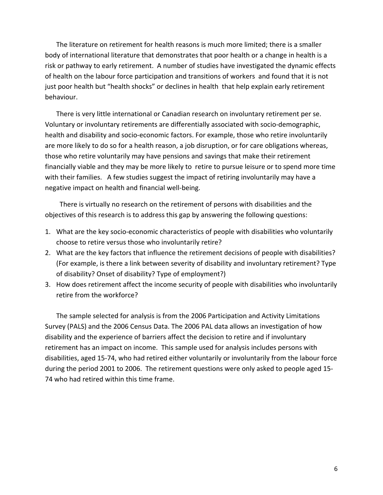The literature on retirement for health reasons is much more limited; there is a smaller body of international literature that demonstrates that poor health or a change in health is a risk or pathway to early retirement. A number of studies have investigated the dynamic effects of health on the labour force participation and transitions of workers and found that it is not just poor health but "health shocks" or declines in health that help explain early retirement behaviour.

There is very little international or Canadian research on involuntary retirement per se. Voluntary or involuntary retirements are differentially associated with socio‐demographic, health and disability and socio-economic factors. For example, those who retire involuntarily are more likely to do so for a health reason, a job disruption, or for care obligations whereas, those who retire voluntarily may have pensions and savings that make their retirement financially viable and they may be more likely to retire to pursue leisure or to spend more time with their families. A few studies suggest the impact of retiring involuntarily may have a negative impact on health and financial well‐being.

 There is virtually no research on the retirement of persons with disabilities and the objectives of this research is to address this gap by answering the following questions:

- 1. What are the key socio‐economic characteristics of people with disabilities who voluntarily choose to retire versus those who involuntarily retire?
- 2. What are the key factors that influence the retirement decisions of people with disabilities? (For example, is there a link between severity of disability and involuntary retirement? Type of disability? Onset of disability? Type of employment?)
- 3. How does retirement affect the income security of people with disabilities who involuntarily retire from the workforce?

The sample selected for analysis is from the 2006 Participation and Activity Limitations Survey (PALS) and the 2006 Census Data. The 2006 PAL data allows an investigation of how disability and the experience of barriers affect the decision to retire and if involuntary retirement has an impact on income. This sample used for analysis includes persons with disabilities, aged 15‐74, who had retired either voluntarily or involuntarily from the labour force during the period 2001 to 2006. The retirement questions were only asked to people aged 15‐ 74 who had retired within this time frame.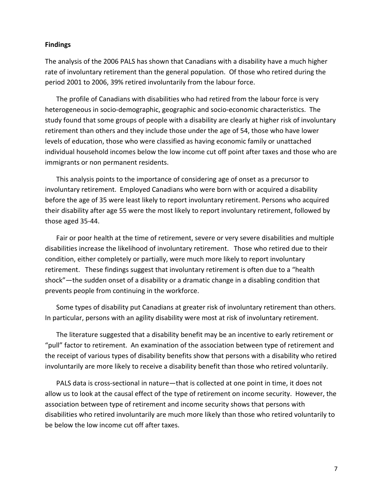#### **Findings**

The analysis of the 2006 PALS has shown that Canadians with a disability have a much higher rate of involuntary retirement than the general population. Of those who retired during the period 2001 to 2006, 39% retired involuntarily from the labour force.

The profile of Canadians with disabilities who had retired from the labour force is very heterogeneous in socio‐demographic, geographic and socio‐economic characteristics. The study found that some groups of people with a disability are clearly at higher risk of involuntary retirement than others and they include those under the age of 54, those who have lower levels of education, those who were classified as having economic family or unattached individual household incomes below the low income cut off point after taxes and those who are immigrants or non permanent residents.

This analysis points to the importance of considering age of onset as a precursor to involuntary retirement. Employed Canadians who were born with or acquired a disability before the age of 35 were least likely to report involuntary retirement. Persons who acquired their disability after age 55 were the most likely to report involuntary retirement, followed by those aged 35‐44.

Fair or poor health at the time of retirement, severe or very severe disabilities and multiple disabilities increase the likelihood of involuntary retirement. Those who retired due to their condition, either completely or partially, were much more likely to report involuntary retirement. These findings suggest that involuntary retirement is often due to a "health shock"—the sudden onset of a disability or a dramatic change in a disabling condition that prevents people from continuing in the workforce.

Some types of disability put Canadians at greater risk of involuntary retirement than others. In particular, persons with an agility disability were most at risk of involuntary retirement.

The literature suggested that a disability benefit may be an incentive to early retirement or "pull" factor to retirement. An examination of the association between type of retirement and the receipt of various types of disability benefits show that persons with a disability who retired involuntarily are more likely to receive a disability benefit than those who retired voluntarily.

PALS data is cross-sectional in nature—that is collected at one point in time, it does not allow us to look at the causal effect of the type of retirement on income security. However, the association between type of retirement and income security shows that persons with disabilities who retired involuntarily are much more likely than those who retired voluntarily to be below the low income cut off after taxes.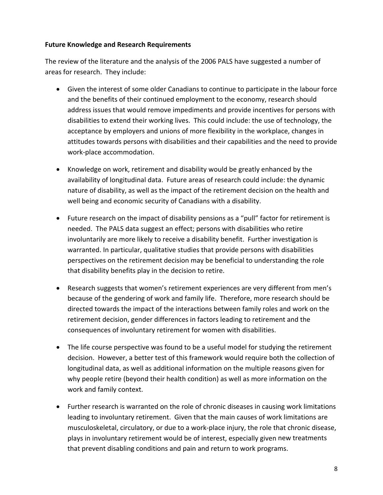#### **Future Knowledge and Research Requirements**

The review of the literature and the analysis of the 2006 PALS have suggested a number of areas for research. They include:

- Given the interest of some older Canadians to continue to participate in the labour force and the benefits of their continued employment to the economy, research should address issues that would remove impediments and provide incentives for persons with disabilities to extend their working lives. This could include: the use of technology, the acceptance by employers and unions of more flexibility in the workplace, changes in attitudes towards persons with disabilities and their capabilities and the need to provide work‐place accommodation.
- Knowledge on work, retirement and disability would be greatly enhanced by the availability of longitudinal data. Future areas of research could include: the dynamic nature of disability, as well as the impact of the retirement decision on the health and well being and economic security of Canadians with a disability.
- Future research on the impact of disability pensions as a "pull" factor for retirement is needed. The PALS data suggest an effect; persons with disabilities who retire involuntarily are more likely to receive a disability benefit. Further investigation is warranted. In particular, qualitative studies that provide persons with disabilities perspectives on the retirement decision may be beneficial to understanding the role that disability benefits play in the decision to retire.
- Research suggests that women's retirement experiences are very different from men's because of the gendering of work and family life. Therefore, more research should be directed towards the impact of the interactions between family roles and work on the retirement decision, gender differences in factors leading to retirement and the consequences of involuntary retirement for women with disabilities.
- The life course perspective was found to be a useful model for studying the retirement decision. However, a better test of this framework would require both the collection of longitudinal data, as well as additional information on the multiple reasons given for why people retire (beyond their health condition) as well as more information on the work and family context.
- Further research is warranted on the role of chronic diseases in causing work limitations leading to involuntary retirement. Given that the main causes of work limitations are musculoskeletal, circulatory, or due to a work‐place injury, the role that chronic disease, plays in involuntary retirement would be of interest, especially given new treatments that prevent disabling conditions and pain and return to work programs.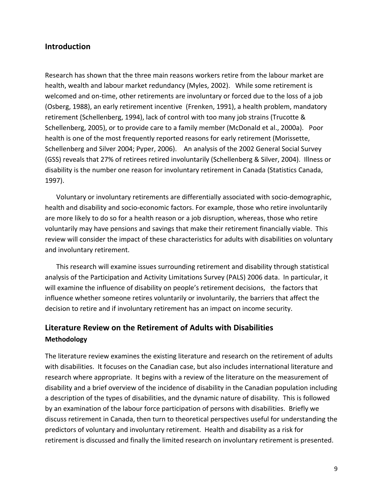#### **Introduction**

Research has shown that the three main reasons workers retire from the labour market are health, wealth and labour market redundancy (Myles, 2002). While some retirement is welcomed and on-time, other retirements are involuntary or forced due to the loss of a job (Osberg, 1988), an early retirement incentive (Frenken, 1991), a health problem, mandatory retirement (Schellenberg, 1994), lack of control with too many job strains (Trucotte & Schellenberg, 2005), or to provide care to a family member (McDonald et al., 2000a). Poor health is one of the most frequently reported reasons for early retirement (Morissette, Schellenberg and Silver 2004; Pyper, 2006). An analysis of the 2002 General Social Survey (GSS) reveals that 27% of retirees retired involuntarily (Schellenberg & Silver, 2004). Illness or disability is the number one reason for involuntary retirement in Canada (Statistics Canada, 1997).

Voluntary or involuntary retirements are differentially associated with socio‐demographic, health and disability and socio‐economic factors. For example, those who retire involuntarily are more likely to do so for a health reason or a job disruption, whereas, those who retire voluntarily may have pensions and savings that make their retirement financially viable. This review will consider the impact of these characteristics for adults with disabilities on voluntary and involuntary retirement.

This research will examine issues surrounding retirement and disability through statistical analysis of the Participation and Activity Limitations Survey (PALS) 2006 data. In particular, it will examine the influence of disability on people's retirement decisions, the factors that influence whether someone retires voluntarily or involuntarily, the barriers that affect the decision to retire and if involuntary retirement has an impact on income security.

# **Literature Review on the Retirement of Adults with Disabilities Methodology**

The literature review examines the existing literature and research on the retirement of adults with disabilities. It focuses on the Canadian case, but also includes international literature and research where appropriate. It begins with a review of the literature on the measurement of disability and a brief overview of the incidence of disability in the Canadian population including a description of the types of disabilities, and the dynamic nature of disability. This is followed by an examination of the labour force participation of persons with disabilities. Briefly we discuss retirement in Canada, then turn to theoretical perspectives useful for understanding the predictors of voluntary and involuntary retirement. Health and disability as a risk for retirement is discussed and finally the limited research on involuntary retirement is presented.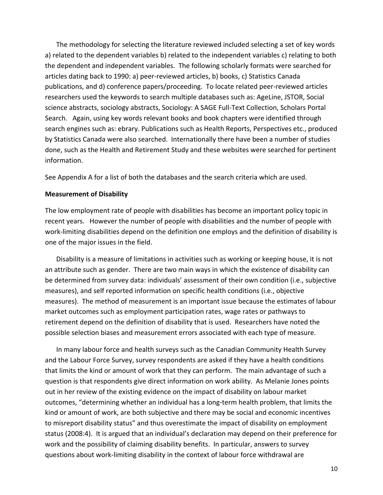The methodology for selecting the literature reviewed included selecting a set of key words a) related to the dependent variables b) related to the independent variables c) relating to both the dependent and independent variables. The following scholarly formats were searched for articles dating back to 1990: a) peer‐reviewed articles, b) books, c) Statistics Canada publications, and d) conference papers/proceeding. To locate related peer‐reviewed articles researchers used the keywords to search multiple databases such as: AgeLine, JSTOR, Social science abstracts, sociology abstracts, Sociology: A SAGE Full‐Text Collection, Scholars Portal Search. Again, using key words relevant books and book chapters were identified through search engines such as: ebrary. Publications such as Health Reports, Perspectives etc., produced by Statistics Canada were also searched. Internationally there have been a number of studies done, such as the Health and Retirement Study and these websites were searched for pertinent information.

See Appendix A for a list of both the databases and the search criteria which are used.

#### **Measurement of Disability**

The low employment rate of people with disabilities has become an important policy topic in recent years. However the number of people with disabilities and the number of people with work-limiting disabilities depend on the definition one employs and the definition of disability is one of the major issues in the field.

Disability is a measure of limitations in activities such as working or keeping house, it is not an attribute such as gender. There are two main ways in which the existence of disability can be determined from survey data: individuals' assessment of their own condition (i.e., subjective measures), and self reported information on specific health conditions (i.e., objective measures). The method of measurement is an important issue because the estimates of labour market outcomes such as employment participation rates, wage rates or pathways to retirement depend on the definition of disability that is used. Researchers have noted the possible selection biases and measurement errors associated with each type of measure.

In many labour force and health surveys such as the Canadian Community Health Survey and the Labour Force Survey, survey respondents are asked if they have a health conditions that limits the kind or amount of work that they can perform. The main advantage of such a question is that respondents give direct information on work ability. As Melanie Jones points out in her review of the existing evidence on the impact of disability on labour market outcomes, "determining whether an individual has a long‐term health problem, that limits the kind or amount of work, are both subjective and there may be social and economic incentives to misreport disability status" and thus overestimate the impact of disability on employment status (2008:4). It is argued that an individual's declaration may depend on their preference for work and the possibility of claiming disability benefits. In particular, answers to survey questions about work‐limiting disability in the context of labour force withdrawal are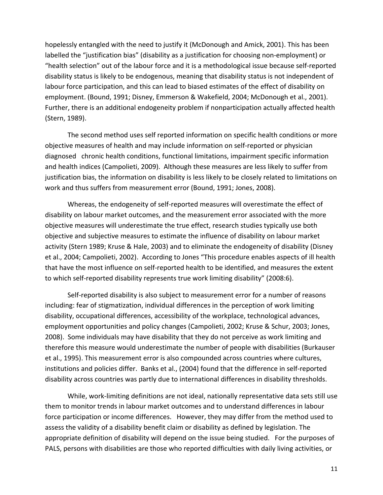hopelessly entangled with the need to justify it (McDonough and Amick, 2001). This has been labelled the "justification bias" (disability as a justification for choosing non‐employment) or "health selection" out of the labour force and it is a methodological issue because self‐reported disability status is likely to be endogenous, meaning that disability status is not independent of labour force participation, and this can lead to biased estimates of the effect of disability on employment. (Bound, 1991; Disney, Emmerson & Wakefield, 2004; McDonough et al., 2001). Further, there is an additional endogeneity problem if nonparticipation actually affected health (Stern, 1989).

The second method uses self reported information on specific health conditions or more objective measures of health and may include information on self‐reported or physician diagnosed chronic health conditions, functional limitations, impairment specific information and health indices (Campolieti, 2009). Although these measures are less likely to suffer from justification bias, the information on disability is less likely to be closely related to limitations on work and thus suffers from measurement error (Bound, 1991; Jones, 2008).

Whereas, the endogeneity of self‐reported measures will overestimate the effect of disability on labour market outcomes, and the measurement error associated with the more objective measures will underestimate the true effect, research studies typically use both objective and subjective measures to estimate the influence of disability on labour market activity (Stern 1989; Kruse & Hale, 2003) and to eliminate the endogeneity of disability (Disney et al., 2004; Campolieti, 2002). According to Jones "This procedure enables aspects of ill health that have the most influence on self‐reported health to be identified, and measures the extent to which self‐reported disability represents true work limiting disability" (2008:6).

Self-reported disability is also subject to measurement error for a number of reasons including: fear of stigmatization, individual differences in the perception of work limiting disability, occupational differences, accessibility of the workplace, technological advances, employment opportunities and policy changes (Campolieti, 2002; Kruse & Schur, 2003; Jones, 2008). Some individuals may have disability that they do not perceive as work limiting and therefore this measure would underestimate the number of people with disabilities (Burkauser et al., 1995). This measurement error is also compounded across countries where cultures, institutions and policies differ. Banks et al., (2004) found that the difference in self‐reported disability across countries was partly due to international differences in disability thresholds.

While, work‐limiting definitions are not ideal, nationally representative data sets still use them to monitor trends in labour market outcomes and to understand differences in labour force participation or income differences. However, they may differ from the method used to assess the validity of a disability benefit claim or disability as defined by legislation. The appropriate definition of disability will depend on the issue being studied. For the purposes of PALS, persons with disabilities are those who reported difficulties with daily living activities, or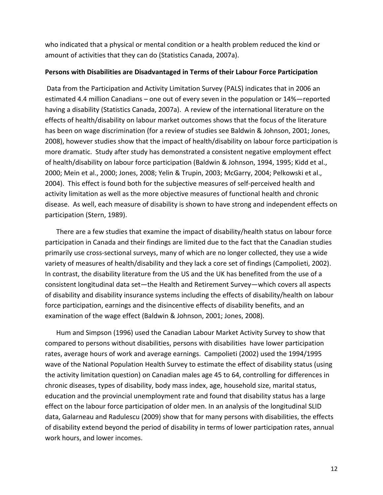who indicated that a physical or mental condition or a health problem reduced the kind or amount of activities that they can do (Statistics Canada, 2007a).

#### **Persons with Disabilities are Disadvantaged in Terms of their Labour Force Participation**

Data from the Participation and Activity Limitation Survey (PALS) indicates that in 2006 an estimated 4.4 million Canadians – one out of every seven in the population or 14%—reported having a disability (Statistics Canada, 2007a). A review of the international literature on the effects of health/disability on labour market outcomes shows that the focus of the literature has been on wage discrimination (for a review of studies see Baldwin & Johnson, 2001; Jones, 2008), however studies show that the impact of health/disability on labour force participation is more dramatic. Study after study has demonstrated a consistent negative employment effect of health/disability on labour force participation (Baldwin & Johnson, 1994, 1995; Kidd et al., 2000; Mein et al., 2000; Jones, 2008; Yelin & Trupin, 2003; McGarry, 2004; Pelkowski et al., 2004). This effect is found both for the subjective measures of self‐perceived health and activity limitation as well as the more objective measures of functional health and chronic disease. As well, each measure of disability is shown to have strong and independent effects on participation (Stern, 1989).

There are a few studies that examine the impact of disability/health status on labour force participation in Canada and their findings are limited due to the fact that the Canadian studies primarily use cross‐sectional surveys, many of which are no longer collected, they use a wide variety of measures of health/disability and they lack a core set of findings (Campolieti, 2002). In contrast, the disability literature from the US and the UK has benefited from the use of a consistent longitudinal data set—the Health and Retirement Survey—which covers all aspects of disability and disability insurance systems including the effects of disability/health on labour force participation, earnings and the disincentive effects of disability benefits, and an examination of the wage effect (Baldwin & Johnson, 2001; Jones, 2008).

Hum and Simpson (1996) used the Canadian Labour Market Activity Survey to show that compared to persons without disabilities, persons with disabilities have lower participation rates, average hours of work and average earnings. Campolieti (2002) used the 1994/1995 wave of the National Population Health Survey to estimate the effect of disability status (using the activity limitation question) on Canadian males age 45 to 64, controlling for differences in chronic diseases, types of disability, body mass index, age, household size, marital status, education and the provincial unemployment rate and found that disability status has a large effect on the labour force participation of older men. In an analysis of the longitudinal SLID data, Galarneau and Radulescu (2009) show that for many persons with disabilities, the effects of disability extend beyond the period of disability in terms of lower participation rates, annual work hours, and lower incomes.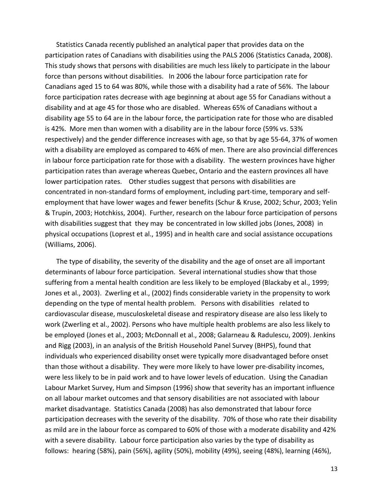Statistics Canada recently published an analytical paper that provides data on the participation rates of Canadians with disabilities using the PALS 2006 (Statistics Canada, 2008). This study shows that persons with disabilities are much less likely to participate in the labour force than persons without disabilities. In 2006 the labour force participation rate for Canadians aged 15 to 64 was 80%, while those with a disability had a rate of 56%. The labour force participation rates decrease with age beginning at about age 55 for Canadians without a disability and at age 45 for those who are disabled. Whereas 65% of Canadians without a disability age 55 to 64 are in the labour force, the participation rate for those who are disabled is 42%. More men than women with a disability are in the labour force (59% vs. 53% respectively) and the gender difference increases with age, so that by age 55‐64, 37% of women with a disability are employed as compared to 46% of men. There are also provincial differences in labour force participation rate for those with a disability. The western provinces have higher participation rates than average whereas Quebec, Ontario and the eastern provinces all have lower participation rates. Other studies suggest that persons with disabilities are concentrated in non‐standard forms of employment, including part‐time, temporary and self‐ employment that have lower wages and fewer benefits (Schur & Kruse, 2002; Schur, 2003; Yelin & Trupin, 2003; Hotchkiss, 2004). Further, research on the labour force participation of persons with disabilities suggest that they may be concentrated in low skilled jobs (Jones, 2008) in physical occupations (Loprest et al., 1995) and in health care and social assistance occupations (Williams, 2006).

The type of disability, the severity of the disability and the age of onset are all important determinants of labour force participation. Several international studies show that those suffering from a mental health condition are less likely to be employed (Blackaby et al., 1999; Jones et al., 2003). Zwerling et al., (2002) finds considerable variety in the propensity to work depending on the type of mental health problem. Persons with disabilities related to cardiovascular disease, musculoskeletal disease and respiratory disease are also less likely to work (Zwerling et al., 2002). Persons who have multiple health problems are also less likely to be employed (Jones et al., 2003; McDonnall et al., 2008; Galarneau & Radulescu, 2009). Jenkins and Rigg (2003), in an analysis of the British Household Panel Survey (BHPS), found that individuals who experienced disability onset were typically more disadvantaged before onset than those without a disability. They were more likely to have lower pre‐disability incomes, were less likely to be in paid work and to have lower levels of education. Using the Canadian Labour Market Survey, Hum and Simpson (1996) show that severity has an important influence on all labour market outcomes and that sensory disabilities are not associated with labour market disadvantage. Statistics Canada (2008) has also demonstrated that labour force participation decreases with the severity of the disability. 70% of those who rate their disability as mild are in the labour force as compared to 60% of those with a moderate disability and 42% with a severe disability. Labour force participation also varies by the type of disability as follows: hearing (58%), pain (56%), agility (50%), mobility (49%), seeing (48%), learning (46%),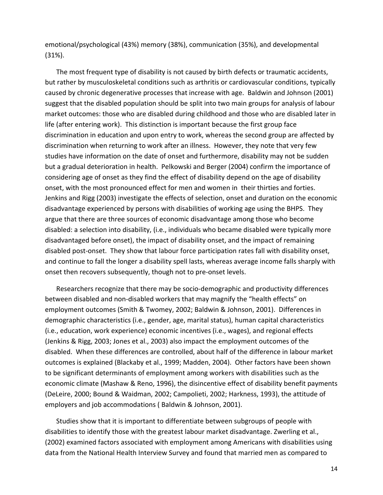emotional/psychological (43%) memory (38%), communication (35%), and developmental (31%).

The most frequent type of disability is not caused by birth defects or traumatic accidents, but rather by musculoskeletal conditions such as arthritis or cardiovascular conditions, typically caused by chronic degenerative processes that increase with age. Baldwin and Johnson (2001) suggest that the disabled population should be split into two main groups for analysis of labour market outcomes: those who are disabled during childhood and those who are disabled later in life (after entering work). This distinction is important because the first group face discrimination in education and upon entry to work, whereas the second group are affected by discrimination when returning to work after an illness. However, they note that very few studies have information on the date of onset and furthermore, disability may not be sudden but a gradual deterioration in health. Pelkowski and Berger (2004) confirm the importance of considering age of onset as they find the effect of disability depend on the age of disability onset, with the most pronounced effect for men and women in their thirties and forties. Jenkins and Rigg (2003) investigate the effects of selection, onset and duration on the economic disadvantage experienced by persons with disabilities of working age using the BHPS. They argue that there are three sources of economic disadvantage among those who become disabled: a selection into disability, (i.e., individuals who became disabled were typically more disadvantaged before onset), the impact of disability onset, and the impact of remaining disabled post-onset. They show that labour force participation rates fall with disability onset, and continue to fall the longer a disability spell lasts, whereas average income falls sharply with onset then recovers subsequently, though not to pre‐onset levels.

Researchers recognize that there may be socio-demographic and productivity differences between disabled and non-disabled workers that may magnify the "health effects" on employment outcomes (Smith & Twomey, 2002; Baldwin & Johnson, 2001). Differences in demographic characteristics (i.e., gender, age, marital status), human capital characteristics (i.e., education, work experience) economic incentives (i.e., wages), and regional effects (Jenkins & Rigg, 2003; Jones et al., 2003) also impact the employment outcomes of the disabled. When these differences are controlled, about half of the difference in labour market outcomes is explained (Blackaby et al., 1999; Madden, 2004). Other factors have been shown to be significant determinants of employment among workers with disabilities such as the economic climate (Mashaw & Reno, 1996), the disincentive effect of disability benefit payments (DeLeire, 2000; Bound & Waidman, 2002; Campolieti, 2002; Harkness, 1993), the attitude of employers and job accommodations ( Baldwin & Johnson, 2001).

Studies show that it is important to differentiate between subgroups of people with disabilities to identify those with the greatest labour market disadvantage. Zwerling et al., (2002) examined factors associated with employment among Americans with disabilities using data from the National Health Interview Survey and found that married men as compared to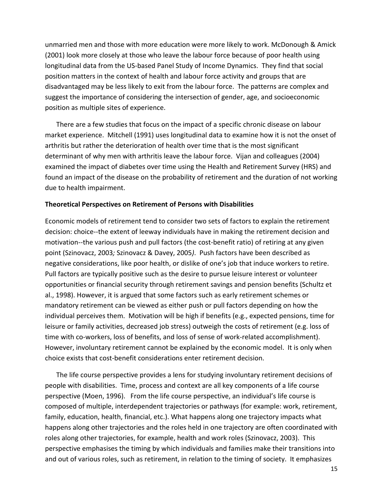unmarried men and those with more education were more likely to work. McDonough & Amick (2001) look more closely at those who leave the labour force because of poor health using longitudinal data from the US‐based Panel Study of Income Dynamics. They find that social position matters in the context of health and labour force activity and groups that are disadvantaged may be less likely to exit from the labour force. The patterns are complex and suggest the importance of considering the intersection of gender, age, and socioeconomic position as multiple sites of experience.

There are a few studies that focus on the impact of a specific chronic disease on labour market experience. Mitchell (1991) uses longitudinal data to examine how it is not the onset of arthritis but rather the deterioration of health over time that is the most significant determinant of why men with arthritis leave the labour force. Vijan and colleagues (2004) examined the impact of diabetes over time using the Health and Retirement Survey (HRS) and found an impact of the disease on the probability of retirement and the duration of not working due to health impairment.

#### **Theoretical Perspectives on Retirement of Persons with Disabilities**

Economic models of retirement tend to consider two sets of factors to explain the retirement decision: choice‐‐the extent of leeway individuals have in making the retirement decision and motivation‐‐the various push and pull factors (the cost‐benefit ratio) of retiring at any given point (Szinovacz, 2003*;* Szinovacz & Davey, 2005*)*. Push factors have been described as negative considerations, like poor health, or dislike of one's job that induce workers to retire. Pull factors are typically positive such as the desire to pursue leisure interest or volunteer opportunities or financial security through retirement savings and pension benefits (Schultz et al., 1998). However, it is argued that some factors such as early retirement schemes or mandatory retirement can be viewed as either push or pull factors depending on how the individual perceives them. Motivation will be high if benefits (e.g., expected pensions, time for leisure or family activities, decreased job stress) outweigh the costs of retirement (e.g. loss of time with co-workers, loss of benefits, and loss of sense of work-related accomplishment). However, involuntary retirement cannot be explained by the economic model. It is only when choice exists that cost‐benefit considerations enter retirement decision.

The life course perspective provides a lens for studying involuntary retirement decisions of people with disabilities. Time, process and context are all key components of a life course perspective (Moen, 1996). From the life course perspective, an individual's life course is composed of multiple, interdependent trajectories or pathways (for example: work, retirement, family, education, health, financial, etc.). What happens along one trajectory impacts what happens along other trajectories and the roles held in one trajectory are often coordinated with roles along other trajectories, for example, health and work roles (Szinovacz, 2003). This perspective emphasises the timing by which individuals and families make their transitions into and out of various roles, such as retirement, in relation to the timing of society. It emphasizes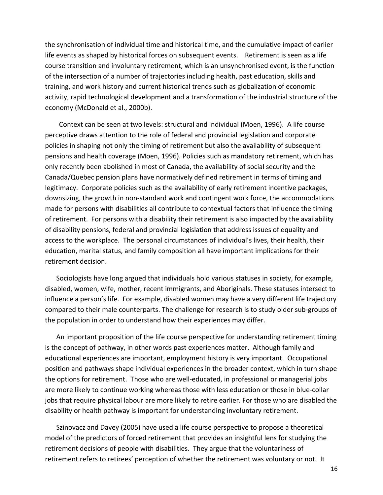the synchronisation of individual time and historical time, and the cumulative impact of earlier life events as shaped by historical forces on subsequent events. Retirement is seen as a life course transition and involuntary retirement, which is an unsynchronised event, is the function of the intersection of a number of trajectories including health, past education, skills and training, and work history and current historical trends such as globalization of economic activity, rapid technological development and a transformation of the industrial structure of the economy (McDonald et al., 2000b).

Context can be seen at two levels: structural and individual (Moen, 1996). A life course perceptive draws attention to the role of federal and provincial legislation and corporate policies in shaping not only the timing of retirement but also the availability of subsequent pensions and health coverage (Moen, 1996). Policies such as mandatory retirement, which has only recently been abolished in most of Canada, the availability of social security and the Canada/Quebec pension plans have normatively defined retirement in terms of timing and legitimacy. Corporate policies such as the availability of early retirement incentive packages, downsizing, the growth in non‐standard work and contingent work force, the accommodations made for persons with disabilities all contribute to contextual factors that influence the timing of retirement. For persons with a disability their retirement is also impacted by the availability of disability pensions, federal and provincial legislation that address issues of equality and access to the workplace. The personal circumstances of individual's lives, their health, their education, marital status, and family composition all have important implications for their retirement decision.

Sociologists have long argued that individuals hold various statuses in society, for example, disabled, women, wife, mother, recent immigrants, and Aboriginals. These statuses intersect to influence a person's life. For example, disabled women may have a very different life trajectory compared to their male counterparts. The challenge for research is to study older sub‐groups of the population in order to understand how their experiences may differ.

An important proposition of the life course perspective for understanding retirement timing is the concept of pathway, in other words past experiences matter. Although family and educational experiences are important, employment history is very important. Occupational position and pathways shape individual experiences in the broader context, which in turn shape the options for retirement. Those who are well‐educated, in professional or managerial jobs are more likely to continue working whereas those with less education or those in blue-collar jobs that require physical labour are more likely to retire earlier. For those who are disabled the disability or health pathway is important for understanding involuntary retirement.

Szinovacz and Davey (2005) have used a life course perspective to propose a theoretical model of the predictors of forced retirement that provides an insightful lens for studying the retirement decisions of people with disabilities. They argue that the voluntariness of retirement refers to retirees' perception of whether the retirement was voluntary or not. It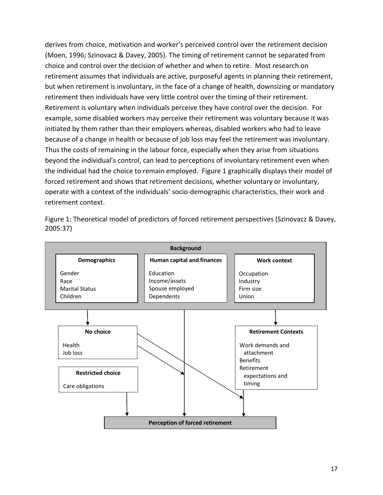derives from choice, motivation and worker's perceived control over the retirement decision (Moen, 1996; Szinovacz & Davey, 2005). The timing of retirement cannot be separated from choice and control over the decision of whether and when to retire. Most research on retirement assumes that individuals are active, purposeful agents in planning their retirement, but when retirement is involuntary, in the face of a change of health, downsizing or mandatory retirement then individuals have very little control over the timing of their retirement. Retirement is voluntary when individuals perceive they have control over the decision. For example, some disabled workers may perceive their retirement was voluntary because it was initiated by them rather than their employers whereas, disabled workers who had to leave because of a change in health or because of job loss may feel the retirement was involuntary. Thus the costs of remaining in the labour force, especially when they arise from situations beyond the individual's control, can lead to perceptions of involuntary retirement even when the individual had the choice to remain employed. Figure 1 graphically displays their model of forced retirement and shows that retirement decisions, whether voluntary or involuntary, operate with a context of the individuals' socio‐demographic characteristics, their work and retirement context.



Figure 1: Theoretical model of predictors of forced retirement perspectives (Szinovacz & Davey, 2005:37)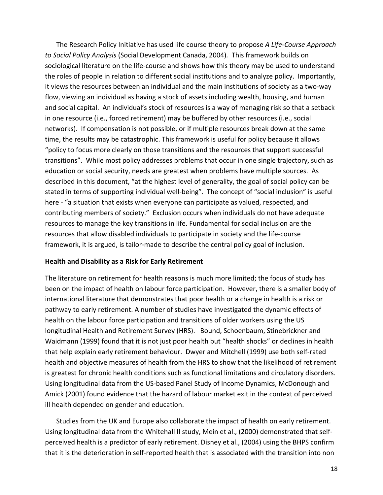The Research Policy Initiative has used life course theory to propose *A Life‐Course Approach to Social Policy Analysis* (Social Development Canada, 2004)*.* This framework builds on sociological literature on the life‐course and shows how this theory may be used to understand the roles of people in relation to different social institutions and to analyze policy. Importantly, it views the resources between an individual and the main institutions of society as a two‐way flow, viewing an individual as having a stock of assets including wealth, housing, and human and social capital. An individual's stock of resources is a way of managing risk so that a setback in one resource (i.e., forced retirement) may be buffered by other resources (i.e., social networks). If compensation is not possible, or if multiple resources break down at the same time, the results may be catastrophic. This framework is useful for policy because it allows "policy to focus more clearly on those transitions and the resources that support successful transitions". While most policy addresses problems that occur in one single trajectory, such as education or social security, needs are greatest when problems have multiple sources. As described in this document, "at the highest level of generality, the goal of social policy can be stated in terms of supporting individual well-being". The concept of "social inclusion" is useful here - "a situation that exists when everyone can participate as valued, respected, and contributing members of society." Exclusion occurs when individuals do not have adequate resources to manage the key transitions in life. Fundamental for social inclusion are the resources that allow disabled individuals to participate in society and the life‐course framework, it is argued, is tailor-made to describe the central policy goal of inclusion.

#### **Health and Disability as a Risk for Early Retirement**

The literature on retirement for health reasons is much more limited; the focus of study has been on the impact of health on labour force participation. However, there is a smaller body of international literature that demonstrates that poor health or a change in health is a risk or pathway to early retirement. A number of studies have investigated the dynamic effects of health on the labour force participation and transitions of older workers using the US longitudinal Health and Retirement Survey (HRS). Bound, Schoenbaum, Stinebrickner and Waidmann (1999) found that it is not just poor health but "health shocks" or declines in health that help explain early retirement behaviour. Dwyer and Mitchell (1999) use both self‐rated health and objective measures of health from the HRS to show that the likelihood of retirement is greatest for chronic health conditions such as functional limitations and circulatory disorders. Using longitudinal data from the US‐based Panel Study of Income Dynamics, McDonough and Amick (2001) found evidence that the hazard of labour market exit in the context of perceived ill health depended on gender and education.

Studies from the UK and Europe also collaborate the impact of health on early retirement. Using longitudinal data from the Whitehall II study, Mein et al., (2000) demonstrated that self‐ perceived health is a predictor of early retirement. Disney et al., (2004) using the BHPS confirm that it is the deterioration in self‐reported health that is associated with the transition into non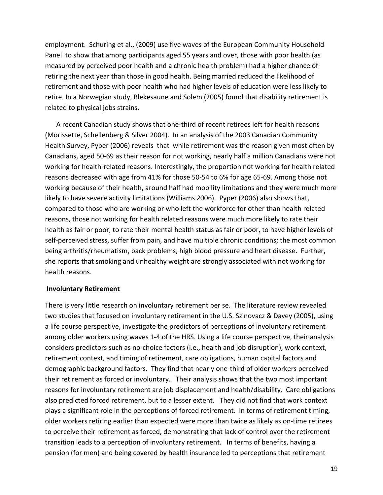employment. Schuring et al., (2009) use five waves of the European Community Household Panel to show that among participants aged 55 years and over, those with poor health (as measured by perceived poor health and a chronic health problem) had a higher chance of retiring the next year than those in good health. Being married reduced the likelihood of retirement and those with poor health who had higher levels of education were less likely to retire. In a Norwegian study, Blekesaune and Solem (2005) found that disability retirement is related to physical jobs strains.

A recent Canadian study shows that one‐third of recent retirees left for health reasons (Morissette, Schellenberg & Silver 2004). In an analysis of the 2003 Canadian Community Health Survey, Pyper (2006) reveals that while retirement was the reason given most often by Canadians, aged 50‐69 as their reason for not working, nearly half a million Canadians were not working for health-related reasons. Interestingly, the proportion not working for health related reasons decreased with age from 41% for those 50‐54 to 6% for age 65‐69. Among those not working because of their health, around half had mobility limitations and they were much more likely to have severe activity limitations (Williams 2006). Pyper (2006) also shows that, compared to those who are working or who left the workforce for other than health related reasons, those not working for health related reasons were much more likely to rate their health as fair or poor, to rate their mental health status as fair or poor, to have higher levels of self-perceived stress, suffer from pain, and have multiple chronic conditions; the most common being arthritis/rheumatism, back problems, high blood pressure and heart disease. Further, she reports that smoking and unhealthy weight are strongly associated with not working for health reasons.

#### **Involuntary Retirement**

There is very little research on involuntary retirement per se. The literature review revealed two studies that focused on involuntary retirement in the U.S. Szinovacz & Davey (2005), using a life course perspective, investigate the predictors of perceptions of involuntary retirement among older workers using waves 1‐4 of the HRS. Using a life course perspective, their analysis considers predictors such as no‐choice factors (i.e., health and job disruption), work context, retirement context, and timing of retirement, care obligations, human capital factors and demographic background factors. They find that nearly one‐third of older workers perceived their retirement as forced or involuntary. Their analysis shows that the two most important reasons for involuntary retirement are job displacement and health/disability. Care obligations also predicted forced retirement, but to a lesser extent. They did not find that work context plays a significant role in the perceptions of forced retirement. In terms of retirement timing, older workers retiring earlier than expected were more than twice as likely as on‐time retirees to perceive their retirement as forced, demonstrating that lack of control over the retirement transition leads to a perception of involuntary retirement. In terms of benefits, having a pension (for men) and being covered by health insurance led to perceptions that retirement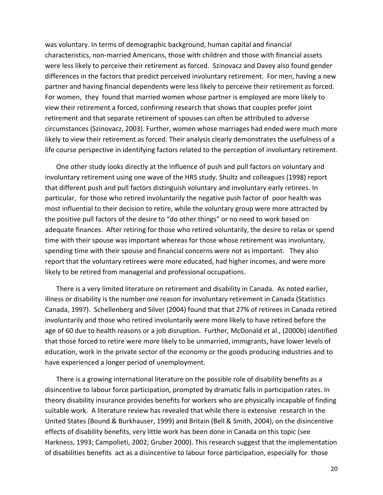was voluntary. In terms of demographic background, human capital and financial characteristics, non‐married Americans, those with children and those with financial assets were less likely to perceive their retirement as forced. Szinovacz and Davey also found gender differences in the factors that predict perceived involuntary retirement. For men, having a new partner and having financial dependents were less likely to perceive their retirement as forced. For women, they found that married women whose partner is employed are more likely to view their retirement a forced, confirming research that shows that couples prefer joint retirement and that separate retirement of spouses can often be attributed to adverse circumstances (Szinovacz, 2003). Further, women whose marriages had ended were much more likely to view their retirement as forced. Their analysis clearly demonstrates the usefulness of a life course perspective in identifying factors related to the perception of involuntary retirement.

One other study looks directly at the influence of push and pull factors on voluntary and involuntary retirement using one wave of the HRS study. Shultz and colleagues (1998) report that different push and pull factors distinguish voluntary and involuntary early retirees. In particular, for those who retired involuntarily the negative push factor of poor health was most influential to their decision to retire, while the voluntary group were more attracted by the positive pull factors of the desire to "do other things" or no need to work based on adequate finances. After retiring for those who retired voluntarily, the desire to relax or spend time with their spouse was important whereas for those whose retirement was involuntary, spending time with their spouse and financial concerns were not as important. They also report that the voluntary retirees were more educated, had higher incomes, and were more likely to be retired from managerial and professional occupations.

There is a very limited literature on retirement and disability in Canada. As noted earlier, illness or disability is the number one reason for involuntary retirement in Canada (Statistics Canada, 1997). Schellenberg and Silver (2004) found that that 27% of retirees in Canada retired involuntarily and those who retired involuntarily were more likely to have retired before the age of 60 due to health reasons or a job disruption. Further, McDonald et al., (2000b) identified that those forced to retire were more likely to be unmarried, immigrants, have lower levels of education, work in the private sector of the economy or the goods producing industries and to have experienced a longer period of unemployment.

There is a growing international literature on the possible role of disability benefits as a disincentive to labour force participation, prompted by dramatic falls in participation rates. In theory disability insurance provides benefits for workers who are physically incapable of finding suitable work. A literature review has revealed that while there is extensive research in the United States (Bound & Burkhauser, 1999) and Britain (Bell & Smith, 2004), on the disincentive effects of disability benefits, very little work has been done in Canada on this topic (see Harkness, 1993; Campolieti, 2002; Gruber 2000). This research suggest that the implementation of disabilities benefits act as a disincentive to labour force participation, especially for those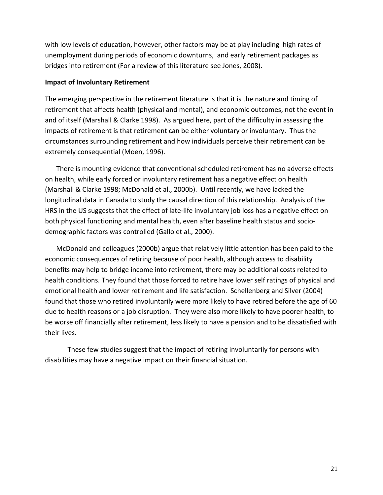with low levels of education, however, other factors may be at play including high rates of unemployment during periods of economic downturns, and early retirement packages as bridges into retirement (For a review of this literature see Jones, 2008).

#### **Impact of Involuntary Retirement**

The emerging perspective in the retirement literature is that it is the nature and timing of retirement that affects health (physical and mental), and economic outcomes, not the event in and of itself (Marshall & Clarke 1998). As argued here, part of the difficulty in assessing the impacts of retirement is that retirement can be either voluntary or involuntary. Thus the circumstances surrounding retirement and how individuals perceive their retirement can be extremely consequential (Moen, 1996).

There is mounting evidence that conventional scheduled retirement has no adverse effects on health, while early forced or involuntary retirement has a negative effect on health (Marshall & Clarke 1998; McDonald et al., 2000b). Until recently, we have lacked the longitudinal data in Canada to study the causal direction of this relationship. Analysis of the HRS in the US suggests that the effect of late-life involuntary job loss has a negative effect on both physical functioning and mental health, even after baseline health status and sociodemographic factors was controlled (Gallo et al., 2000).

McDonald and colleagues (2000b) argue that relatively little attention has been paid to the economic consequences of retiring because of poor health, although access to disability benefits may help to bridge income into retirement, there may be additional costs related to health conditions. They found that those forced to retire have lower self ratings of physical and emotional health and lower retirement and life satisfaction. Schellenberg and Silver (2004) found that those who retired involuntarily were more likely to have retired before the age of 60 due to health reasons or a job disruption. They were also more likely to have poorer health, to be worse off financially after retirement, less likely to have a pension and to be dissatisfied with their lives.

These few studies suggest that the impact of retiring involuntarily for persons with disabilities may have a negative impact on their financial situation.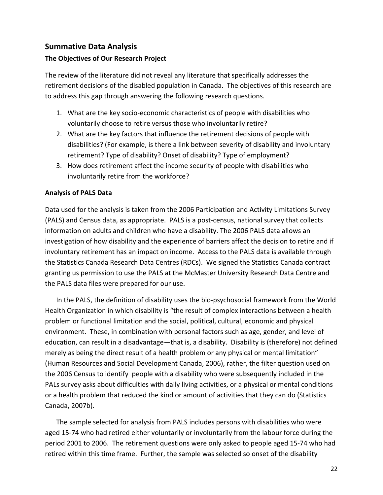#### **Summative Data Analysis**

#### **The Objectives of Our Research Project**

The review of the literature did not reveal any literature that specifically addresses the retirement decisions of the disabled population in Canada. The objectives of this research are to address this gap through answering the following research questions.

- 1. What are the key socio‐economic characteristics of people with disabilities who voluntarily choose to retire versus those who involuntarily retire?
- 2. What are the key factors that influence the retirement decisions of people with disabilities? (For example, is there a link between severity of disability and involuntary retirement? Type of disability? Onset of disability? Type of employment?
- 3. How does retirement affect the income security of people with disabilities who involuntarily retire from the workforce?

#### **Analysis of PALS Data**

Data used for the analysis is taken from the 2006 Participation and Activity Limitations Survey (PALS) and Census data, as appropriate. PALS is a post‐census, national survey that collects information on adults and children who have a disability. The 2006 PALS data allows an investigation of how disability and the experience of barriers affect the decision to retire and if involuntary retirement has an impact on income. Access to the PALS data is available through the Statistics Canada Research Data Centres (RDCs). We signed the Statistics Canada contract granting us permission to use the PALS at the McMaster University Research Data Centre and the PALS data files were prepared for our use.

In the PALS, the definition of disability uses the bio‐psychosocial framework from the World Health Organization in which disability is "the result of complex interactions between a health problem or functional limitation and the social, political, cultural, economic and physical environment. These, in combination with personal factors such as age, gender, and level of education, can result in a disadvantage—that is, a disability. Disability is (therefore) not defined merely as being the direct result of a health problem or any physical or mental limitation" (Human Resources and Social Development Canada, 2006), rather, the filter question used on the 2006 Census to identify people with a disability who were subsequently included in the PALs survey asks about difficulties with daily living activities, or a physical or mental conditions or a health problem that reduced the kind or amount of activities that they can do (Statistics Canada, 2007b).

The sample selected for analysis from PALS includes persons with disabilities who were aged 15‐74 who had retired either voluntarily or involuntarily from the labour force during the period 2001 to 2006. The retirement questions were only asked to people aged 15‐74 who had retired within this time frame. Further, the sample was selected so onset of the disability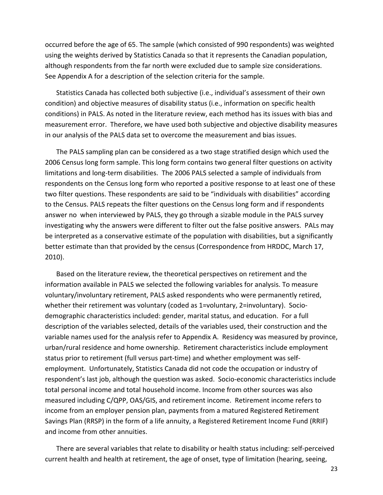occurred before the age of 65. The sample (which consisted of 990 respondents) was weighted using the weights derived by Statistics Canada so that it represents the Canadian population, although respondents from the far north were excluded due to sample size considerations. See Appendix A for a description of the selection criteria for the sample.

Statistics Canada has collected both subjective (i.e., individual's assessment of their own condition) and objective measures of disability status (i.e., information on specific health conditions) in PALS. As noted in the literature review, each method has its issues with bias and measurement error. Therefore, we have used both subjective and objective disability measures in our analysis of the PALS data set to overcome the measurement and bias issues.

The PALS sampling plan can be considered as a two stage stratified design which used the 2006 Census long form sample. This long form contains two general filter questions on activity limitations and long‐term disabilities. The 2006 PALS selected a sample of individuals from respondents on the Census long form who reported a positive response to at least one of these two filter questions. These respondents are said to be "individuals with disabilities" according to the Census. PALS repeats the filter questions on the Census long form and if respondents answer no when interviewed by PALS, they go through a sizable module in the PALS survey investigating why the answers were different to filter out the false positive answers. PALs may be interpreted as a conservative estimate of the population with disabilities, but a significantly better estimate than that provided by the census (Correspondence from HRDDC, March 17, 2010).

Based on the literature review, the theoretical perspectives on retirement and the information available in PALS we selected the following variables for analysis. To measure voluntary/involuntary retirement, PALS asked respondents who were permanently retired, whether their retirement was voluntary (coded as 1=voluntary, 2=involuntary). Sociodemographic characteristics included: gender, marital status, and education. For a full description of the variables selected, details of the variables used, their construction and the variable names used for the analysis refer to Appendix A. Residency was measured by province, urban/rural residence and home ownership. Retirement characteristics include employment status prior to retirement (full versus part‐time) and whether employment was self‐ employment. Unfortunately, Statistics Canada did not code the occupation or industry of respondent's last job, although the question was asked. Socio‐economic characteristics include total personal income and total household income. Income from other sources was also measured including C/QPP, OAS/GIS, and retirement income. Retirement income refers to income from an employer pension plan, payments from a matured Registered Retirement Savings Plan (RRSP) in the form of a life annuity, a Registered Retirement Income Fund (RRIF) and income from other annuities.

There are several variables that relate to disability or health status including: self‐perceived current health and health at retirement, the age of onset, type of limitation (hearing, seeing,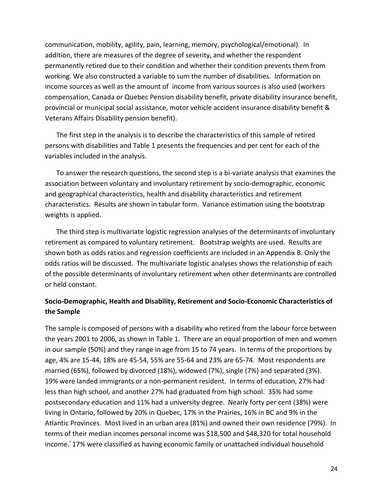communication, mobility, agility, pain, learning, memory, psychological/emotional). In addition, there are measures of the degree of severity, and whether the respondent permanently retired due to their condition and whether their condition prevents them from working. We also constructed a variable to sum the number of disabilities. Information on income sources as well as the amount of income from various sources is also used (workers compensation, Canada or Quebec Pension disability benefit, private disability insurance benefit, provincial or municipal social assistance, motor vehicle accident insurance disability benefit & Veterans Affairs Disability pension benefit).

The first step in the analysis is to describe the characteristics of this sample of retired persons with disabilities and Table 1 presents the frequencies and per cent for each of the variables included in the analysis.

To answer the research questions, the second step is a bi‐variate analysis that examines the association between voluntary and involuntary retirement by socio‐demographic, economic and geographical characteristics, health and disability characteristics and retirement characteristics. Results are shown in tabular form. Variance estimation using the bootstrap weights is applied.

The third step is multivariate logistic regression analyses of the determinants of involuntary retirement as compared to voluntary retirement. Bootstrap weights are used. Results are shown both as odds ratios and regression coefficients are included in an Appendix B. Only the odds ratios will be discussed. The multivariate logistic analyses shows the relationship of each of the possible determinants of involuntary retirement when other determinants are controlled or held constant.

#### **Socio‐Demographic, Health and Disability, Retirement and Socio‐Economic Characteristics of the Sample**

The sample is composed of persons with a disability who retired from the labour force between the years 2001 to 2006, as shown in Table 1. There are an equal proportion of men and women in our sample (50%) and they range in age from 15 to 74 years. In terms of the proportions by age, 4% are 15‐44, 18% are 45‐54, 55% are 55‐64 and 23% are 65‐74. Most respondents are married (65%), followed by divorced (18%), widowed (7%), single (7%) and separated (3%). 19% were landed immigrants or a non‐permanent resident. In terms of education, 27% had less than high school, and another 27% had graduated from high school. 35% had some postsecondary education and 11% had a university degree. Nearly forty per cent (38%) were living in Ontario, followed by 20% in Quebec, 17% in the Prairies, 16% in BC and 9% in the Atlantic Provinces. Most lived in an urban area (81%) and owned their own residence (79%). In terms of their median incomes personal income was \$18,500 and \$48,320 for total household income.<sup>i</sup> 17% were classified as having economic family or unattached individual household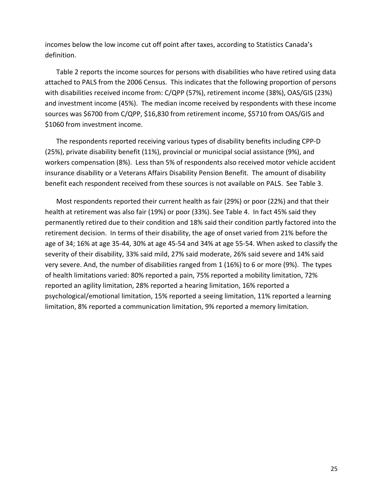incomes below the low income cut off point after taxes, according to Statistics Canada's definition.

Table 2 reports the income sources for persons with disabilities who have retired using data attached to PALS from the 2006 Census. This indicates that the following proportion of persons with disabilities received income from: C/QPP (57%), retirement income (38%), OAS/GIS (23%) and investment income (45%). The median income received by respondents with these income sources was \$6700 from C/QPP, \$16,830 from retirement income, \$5710 from OAS/GIS and \$1060 from investment income.

The respondents reported receiving various types of disability benefits including CPP‐D (25%), private disability benefit (11%), provincial or municipal social assistance (9%), and workers compensation (8%). Less than 5% of respondents also received motor vehicle accident insurance disability or a Veterans Affairs Disability Pension Benefit. The amount of disability benefit each respondent received from these sources is not available on PALS. See Table 3.

Most respondents reported their current health as fair (29%) or poor (22%) and that their health at retirement was also fair (19%) or poor (33%). See Table 4. In fact 45% said they permanently retired due to their condition and 18% said their condition partly factored into the retirement decision. In terms of their disability, the age of onset varied from 21% before the age of 34; 16% at age 35‐44, 30% at age 45‐54 and 34% at age 55‐54. When asked to classify the severity of their disability, 33% said mild, 27% said moderate, 26% said severe and 14% said very severe. And, the number of disabilities ranged from 1 (16%) to 6 or more (9%). The types of health limitations varied: 80% reported a pain, 75% reported a mobility limitation, 72% reported an agility limitation, 28% reported a hearing limitation, 16% reported a psychological/emotional limitation, 15% reported a seeing limitation, 11% reported a learning limitation, 8% reported a communication limitation, 9% reported a memory limitation.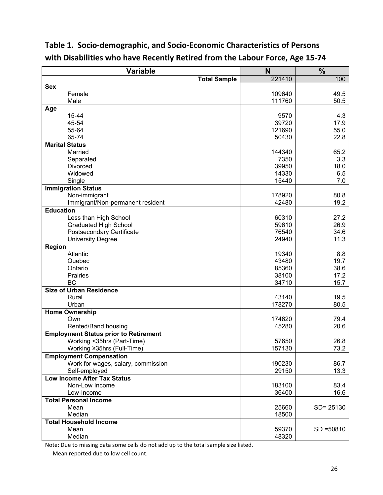| <b>Variable</b>                                       | N              | $\frac{0}{6}$ |
|-------------------------------------------------------|----------------|---------------|
| <b>Total Sample</b>                                   | 221410         | 100           |
| <b>Sex</b>                                            |                |               |
| Female                                                | 109640         | 49.5          |
| Male                                                  | 111760         | 50.5          |
| Age                                                   |                |               |
| 15-44                                                 | 9570           | 4.3           |
| 45-54                                                 | 39720          | 17.9          |
| 55-64                                                 | 121690         | 55.0          |
| 65-74                                                 | 50430          | 22.8          |
| <b>Marital Status</b>                                 |                |               |
| Married                                               | 144340         | 65.2          |
| Separated                                             | 7350           | 3.3           |
| Divorced                                              | 39950          | 18.0          |
| Widowed                                               | 14330          | 6.5           |
| Single                                                | 15440          | 7.0           |
| <b>Immigration Status</b>                             |                |               |
| Non-immigrant                                         | 178920         | 80.8          |
| Immigrant/Non-permanent resident                      | 42480          | 19.2          |
| <b>Education</b>                                      |                |               |
| Less than High School                                 | 60310          | 27.2          |
| <b>Graduated High School</b>                          | 59610<br>76540 | 26.9<br>34.6  |
| Postsecondary Certificate<br><b>University Degree</b> | 24940          | 11.3          |
| <b>Region</b>                                         |                |               |
| Atlantic                                              | 19340          | 8.8           |
| Quebec                                                | 43480          | 19.7          |
| Ontario                                               | 85360          | 38.6          |
| <b>Prairies</b>                                       | 38100          | 17.2          |
| <b>BC</b>                                             | 34710          | 15.7          |
| <b>Size of Urban Residence</b>                        |                |               |
| Rural                                                 | 43140          | 19.5          |
| Urban                                                 | 178270         | 80.5          |
| <b>Home Ownership</b>                                 |                |               |
| Own                                                   | 174620         | 79.4          |
| Rented/Band housing                                   | 45280          | 20.6          |
| <b>Employment Status prior to Retirement</b>          |                |               |
| Working <35hrs (Part-Time)                            | 57650          | 26.8          |
| Working ≥35hrs (Full-Time)                            | 157130         | 73.2          |
| <b>Employment Compensation</b>                        |                |               |
| Work for wages, salary, commission                    | 190230         | 86.7          |
| Self-employed                                         | 29150          | 13.3          |
| <b>Low Income After Tax Status</b>                    |                |               |
| Non-Low Income                                        | 183100         | 83.4          |
| Low-Income                                            | 36400          | 16.6          |
| <b>Total Personal Income</b>                          |                |               |
| Mean                                                  | 25660          | SD= 25130     |
| Median                                                | 18500          |               |
| <b>Total Household Income</b>                         |                |               |
| Mean                                                  | 59370          | $SD = 50810$  |
| Median                                                | 48320          |               |

# **Table 1. Socio‐demographic, and Socio‐Economic Characteristics of Persons with Disabilities who have Recently Retired from the Labour Force, Age 15‐74**

Note: Due to missing data some cells do not add up to the total sample size listed.

Mean reported due to low cell count.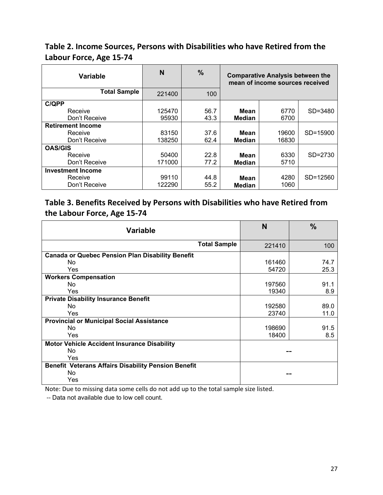# **Table 2. Income Sources, Persons with Disabilities who have Retired from the Labour Force, Age 15‐74**

| <b>Variable</b>          | N      | $\%$ | <b>Comparative Analysis between the</b><br>mean of income sources received |       |          |
|--------------------------|--------|------|----------------------------------------------------------------------------|-------|----------|
| <b>Total Sample</b>      | 221400 | 100  |                                                                            |       |          |
| <b>C/QPP</b>             |        |      |                                                                            |       |          |
| Receive                  | 125470 | 56.7 | Mean                                                                       | 6770  | SD=3480  |
| Don't Receive            | 95930  | 43.3 | <b>Median</b>                                                              | 6700  |          |
| <b>Retirement Income</b> |        |      |                                                                            |       |          |
| Receive                  | 83150  | 37.6 | Mean                                                                       | 19600 | SD=15900 |
| Don't Receive            | 138250 | 62.4 | <b>Median</b>                                                              | 16830 |          |
| <b>OAS/GIS</b>           |        |      |                                                                            |       |          |
| Receive                  | 50400  | 22.8 | Mean                                                                       | 6330  | SD=2730  |
| Don't Receive            | 171000 | 77.2 | <b>Median</b>                                                              | 5710  |          |
| <b>Investment Income</b> |        |      |                                                                            |       |          |
| Receive                  | 99110  | 44.8 | Mean                                                                       | 4280  | SD=12560 |
| Don't Receive            | 122290 | 55.2 | <b>Median</b>                                                              | 1060  |          |

# **Table 3. Benefits Received by Persons with Disabilities who have Retired from the Labour Force, Age 15‐74**

| <b>Variable</b>                                            | N      | $\frac{0}{0}$ |
|------------------------------------------------------------|--------|---------------|
| <b>Total Sample</b>                                        | 221410 | 100           |
| <b>Canada or Quebec Pension Plan Disability Benefit</b>    |        |               |
| No.                                                        | 161460 | 74.7          |
| Yes                                                        | 54720  | 25.3          |
| <b>Workers Compensation</b>                                |        |               |
| No.                                                        | 197560 | 91.1          |
| Yes                                                        | 19340  | 8.9           |
| <b>Private Disability Insurance Benefit</b>                |        |               |
| No.                                                        | 192580 | 89.0          |
| Yes                                                        | 23740  | 11.0          |
| <b>Provincial or Municipal Social Assistance</b>           |        |               |
| No.                                                        | 198690 | 91.5          |
| Yes                                                        | 18400  | 8.5           |
| <b>Motor Vehicle Accident Insurance Disability</b>         |        |               |
| No.                                                        |        |               |
| Yes                                                        |        |               |
| <b>Benefit Veterans Affairs Disability Pension Benefit</b> |        |               |
| No                                                         |        |               |
| Yes                                                        |        |               |

Note: Due to missing data some cells do not add up to the total sample size listed.

‐‐ Data not available due to low cell count.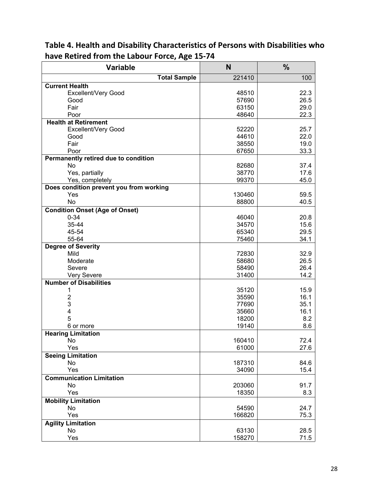| <b>Variable</b>                         | N      | $\frac{0}{0}$ |  |
|-----------------------------------------|--------|---------------|--|
| <b>Total Sample</b>                     | 221410 | 100           |  |
| <b>Current Health</b>                   |        |               |  |
| Excellent/Very Good                     | 48510  | 22.3          |  |
| Good                                    | 57690  | 26.5          |  |
| Fair                                    | 63150  | 29.0          |  |
| Poor                                    | 48640  | 22.3          |  |
| <b>Health at Retirement</b>             |        |               |  |
| Excellent/Very Good                     | 52220  | 25.7          |  |
| Good                                    | 44610  | 22.0          |  |
| Fair                                    | 38550  | 19.0          |  |
| Poor                                    | 67650  | 33.3          |  |
| Permanently retired due to condition    |        |               |  |
| No                                      | 82680  | 37.4          |  |
| Yes, partially                          | 38770  | 17.6          |  |
| Yes, completely                         | 99370  | 45.0          |  |
| Does condition prevent you from working |        |               |  |
| Yes                                     | 130460 | 59.5          |  |
| No                                      | 88800  | 40.5          |  |
| <b>Condition Onset (Age of Onset)</b>   |        |               |  |
| $0 - 34$                                | 46040  | 20.8          |  |
| 35-44                                   | 34570  | 15.6          |  |
| 45-54                                   | 65340  | 29.5          |  |
| 55-64                                   | 75460  | 34.1          |  |
| <b>Degree of Severity</b>               |        |               |  |
| Mild                                    | 72830  | 32.9          |  |
| Moderate                                | 58680  | 26.5          |  |
| Severe                                  | 58490  | 26.4          |  |
| Very Severe                             | 31400  | 14.2          |  |
| <b>Number of Disabilities</b>           |        |               |  |
| 1                                       | 35120  | 15.9          |  |
| $\overline{2}$                          | 35590  | 16.1          |  |
| 3                                       | 77690  | 35.1          |  |
| 4                                       | 35660  | 16.1          |  |
| 5                                       | 18200  | 8.2           |  |
| 6 or more                               | 19140  | 8.6           |  |
| <b>Hearing Limitation</b>               |        |               |  |
| No                                      | 160410 | 72.4          |  |
| Yes                                     | 61000  | 27.6          |  |
| <b>Seeing Limitation</b>                |        |               |  |
| No                                      | 187310 | 84.6          |  |
| Yes                                     | 34090  | 15.4          |  |
| <b>Communication Limitation</b>         |        |               |  |
| No                                      | 203060 | 91.7          |  |
| Yes                                     | 18350  | 8.3           |  |
| <b>Mobility Limitation</b>              |        |               |  |
| No                                      | 54590  | 24.7          |  |
| Yes                                     | 166820 | 75.3          |  |
| <b>Agility Limitation</b>               |        |               |  |
| No                                      | 63130  | 28.5          |  |
| Yes                                     | 158270 | 71.5          |  |
|                                         |        |               |  |

**Table 4. Health and Disability Characteristics of Persons with Disabilities who have Retired from the Labour Force, Age 15‐74**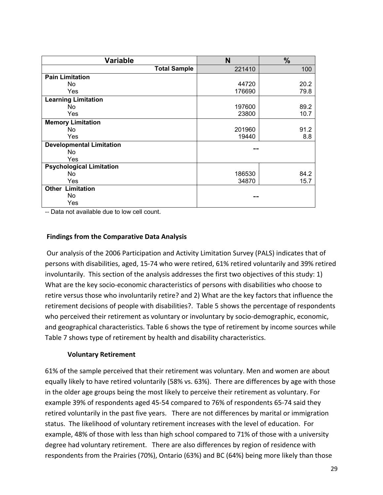| <b>Variable</b>                 | N      | $\frac{0}{0}$ |
|---------------------------------|--------|---------------|
| <b>Total Sample</b>             | 221410 | 100           |
| <b>Pain Limitation</b>          |        |               |
| No.                             | 44720  | 20.2          |
| <b>Yes</b>                      | 176690 | 79.8          |
| <b>Learning Limitation</b>      |        |               |
| No.                             | 197600 | 89.2          |
| Yes                             | 23800  | 10.7          |
| <b>Memory Limitation</b>        |        |               |
| No.                             | 201960 | 91.2          |
| <b>Yes</b>                      | 19440  | 8.8           |
| <b>Developmental Limitation</b> |        |               |
| No.                             |        |               |
| Yes                             |        |               |
| <b>Psychological Limitation</b> |        |               |
| No.                             | 186530 | 84.2          |
| <b>Yes</b>                      | 34870  | 15.7          |
| <b>Other Limitation</b>         |        |               |
| No.                             |        |               |
| Yes                             |        |               |

‐‐ Data not available due to low cell count.

#### **Findings from the Comparative Data Analysis**

Our analysis of the 2006 Participation and Activity Limitation Survey (PALS) indicates that of persons with disabilities, aged, 15‐74 who were retired, 61% retired voluntarily and 39% retired involuntarily. This section of the analysis addresses the first two objectives of this study: 1) What are the key socio-economic characteristics of persons with disabilities who choose to retire versus those who involuntarily retire? and 2) What are the key factors that influence the retirement decisions of people with disabilities?. Table 5 shows the percentage of respondents who perceived their retirement as voluntary or involuntary by socio-demographic, economic, and geographical characteristics. Table 6 shows the type of retirement by income sources while Table 7 shows type of retirement by health and disability characteristics.

#### **Voluntary Retirement**

61% of the sample perceived that their retirement was voluntary. Men and women are about equally likely to have retired voluntarily (58% vs. 63%). There are differences by age with those in the older age groups being the most likely to perceive their retirement as voluntary. For example 39% of respondents aged 45‐54 compared to 76% of respondents 65‐74 said they retired voluntarily in the past five years. There are not differences by marital or immigration status. The likelihood of voluntary retirement increases with the level of education. For example, 48% of those with less than high school compared to 71% of those with a university degree had voluntary retirement. There are also differences by region of residence with respondents from the Prairies (70%), Ontario (63%) and BC (64%) being more likely than those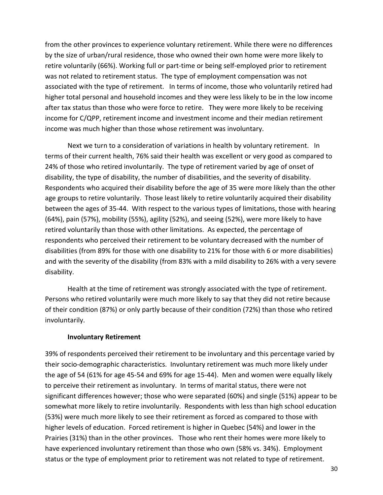from the other provinces to experience voluntary retirement. While there were no differences by the size of urban/rural residence, those who owned their own home were more likely to retire voluntarily (66%). Working full or part‐time or being self‐employed prior to retirement was not related to retirement status. The type of employment compensation was not associated with the type of retirement. In terms of income, those who voluntarily retired had higher total personal and household incomes and they were less likely to be in the low income after tax status than those who were force to retire. They were more likely to be receiving income for C/QPP, retirement income and investment income and their median retirement income was much higher than those whose retirement was involuntary.

Next we turn to a consideration of variations in health by voluntary retirement. In terms of their current health, 76% said their health was excellent or very good as compared to 24% of those who retired involuntarily. The type of retirement varied by age of onset of disability, the type of disability, the number of disabilities, and the severity of disability. Respondents who acquired their disability before the age of 35 were more likely than the other age groups to retire voluntarily. Those least likely to retire voluntarily acquired their disability between the ages of 35-44. With respect to the various types of limitations, those with hearing (64%), pain (57%), mobility (55%), agility (52%), and seeing (52%), were more likely to have retired voluntarily than those with other limitations. As expected, the percentage of respondents who perceived their retirement to be voluntary decreased with the number of disabilities (from 89% for those with one disability to 21% for those with 6 or more disabilities) and with the severity of the disability (from 83% with a mild disability to 26% with a very severe disability.

Health at the time of retirement was strongly associated with the type of retirement. Persons who retired voluntarily were much more likely to say that they did not retire because of their condition (87%) or only partly because of their condition (72%) than those who retired involuntarily.

#### **Involuntary Retirement**

39% of respondents perceived their retirement to be involuntary and this percentage varied by their socio‐demographic characteristics. Involuntary retirement was much more likely under the age of 54 (61% for age 45‐54 and 69% for age 15‐44). Men and women were equally likely to perceive their retirement as involuntary. In terms of marital status, there were not significant differences however; those who were separated (60%) and single (51%) appear to be somewhat more likely to retire involuntarily. Respondents with less than high school education (53%) were much more likely to see their retirement as forced as compared to those with higher levels of education. Forced retirement is higher in Quebec (54%) and lower in the Prairies (31%) than in the other provinces. Those who rent their homes were more likely to have experienced involuntary retirement than those who own (58% vs. 34%). Employment status or the type of employment prior to retirement was not related to type of retirement.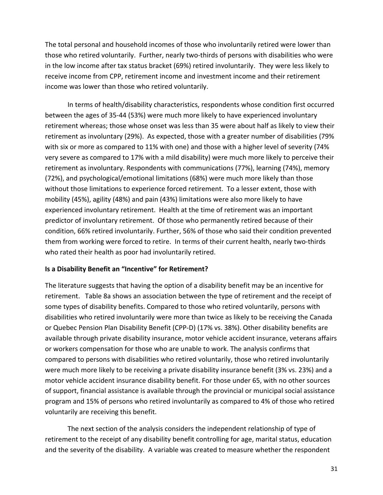The total personal and household incomes of those who involuntarily retired were lower than those who retired voluntarily. Further, nearly two‐thirds of persons with disabilities who were in the low income after tax status bracket (69%) retired involuntarily. They were less likely to receive income from CPP, retirement income and investment income and their retirement income was lower than those who retired voluntarily.

In terms of health/disability characteristics, respondents whose condition first occurred between the ages of 35‐44 (53%) were much more likely to have experienced involuntary retirement whereas; those whose onset was less than 35 were about half as likely to view their retirement as involuntary (29%). As expected, those with a greater number of disabilities (79% with six or more as compared to 11% with one) and those with a higher level of severity (74% very severe as compared to 17% with a mild disability) were much more likely to perceive their retirement as involuntary. Respondents with communications (77%), learning (74%), memory (72%), and psychological/emotional limitations (68%) were much more likely than those without those limitations to experience forced retirement. To a lesser extent, those with mobility (45%), agility (48%) and pain (43%) limitations were also more likely to have experienced involuntary retirement. Health at the time of retirement was an important predictor of involuntary retirement. Of those who permanently retired because of their condition, 66% retired involuntarily. Further, 56% of those who said their condition prevented them from working were forced to retire. In terms of their current health, nearly two‐thirds who rated their health as poor had involuntarily retired.

#### **Is a Disability Benefit an "Incentive" for Retirement?**

The literature suggests that having the option of a disability benefit may be an incentive for retirement. Table 8a shows an association between the type of retirement and the receipt of some types of disability benefits. Compared to those who retired voluntarily, persons with disabilities who retired involuntarily were more than twice as likely to be receiving the Canada or Quebec Pension Plan Disability Benefit (CPP‐D) (17% vs. 38%). Other disability benefits are available through private disability insurance, motor vehicle accident insurance, veterans affairs or workers compensation for those who are unable to work. The analysis confirms that compared to persons with disabilities who retired voluntarily, those who retired involuntarily were much more likely to be receiving a private disability insurance benefit (3% vs. 23%) and a motor vehicle accident insurance disability benefit. For those under 65, with no other sources of support, financial assistance is available through the provincial or municipal social assistance program and 15% of persons who retired involuntarily as compared to 4% of those who retired voluntarily are receiving this benefit.

The next section of the analysis considers the independent relationship of type of retirement to the receipt of any disability benefit controlling for age, marital status, education and the severity of the disability. A variable was created to measure whether the respondent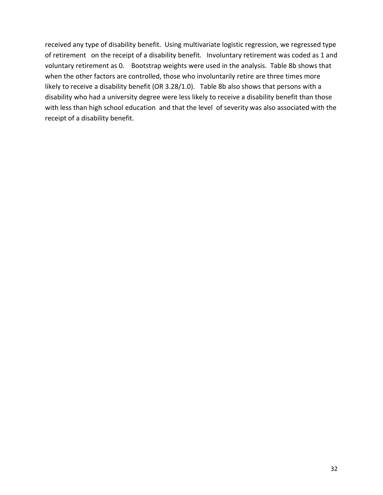received any type of disability benefit. Using multivariate logistic regression, we regressed type of retirement on the receipt of a disability benefit. Involuntary retirement was coded as 1 and voluntary retirement as 0. Bootstrap weights were used in the analysis. Table 8b shows that when the other factors are controlled, those who involuntarily retire are three times more likely to receive a disability benefit (OR 3.28/1.0). Table 8b also shows that persons with a disability who had a university degree were less likely to receive a disability benefit than those with less than high school education and that the level of severity was also associated with the receipt of a disability benefit.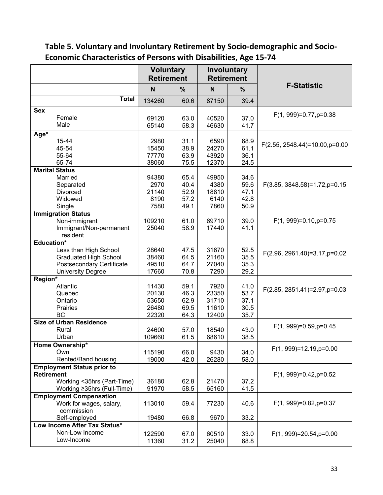**Table 5. Voluntary and Involuntary Retirement by Socio‐demographic and Socio‐ Economic Characteristics of Persons with Disabilities, Age 15‐74**

|                                   | <b>Voluntary</b> | <b>Retirement</b> | <b>Involuntary</b><br><b>Retirement</b> |              |                                      |
|-----------------------------------|------------------|-------------------|-----------------------------------------|--------------|--------------------------------------|
|                                   | N                | $\frac{9}{6}$     | N                                       | $\%$         | <b>F-Statistic</b>                   |
| <b>Total</b>                      | 134260           | 60.6              | 87150                                   | 39.4         |                                      |
| <b>Sex</b>                        |                  |                   |                                         |              | $F(1, 999)=0.77, p=0.38$             |
| Female<br>Male                    | 69120<br>65140   | 63.0<br>58.3      | 40520<br>46630                          | 37.0<br>41.7 |                                      |
| Age*                              |                  |                   |                                         |              |                                      |
| 15-44                             | 2980             | 31.1              | 6590                                    | 68.9         | $F(2.55, 2548.44) = 10.00, p = 0.00$ |
| 45-54                             | 15450            | 38.9              | 24270                                   | 61.1         |                                      |
| 55-64<br>65-74                    | 77770            | 63.9              | 43920                                   | 36.1         |                                      |
| <b>Marital Status</b>             | 38060            | 75.5              | 12370                                   | 24.5         |                                      |
| Married                           | 94380            | 65.4              | 49950                                   | 34.6         |                                      |
| Separated                         | 2970             | 40.4              | 4380                                    | 59.6         | $F(3.85, 3848.58)=1.72$ , p=0.15     |
| <b>Divorced</b>                   | 21140            | 52.9              | 18810                                   | 47.1         |                                      |
| Widowed                           | 8190             | 57.2              | 6140                                    | 42.8         |                                      |
| Single                            | 7580             | 49.1              | 7860                                    | 50.9         |                                      |
| <b>Immigration Status</b>         |                  |                   |                                         |              |                                      |
| Non-immigrant                     | 109210           | 61.0              | 69710                                   | 39.0         | $F(1, 999)=0.10$ , $p=0.75$          |
| Immigrant/Non-permanent           | 25040            | 58.9              | 17440                                   | 41.1         |                                      |
| resident                          |                  |                   |                                         |              |                                      |
| <b>Education*</b>                 |                  |                   |                                         |              |                                      |
| Less than High School             | 28640            | 47.5              | 31670                                   | 52.5         | $F(2.96, 2961.40) = 3.17, p = 0.02$  |
| <b>Graduated High School</b>      | 38460            | 64.5              | 21160                                   | 35.5         |                                      |
| Postsecondary Certificate         | 49510            | 64.7              | 27040                                   | 35.3         |                                      |
| <b>University Degree</b>          | 17660            | 70.8              | 7290                                    | 29.2         |                                      |
| Region*                           |                  |                   |                                         |              |                                      |
| Atlantic                          | 11430            | 59.1              | 7920                                    | 41.0         | F(2.85, 2851.41)=2.97, p=0.03        |
| Quebec                            | 20130            | 46.3              | 23350                                   | 53.7         |                                      |
| Ontario                           | 53650            | 62.9              | 31710                                   | 37.1         |                                      |
| Prairies                          | 26480            | 69.5              | 11610                                   | 30.5         |                                      |
| BC                                | 22320            | 64.3              | 12400                                   | 35.7         |                                      |
| <b>Size of Urban Residence</b>    |                  |                   |                                         |              | $F(1, 999)=0.59$ , p=0.45            |
| Rural                             | 24600            | 57.0              | 18540                                   | 43.0         |                                      |
| Urban                             | 109660           | 61.5              | 68610                                   | 38.5         |                                      |
| Home Ownership*                   |                  |                   |                                         |              | $F(1, 999)=12.19, p=0.00$            |
| Own                               | 115190           | 66.0              | 9430                                    | 34.0         |                                      |
| Rented/Band housing               | 19000            | 42.0              | 26280                                   | 58.0         |                                      |
| <b>Employment Status prior to</b> |                  |                   |                                         |              |                                      |
| <b>Retirement</b>                 |                  |                   |                                         |              | $F(1, 999)=0.42$ , $p=0.52$          |
| Working <35hrs (Part-Time)        | 36180            | 62.8              | 21470                                   | 37.2         |                                      |
| Working ≥35hrs (Full-Time)        | 91970            | 58.5              | 65160                                   | 41.5         |                                      |
| <b>Employment Compensation</b>    |                  |                   |                                         |              |                                      |
| Work for wages, salary,           | 113010           | 59.4              | 77230                                   | 40.6         | $F(1, 999)=0.82$ , p=0.37            |
| commission<br>Self-employed       | 19480            | 66.8              | 9670                                    | 33.2         |                                      |
| Low Income After Tax Status*      |                  |                   |                                         |              |                                      |
| Non-Low Income                    |                  |                   |                                         |              |                                      |
| Low-Income                        | 122590           | 67.0              | 60510                                   | 33.0         | $F(1, 999)=20.54$ , p=0.00           |
|                                   | 11360            | 31.2              | 25040                                   | 68.8         |                                      |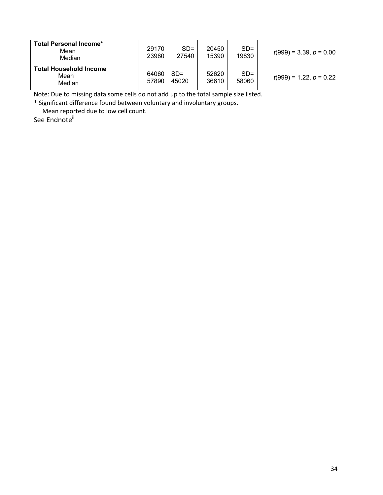| <b>Total Personal Income*</b><br>Mean<br>Median | 29170<br>23980 | $SD =$<br>27540 | 20450<br>15390 | $SD =$<br>19830 | $t(999) = 3.39, p = 0.00$ |
|-------------------------------------------------|----------------|-----------------|----------------|-----------------|---------------------------|
| <b>Total Household Income</b><br>Mean<br>Median | 64060<br>57890 | $SD =$<br>45020 | 52620<br>36610 | $SD =$<br>58060 | $t(999) = 1.22, p = 0.22$ |

Note: Due to missing data some cells do not add up to the total sample size listed.

\* Significant difference found between voluntary and involuntary groups.

Mean reported due to low cell count.

See Endnote<sup>ii</sup>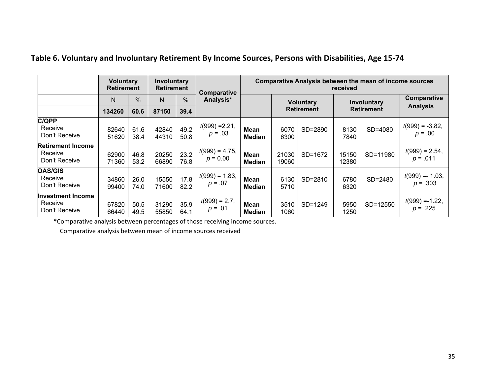|                                                      | <b>Voluntary</b><br><b>Retirement</b> |               | Involuntary<br><b>Retirement</b> |              | Comparative                     | <b>Comparative Analysis between the mean of income sources</b><br>received |                                       |         |                                  |          |                                  |
|------------------------------------------------------|---------------------------------------|---------------|----------------------------------|--------------|---------------------------------|----------------------------------------------------------------------------|---------------------------------------|---------|----------------------------------|----------|----------------------------------|
|                                                      | N                                     | $\frac{0}{0}$ | N                                | $\%$         | Analysis*                       |                                                                            | <b>Voluntary</b><br><b>Retirement</b> |         | Involuntary<br><b>Retirement</b> |          | Comparative                      |
|                                                      | 134260                                | 60.6          | 87150                            | 39.4         |                                 |                                                                            |                                       |         |                                  |          | <b>Analysis</b>                  |
| <b>C/QPP</b><br>Receive<br>Don't Receive             | 82640<br>51620                        | 61.6<br>38.4  | 42840<br>44310                   | 49.2<br>50.8 | $t(999) = 2.21$ ,<br>$p = .03$  | Mean<br>Median                                                             | 6070<br>6300                          | SD=2890 | 8130<br>7840                     | SD=4080  | $t(999) = -3.82$<br>$p = .00$    |
| <b>Retirement Income</b><br>Receive<br>Don't Receive | 62900<br>71360                        | 46.8<br>53.2  | 20250<br>66890                   | 23.2<br>76.8 | $t(999) = 4.75$ ,<br>$p = 0.00$ | Mean<br>Median                                                             | 21030<br>19060                        | SD=1672 | 15150<br>12380                   | SD=11980 | $t(999) = 2.54$ ,<br>$p = .011$  |
| <b>OAS/GIS</b><br>Receive<br>Don't Receive           | 34860<br>99400                        | 26.0<br>74.0  | 15550<br>71600                   | 17.8<br>82.2 | $t(999) = 1.83$<br>$p = .07$    | Mean<br>Median                                                             | 6130<br>5710                          | SD=2810 | 6780<br>6320                     | SD=2480  | $t(999) = -1.03$ ,<br>$p = .303$ |
| Investment Income<br>Receive<br>Don't Receive        | 67820<br>66440                        | 50.5<br>49.5  | 31290<br>55850                   | 35.9<br>64.1 | $t(999) = 2.7$ ,<br>$p = .01$   | <b>Mean</b><br>Median                                                      | 3510<br>1060                          | SD=1249 | 5950<br>1250                     | SD=12550 | $t(999) = -1.22$<br>$p = .225$   |

### **Table 6. Voluntary and Involuntary Retirement By Income Sources, Persons with Disabilities, Age 15‐74**

**\***Comparative analysis between percentages of those receiving income sources.

Comparative analysis between mean of income sources received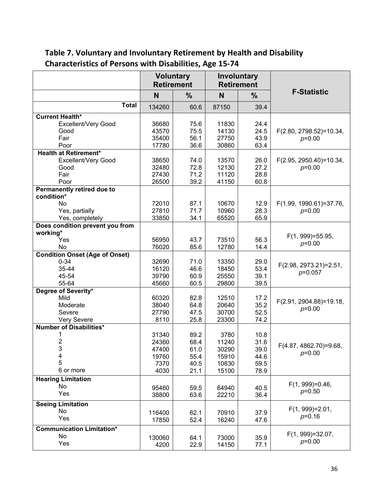|                                                     | <b>Voluntary</b><br><b>Retirement</b> |               | Involuntary    | <b>Retirement</b> |                                    |
|-----------------------------------------------------|---------------------------------------|---------------|----------------|-------------------|------------------------------------|
|                                                     | N                                     | $\frac{0}{0}$ | N              | $\frac{9}{6}$     | <b>F-Statistic</b>                 |
| <b>Total</b>                                        | 134260                                | 60.6          | 87150          | 39.4              |                                    |
| <b>Current Health*</b>                              |                                       |               |                |                   |                                    |
| Excellent/Very Good                                 | 36680                                 | 75.6          | 11830          | 24.4              |                                    |
| Good                                                | 43570                                 | 75.5          | 14130          | 24.5              | F(2.80, 2798.52)=10.34,            |
| Fair                                                | 35400                                 | 56.1          | 27750          | 43.9              | $p=0.00$                           |
| Poor                                                | 17780                                 | 36.6          | 30860          | 63.4              |                                    |
| <b>Health at Retirement*</b><br>Excellent/Very Good | 38650                                 | 74.0          | 13570          | 26.0              | F(2.95, 2950.40)=10.34,            |
| Good                                                | 32480                                 | 72.8          | 12130          | 27.2              | $p=0.00$                           |
| Fair                                                | 27430                                 | 71.2          | 11120          | 28.8              |                                    |
| Poor                                                | 26500                                 | 39.2          | 41150          | 60.8              |                                    |
| <b>Permanently retired due to</b>                   |                                       |               |                |                   |                                    |
| condition*                                          |                                       |               |                |                   |                                    |
| No                                                  | 72010                                 | 87.1          | 10670          | 12.9              | F(1.99, 1990.61)=37.76,            |
| Yes, partially                                      | 27810                                 | 71.7          | 10960          | 28.3              | $p=0.00$                           |
| Yes, completely                                     | 33850                                 | 34.1          | 65520          | 65.9              |                                    |
| Does condition prevent you from                     |                                       |               |                |                   |                                    |
| working*                                            |                                       |               |                |                   | $F(1, 999) = 55.95$                |
| Yes                                                 | 56950                                 | 43.7          | 73510          | 56.3              | $p=0.00$                           |
| No                                                  | 76020                                 | 85.6          | 12780          | 14.4              |                                    |
| <b>Condition Onset (Age of Onset)</b>               |                                       |               |                |                   |                                    |
| $0 - 34$                                            | 32690                                 | 71.0          | 13350          | 29.0              | F(2.98, 2973.21)=2.51,             |
| 35-44                                               | 16120                                 | 46.6          | 18450          | 53.4              | $p=0.057$                          |
| 45-54<br>55-64                                      | 39790<br>45660                        | 60.9<br>60.5  | 25550<br>29800 | 39.1<br>39.5      |                                    |
| Degree of Severity*                                 |                                       |               |                |                   |                                    |
| Mild                                                | 60320                                 | 82.8          | 12510          | 17.2              |                                    |
| Moderate                                            | 38040                                 | 64.8          | 20640          | 35.2              | F(2.91, 2904.88)=19.18,            |
| Severe                                              | 27790                                 | 47.5          | 30700          | 52.5              | $p=0.00$                           |
| Very Severe                                         | 8110                                  | 25.8          | 23300          | 74.2              |                                    |
| <b>Number of Disabilities*</b>                      |                                       |               |                |                   |                                    |
| 1                                                   | 31340                                 | 89.2          | 3780           | 10.8              |                                    |
| $\overline{\mathbf{c}}$                             | 24360                                 | 68.4          | 11240          | 31.6              |                                    |
| 3                                                   | 47400                                 | 61.0          | 30290          | 39.0              | F(4.87, 4862.70)=9.68,<br>$p=0.00$ |
| 4                                                   | 19760                                 | 55.4          | 15910          | 44.6              |                                    |
| 5                                                   | 7370                                  | 40.5          | 10830          | 59.5              |                                    |
| 6 or more                                           | 4030                                  | 21.1          | 15100          | 78.9              |                                    |
| <b>Hearing Limitation</b>                           |                                       |               |                |                   |                                    |
| No                                                  | 95460                                 | 59.5          | 64940          | 40.5              | $F(1, 999)=0.46$ ,<br>$p=0.50$     |
| Yes                                                 | 38800                                 | 63.6          | 22210          | 36.4              |                                    |
| <b>Seeing Limitation</b>                            |                                       |               |                |                   |                                    |
| <b>No</b>                                           | 116400                                | 62.1          | 70910          | 37.9              | $F(1, 999)=2.01,$                  |
| Yes                                                 | 17850                                 | 52.4          | 16240          | 47.6              | $p=0.16$                           |
| <b>Communication Limitation*</b>                    |                                       |               |                |                   |                                    |
| No                                                  | 130060                                | 64.1          | 73000          | 35.9              | $F(1, 999)=32.07$ ,                |
| Yes                                                 | 4200                                  | 22.9          | 14150          | 77.1              | $p=0.00$                           |
|                                                     |                                       |               |                |                   |                                    |

# **Table 7. Voluntary and Involuntary Retirement by Health and Disability Characteristics of Persons with Disabilities, Age 15‐74**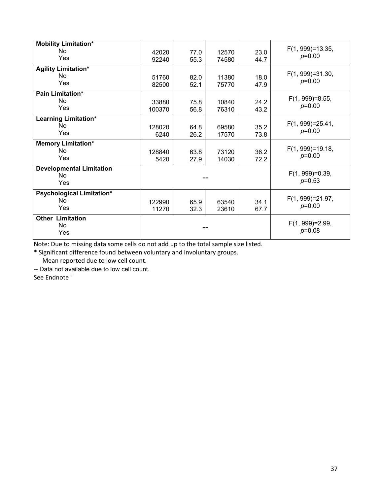| <b>Mobility Limitation*</b><br><b>No</b><br>Yes     | 42020<br>92240  | 77.0<br>55.3 | 12570<br>74580                 | 23.0<br>44.7 | F(1, 999)=13.35,<br>$p=0.00$      |
|-----------------------------------------------------|-----------------|--------------|--------------------------------|--------------|-----------------------------------|
| <b>Agility Limitation*</b><br><b>No</b><br>Yes      | 51760<br>82500  | 82.0<br>52.1 | 11380<br>75770                 | 18.0<br>47.9 | $F(1, 999)=31.30,$<br>$p=0.00$    |
| Pain Limitation*<br><b>No</b><br>Yes                | 33880<br>100370 | 75.8<br>56.8 | 10840<br>76310                 | 24.2<br>43.2 | $F(1, 999)=8.55$ ,<br>$p=0.00$    |
| <b>Learning Limitation*</b><br>No<br>Yes            | 128020<br>6240  | 64.8<br>26.2 | 69580<br>17570                 | 35.2<br>73.8 | $F(1, 999) = 25.41$ ,<br>$p=0.00$ |
| <b>Memory Limitation*</b><br><b>No</b><br>Yes       | 128840<br>5420  | 63.8<br>27.9 | 73120<br>14030                 | 36.2<br>72.2 | $F(1, 999)=19.18,$<br>$p=0.00$    |
| <b>Developmental Limitation</b><br><b>No</b><br>Yes |                 |              |                                |              | $F(1, 999)=0.39,$<br>$p=0.53$     |
| Psychological Limitation*<br><b>No</b><br>Yes       | 122990<br>11270 | 65.9<br>32.3 | 63540<br>23610                 | 34.1<br>67.7 | F(1, 999)=21.97,<br>$p=0.00$      |
| <b>Other Limitation</b><br><b>No</b><br>Yes         |                 |              | $F(1, 999)=2.99$ ,<br>$p=0.08$ |              |                                   |

Note: Due to missing data some cells do not add up to the total sample size listed.

\* Significant difference found between voluntary and involuntary groups.

Mean reported due to low cell count.

‐‐ Data not available due to low cell count.

See Endnote<sup>ii</sup>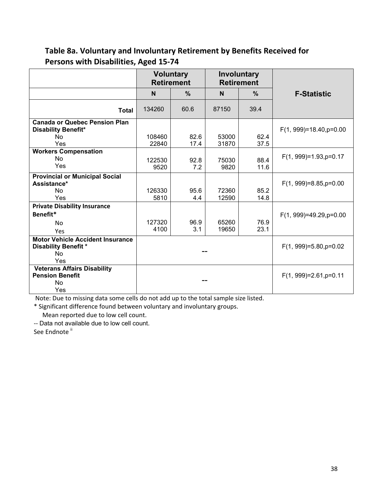## **Table 8a. Voluntary and Involuntary Retirement by Benefits Received for Persons with Disabilities, Aged 15‐74**

|                                                                                                 | <b>Voluntary</b><br><b>Retirement</b> |               |                          | <b>Involuntary</b><br><b>Retirement</b> |                           |
|-------------------------------------------------------------------------------------------------|---------------------------------------|---------------|--------------------------|-----------------------------------------|---------------------------|
|                                                                                                 | N                                     | $\frac{0}{0}$ | N                        | $\frac{0}{0}$                           | <b>F-Statistic</b>        |
| <b>Total</b>                                                                                    | 134260                                | 60.6          | 87150                    | 39.4                                    |                           |
| <b>Canada or Quebec Pension Plan</b><br><b>Disability Benefit*</b><br><b>No</b><br>Yes          | 108460<br>22840                       | 82.6<br>17.4  | 53000<br>31870           | 62.4<br>37.5                            | $F(1, 999)=18.40, p=0.00$ |
| <b>Workers Compensation</b><br>N <sub>o</sub><br>Yes                                            | 122530<br>9520                        | 92.8<br>7.2   | 75030<br>9820            | 88.4<br>11.6                            | $F(1, 999)=1.93, p=0.17$  |
| <b>Provincial or Municipal Social</b><br>Assistance*<br><b>No</b><br>Yes                        | 126330<br>5810                        | 95.6<br>4.4   | 72360<br>12590           | 85.2<br>14.8                            | $F(1, 999)=8.85, p=0.00$  |
| <b>Private Disability Insurance</b><br>Benefit*<br><b>No</b><br>Yes                             | 127320<br>4100                        | 96.9<br>3.1   | 65260<br>19650           | 76.9<br>23.1                            | $F(1, 999)=49.29, p=0.00$ |
| <b>Motor Vehicle Accident Insurance</b><br><b>Disability Benefit *</b><br>N <sub>o</sub><br>Yes |                                       |               | $F(1, 999)=5.80, p=0.02$ |                                         |                           |
| <b>Veterans Affairs Disability</b><br><b>Pension Benefit</b><br>No<br>Yes                       |                                       |               |                          |                                         | $F(1, 999)=2.61, p=0.11$  |

Note: Due to missing data some cells do not add up to the total sample size listed.

\* Significant difference found between voluntary and involuntary groups.

Mean reported due to low cell count.

‐‐ Data not available due to low cell count.

See Endnote<sup>ii</sup>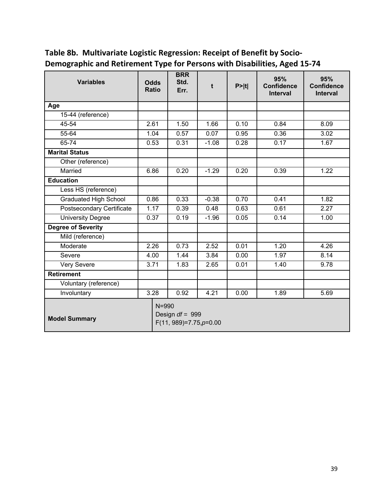| <b>Variables</b>                 | <b>Odds</b><br><b>Ratio</b>                                 |  | <b>BRR</b><br>Std.<br>Err. | t       | P >  t | 95%<br><b>Confidence</b><br><b>Interval</b> | 95%<br><b>Confidence</b><br>Interval |
|----------------------------------|-------------------------------------------------------------|--|----------------------------|---------|--------|---------------------------------------------|--------------------------------------|
| Age                              |                                                             |  |                            |         |        |                                             |                                      |
| 15-44 (reference)                |                                                             |  |                            |         |        |                                             |                                      |
| 45-54                            | 2.61                                                        |  | 1.50                       | 1.66    | 0.10   | 0.84                                        | 8.09                                 |
| 55-64                            | 1.04                                                        |  | 0.57                       | 0.07    | 0.95   | 0.36                                        | 3.02                                 |
| 65-74                            | 0.53                                                        |  | 0.31                       | $-1.08$ | 0.28   | 0.17                                        | 1.67                                 |
| <b>Marital Status</b>            |                                                             |  |                            |         |        |                                             |                                      |
| Other (reference)                |                                                             |  |                            |         |        |                                             |                                      |
| Married                          | 6.86                                                        |  | 0.20                       | $-1.29$ | 0.20   | 0.39                                        | 1.22                                 |
| <b>Education</b>                 |                                                             |  |                            |         |        |                                             |                                      |
| Less HS (reference)              |                                                             |  |                            |         |        |                                             |                                      |
| <b>Graduated High School</b>     | 0.86                                                        |  | 0.33                       | $-0.38$ | 0.70   | 0.41                                        | 1.82                                 |
| <b>Postsecondary Certificate</b> | 1.17                                                        |  | 0.39                       | 0.48    | 0.63   | 0.61                                        | $\overline{2.27}$                    |
| <b>University Degree</b>         | 0.37                                                        |  | 0.19                       | $-1.96$ | 0.05   | 0.14                                        | 1.00                                 |
| <b>Degree of Severity</b>        |                                                             |  |                            |         |        |                                             |                                      |
| Mild (reference)                 |                                                             |  |                            |         |        |                                             |                                      |
| Moderate                         | 2.26                                                        |  | 0.73                       | 2.52    | 0.01   | 1.20                                        | 4.26                                 |
| Severe                           | 4.00                                                        |  | 1.44                       | 3.84    | 0.00   | 1.97                                        | 8.14                                 |
| Very Severe                      | 3.71                                                        |  | 1.83                       | 2.65    | 0.01   | 1.40                                        | 9.78                                 |
| <b>Retirement</b>                |                                                             |  |                            |         |        |                                             |                                      |
| Voluntary (reference)            |                                                             |  |                            |         |        |                                             |                                      |
| Involuntary                      | 3.28                                                        |  | 0.92                       | 4.21    | 0.00   | 1.89                                        | 5.69                                 |
| <b>Model Summary</b>             | $N = 990$<br>Design $df = 999$<br>$F(11, 989)=7.75, p=0.00$ |  |                            |         |        |                                             |                                      |

# **Table 8b. Multivariate Logistic Regression: Receipt of Benefit by Socio‐ Demographic and Retirement Type for Persons with Disabilities, Aged 15‐74**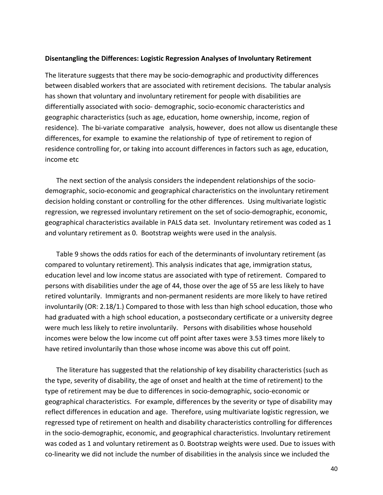#### **Disentangling the Differences: Logistic Regression Analyses of Involuntary Retirement**

The literature suggests that there may be socio‐demographic and productivity differences between disabled workers that are associated with retirement decisions. The tabular analysis has shown that voluntary and involuntary retirement for people with disabilities are differentially associated with socio‐ demographic, socio‐economic characteristics and geographic characteristics (such as age, education, home ownership, income, region of residence). The bi-variate comparative analysis, however, does not allow us disentangle these differences, for example to examine the relationship of type of retirement to region of residence controlling for, or taking into account differences in factors such as age, education, income etc

The next section of the analysis considers the independent relationships of the socio‐ demographic, socio‐economic and geographical characteristics on the involuntary retirement decision holding constant or controlling for the other differences. Using multivariate logistic regression, we regressed involuntary retirement on the set of socio-demographic, economic, geographical characteristics available in PALS data set. Involuntary retirement was coded as 1 and voluntary retirement as 0. Bootstrap weights were used in the analysis.

Table 9 shows the odds ratios for each of the determinants of involuntary retirement (as compared to voluntary retirement). This analysis indicates that age, immigration status, education level and low income status are associated with type of retirement. Compared to persons with disabilities under the age of 44, those over the age of 55 are less likely to have retired voluntarily. Immigrants and non‐permanent residents are more likely to have retired involuntarily (OR: 2.18/1.) Compared to those with less than high school education, those who had graduated with a high school education, a postsecondary certificate or a university degree were much less likely to retire involuntarily. Persons with disabilities whose household incomes were below the low income cut off point after taxes were 3.53 times more likely to have retired involuntarily than those whose income was above this cut off point.

The literature has suggested that the relationship of key disability characteristics (such as the type, severity of disability, the age of onset and health at the time of retirement) to the type of retirement may be due to differences in socio‐demographic, socio‐economic or geographical characteristics. For example, differences by the severity or type of disability may reflect differences in education and age. Therefore, using multivariate logistic regression, we regressed type of retirement on health and disability characteristics controlling for differences in the socio‐demographic, economic, and geographical characteristics. Involuntary retirement was coded as 1 and voluntary retirement as 0. Bootstrap weights were used. Due to issues with co-linearity we did not include the number of disabilities in the analysis since we included the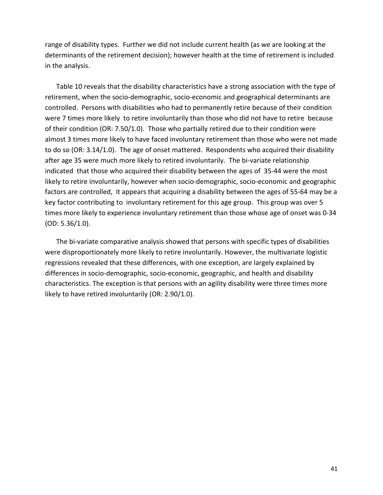range of disability types. Further we did not include current health (as we are looking at the determinants of the retirement decision); however health at the time of retirement is included in the analysis.

Table 10 reveals that the disability characteristics have a strong association with the type of retirement, when the socio‐demographic, socio‐economic and geographical determinants are controlled. Persons with disabilities who had to permanently retire because of their condition were 7 times more likely to retire involuntarily than those who did not have to retire because of their condition (OR: 7.50/1.0). Those who partially retired due to their condition were almost 3 times more likely to have faced involuntary retirement than those who were not made to do so (OR: 3.14/1.0). The age of onset mattered. Respondents who acquired their disability after age 35 were much more likely to retired involuntarily. The bi-variate relationship indicated that those who acquired their disability between the ages of 35‐44 were the most likely to retire involuntarily, however when socio‐demographic, socio‐economic and geographic factors are controlled, it appears that acquiring a disability between the ages of 55‐64 may be a key factor contributing to involuntary retirement for this age group. This group was over 5 times more likely to experience involuntary retirement than those whose age of onset was 0‐34 (OD: 5.36/1.0).

The bi-variate comparative analysis showed that persons with specific types of disabilities were disproportionately more likely to retire involuntarily. However, the multivariate logistic regressions revealed that these differences, with one exception, are largely explained by differences in socio‐demographic, socio‐economic, geographic, and health and disability characteristics. The exception is that persons with an agility disability were three times more likely to have retired involuntarily (OR: 2.90/1.0).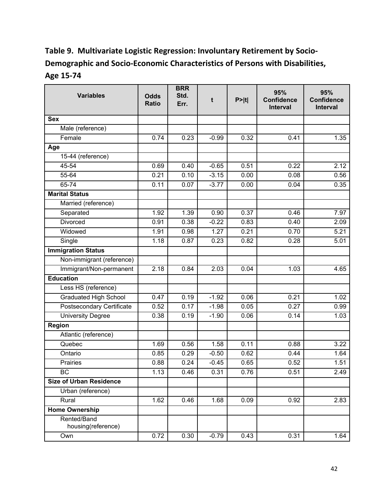# **Table 9. Multivariate Logistic Regression: Involuntary Retirement by Socio‐ Demographic and Socio‐Economic Characteristics of Persons with Disabilities, Age 15‐74**

| <b>Variables</b>                  | <b>Odds</b><br><b>Ratio</b> | <b>BRR</b><br>Std.<br>Err. | t       | P >  t | 95%<br><b>Confidence</b><br><b>Interval</b> | 95%<br><b>Confidence</b><br>Interval |
|-----------------------------------|-----------------------------|----------------------------|---------|--------|---------------------------------------------|--------------------------------------|
| <b>Sex</b>                        |                             |                            |         |        |                                             |                                      |
| Male (reference)                  |                             |                            |         |        |                                             |                                      |
| Female                            | 0.74                        | 0.23                       | $-0.99$ | 0.32   | 0.41                                        | 1.35                                 |
| Age                               |                             |                            |         |        |                                             |                                      |
| 15-44 (reference)                 |                             |                            |         |        |                                             |                                      |
| 45-54                             | 0.69                        | 0.40                       | $-0.65$ | 0.51   | 0.22                                        | 2.12                                 |
| 55-64                             | 0.21                        | 0.10                       | $-3.15$ | 0.00   | 0.08                                        | 0.56                                 |
| $65 - 74$                         | 0.11                        | 0.07                       | $-3.77$ | 0.00   | 0.04                                        | 0.35                                 |
| <b>Marital Status</b>             |                             |                            |         |        |                                             |                                      |
| Married (reference)               |                             |                            |         |        |                                             |                                      |
| Separated                         | 1.92                        | 1.39                       | 0.90    | 0.37   | 0.46                                        | 7.97                                 |
| Divorced                          | 0.91                        | 0.38                       | $-0.22$ | 0.83   | 0.40                                        | 2.09                                 |
| Widowed                           | 1.91                        | 0.98                       | 1.27    | 0.21   | 0.70                                        | 5.21                                 |
| Single                            | 1.18                        | 0.87                       | 0.23    | 0.82   | 0.28                                        | 5.01                                 |
| <b>Immigration Status</b>         |                             |                            |         |        |                                             |                                      |
| Non-immigrant (reference)         |                             |                            |         |        |                                             |                                      |
| Immigrant/Non-permanent           | 2.18                        | 0.84                       | 2.03    | 0.04   | 1.03                                        | 4.65                                 |
| <b>Education</b>                  |                             |                            |         |        |                                             |                                      |
| Less HS (reference)               |                             |                            |         |        |                                             |                                      |
| <b>Graduated High School</b>      | 0.47                        | 0.19                       | $-1.92$ | 0.06   | 0.21                                        | 1.02                                 |
| Postsecondary Certificate         | 0.52                        | 0.17                       | $-1.98$ | 0.05   | 0.27                                        | 0.99                                 |
| <b>University Degree</b>          | 0.38                        | 0.19                       | $-1.90$ | 0.06   | 0.14                                        | 1.03                                 |
| <b>Region</b>                     |                             |                            |         |        |                                             |                                      |
| Atlantic (reference)              |                             |                            |         |        |                                             |                                      |
| Quebec                            | 1.69                        | 0.56                       | 1.58    | 0.11   | 0.88                                        | 3.22                                 |
| Ontario                           | 0.85                        | 0.29                       | $-0.50$ | 0.62   | 0.44                                        | 1.64                                 |
| Prairies                          | 0.88                        | 0.24                       | $-0.45$ | 0.65   | 0.52                                        | 1.51                                 |
| <b>BC</b>                         | 1.13                        | 0.46                       | 0.31    | 0.76   | 0.51                                        | 2.49                                 |
| <b>Size of Urban Residence</b>    |                             |                            |         |        |                                             |                                      |
| Urban (reference)                 |                             |                            |         |        |                                             |                                      |
| Rural                             | 1.62                        | 0.46                       | 1.68    | 0.09   | 0.92                                        | 2.83                                 |
| <b>Home Ownership</b>             |                             |                            |         |        |                                             |                                      |
| Rented/Band<br>housing(reference) |                             |                            |         |        |                                             |                                      |
| Own                               | 0.72                        | 0.30                       | $-0.79$ | 0.43   | 0.31                                        | 1.64                                 |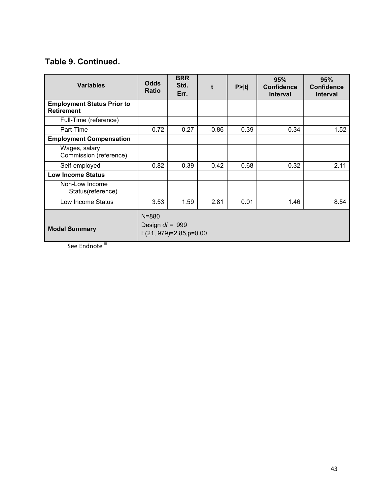## **Table 9. Continued.**

| <b>Variables</b>                                       | <b>Odds</b><br><b>Ratio</b>    | <b>BRR</b><br>Std.<br>Err. |         | P >  t | 95%<br><b>Confidence</b><br><b>Interval</b> | 95%<br><b>Confidence</b><br><b>Interval</b> |
|--------------------------------------------------------|--------------------------------|----------------------------|---------|--------|---------------------------------------------|---------------------------------------------|
| <b>Employment Status Prior to</b><br><b>Retirement</b> |                                |                            |         |        |                                             |                                             |
| Full-Time (reference)                                  |                                |                            |         |        |                                             |                                             |
| Part-Time                                              | 0.72                           | 0.27                       | $-0.86$ | 0.39   | 0.34                                        | 1.52                                        |
| <b>Employment Compensation</b>                         |                                |                            |         |        |                                             |                                             |
| Wages, salary<br>Commission (reference)                |                                |                            |         |        |                                             |                                             |
| Self-employed                                          | 0.82                           | 0.39                       | $-0.42$ | 0.68   | 0.32                                        | 2.11                                        |
| <b>Low Income Status</b>                               |                                |                            |         |        |                                             |                                             |
| Non-Low Income<br>Status(reference)                    |                                |                            |         |        |                                             |                                             |
| Low Income Status                                      | 3.53                           | 1.59                       | 2.81    | 0.01   | 1.46                                        | 8.54                                        |
| <b>Model Summary</b>                                   | $N = 880$<br>Design $df = 999$ | $F(21, 979)=2.85, p=0.00$  |         |        |                                             |                                             |

See Endnote iii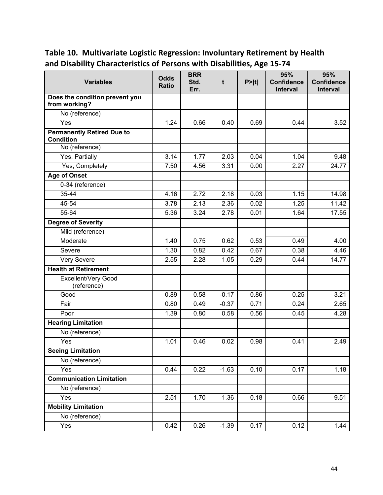| <b>Variables</b>                                      | <b>Odds</b><br><b>Ratio</b> | <b>BRR</b><br>Std.<br>Err. | t       | P >  t | 95%<br><b>Confidence</b><br>Interval | 95%<br><b>Confidence</b><br>Interval |
|-------------------------------------------------------|-----------------------------|----------------------------|---------|--------|--------------------------------------|--------------------------------------|
| Does the condition prevent you<br>from working?       |                             |                            |         |        |                                      |                                      |
| No (reference)                                        |                             |                            |         |        |                                      |                                      |
| Yes                                                   | 1.24                        | 0.66                       | 0.40    | 0.69   | 0.44                                 | 3.52                                 |
| <b>Permanently Retired Due to</b><br><b>Condition</b> |                             |                            |         |        |                                      |                                      |
| No (reference)                                        |                             |                            |         |        |                                      |                                      |
| Yes, Partially                                        | 3.14                        | 1.77                       | 2.03    | 0.04   | 1.04                                 | 9.48                                 |
| Yes, Completely                                       | 7.50                        | 4.56                       | 3.31    | 0.00   | 2.27                                 | 24.77                                |
| <b>Age of Onset</b>                                   |                             |                            |         |        |                                      |                                      |
| 0-34 (reference)                                      |                             |                            |         |        |                                      |                                      |
| $35 - 44$                                             | 4.16                        | 2.72                       | 2.18    | 0.03   | 1.15                                 | 14.98                                |
| 45-54                                                 | 3.78                        | 2.13                       | 2.36    | 0.02   | 1.25                                 | 11.42                                |
| 55-64                                                 | 5.36                        | 3.24                       | 2.78    | 0.01   | 1.64                                 | 17.55                                |
| <b>Degree of Severity</b>                             |                             |                            |         |        |                                      |                                      |
| Mild (reference)                                      |                             |                            |         |        |                                      |                                      |
| Moderate                                              | 1.40                        | 0.75                       | 0.62    | 0.53   | 0.49                                 | 4.00                                 |
| Severe                                                | 1.30                        | 0.82                       | 0.42    | 0.67   | 0.38                                 | 4.46                                 |
| Very Severe                                           | 2.55                        | 2.28                       | 1.05    | 0.29   | 0.44                                 | 14.77                                |
| <b>Health at Retirement</b>                           |                             |                            |         |        |                                      |                                      |
| Excellent/Very Good<br>(reference)                    |                             |                            |         |        |                                      |                                      |
| Good                                                  | 0.89                        | 0.58                       | $-0.17$ | 0.86   | 0.25                                 | 3.21                                 |
| Fair                                                  | 0.80                        | 0.49                       | $-0.37$ | 0.71   | 0.24                                 | 2.65                                 |
| Poor                                                  | 1.39                        | 0.80                       | 0.58    | 0.56   | 0.45                                 | 4.28                                 |
| <b>Hearing Limitation</b>                             |                             |                            |         |        |                                      |                                      |
| No (reference)                                        |                             |                            |         |        |                                      |                                      |
| Yes                                                   | 1.01                        | 0.46                       | 0.02    | 0.98   | 0.41                                 | 2.49                                 |
| <b>Seeing Limitation</b>                              |                             |                            |         |        |                                      |                                      |
| No (reference)                                        |                             |                            |         |        |                                      |                                      |
| Yes                                                   | 0.44                        | $\overline{0.22}$          | $-1.63$ | 0.10   | 0.17                                 | 1.18                                 |
| <b>Communication Limitation</b>                       |                             |                            |         |        |                                      |                                      |
| No (reference)                                        |                             |                            |         |        |                                      |                                      |
| Yes                                                   | 2.51                        | 1.70                       | 1.36    | 0.18   | 0.66                                 | 9.51                                 |
| <b>Mobility Limitation</b>                            |                             |                            |         |        |                                      |                                      |
| No (reference)                                        |                             |                            |         |        |                                      |                                      |
| Yes                                                   | 0.42                        | 0.26                       | $-1.39$ | 0.17   | 0.12                                 | 1.44                                 |

# **Table 10. Multivariate Logistic Regression: Involuntary Retirement by Health and Disability Characteristics of Persons with Disabilities, Age 15‐74**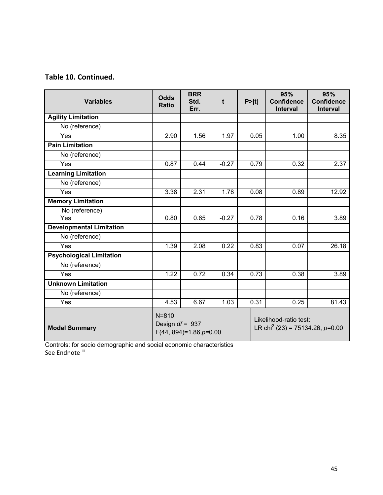## **Table 10. Continued.**

| <b>Variables</b>                | <b>Odds</b><br><b>Ratio</b>    | <b>BRR</b><br>Std.<br>Err. | t       | P >  t | 95%<br><b>Confidence</b><br><b>Interval</b>                             | 95%<br><b>Confidence</b><br><b>Interval</b> |
|---------------------------------|--------------------------------|----------------------------|---------|--------|-------------------------------------------------------------------------|---------------------------------------------|
| <b>Agility Limitation</b>       |                                |                            |         |        |                                                                         |                                             |
| No (reference)                  |                                |                            |         |        |                                                                         |                                             |
| Yes                             | 2.90                           | 1.56                       | 1.97    | 0.05   | 1.00                                                                    | 8.35                                        |
| <b>Pain Limitation</b>          |                                |                            |         |        |                                                                         |                                             |
| No (reference)                  |                                |                            |         |        |                                                                         |                                             |
| Yes                             | 0.87                           | 0.44                       | $-0.27$ | 0.79   | 0.32                                                                    | 2.37                                        |
| <b>Learning Limitation</b>      |                                |                            |         |        |                                                                         |                                             |
| No (reference)                  |                                |                            |         |        |                                                                         |                                             |
| Yes                             | 3.38                           | 2.31                       | 1.78    | 0.08   | 0.89                                                                    | 12.92                                       |
| <b>Memory Limitation</b>        |                                |                            |         |        |                                                                         |                                             |
| No (reference)                  |                                |                            |         |        |                                                                         |                                             |
| Yes                             | 0.80                           | 0.65                       | $-0.27$ | 0.78   | 0.16                                                                    | 3.89                                        |
| <b>Developmental Limitation</b> |                                |                            |         |        |                                                                         |                                             |
| No (reference)                  |                                |                            |         |        |                                                                         |                                             |
| Yes                             | 1.39                           | 2.08                       | 0.22    | 0.83   | 0.07                                                                    | 26.18                                       |
| <b>Psychological Limitation</b> |                                |                            |         |        |                                                                         |                                             |
| No (reference)                  |                                |                            |         |        |                                                                         |                                             |
| Yes                             | 1.22                           | 0.72                       | 0.34    | 0.73   | 0.38                                                                    | 3.89                                        |
| <b>Unknown Limitation</b>       |                                |                            |         |        |                                                                         |                                             |
| No (reference)                  |                                |                            |         |        |                                                                         |                                             |
| Yes                             | 4.53                           | 6.67                       | 1.03    | 0.31   | 0.25                                                                    | 81.43                                       |
| <b>Model Summary</b>            | $N = 810$<br>Design $df = 937$ | $F(44, 894)=1.86, p=0.00$  |         |        | Likelihood-ratio test:<br>LR chi <sup>2</sup> (23) = 75134.26, $p=0.00$ |                                             |

Controls: for socio demographic and social economic characteristics See Endnote <sup>iii</sup>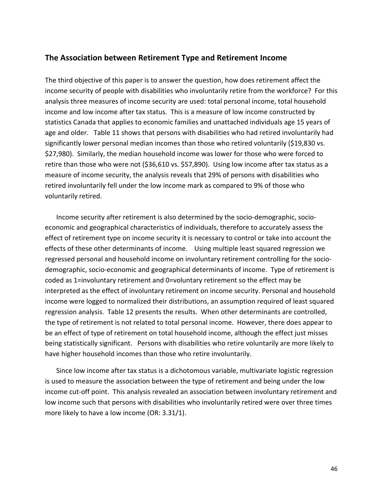### **The Association between Retirement Type and Retirement Income**

The third objective of this paper is to answer the question, how does retirement affect the income security of people with disabilities who involuntarily retire from the workforce? For this analysis three measures of income security are used: total personal income, total household income and low income after tax status. This is a measure of low income constructed by statistics Canada that applies to economic families and unattached individuals age 15 years of age and older. Table 11 shows that persons with disabilities who had retired involuntarily had significantly lower personal median incomes than those who retired voluntarily (\$19,830 vs. \$27,980). Similarly, the median household income was lower for those who were forced to retire than those who were not (\$36,610 vs. \$57,890). Using low income after tax status as a measure of income security, the analysis reveals that 29% of persons with disabilities who retired involuntarily fell under the low income mark as compared to 9% of those who voluntarily retired.

Income security after retirement is also determined by the socio‐demographic, socio‐ economic and geographical characteristics of individuals, therefore to accurately assess the effect of retirement type on income security it is necessary to control or take into account the effects of these other determinants of income. Using multiple least squared regression we regressed personal and household income on involuntary retirement controlling for the socio‐ demographic, socio‐economic and geographical determinants of income. Type of retirement is coded as 1=involuntary retirement and 0=voluntary retirement so the effect may be interpreted as the effect of involuntary retirement on income security. Personal and household income were logged to normalized their distributions, an assumption required of least squared regression analysis. Table 12 presents the results. When other determinants are controlled, the type of retirement is not related to total personal income. However, there does appear to be an effect of type of retirement on total household income, although the effect just misses being statistically significant. Persons with disabilities who retire voluntarily are more likely to have higher household incomes than those who retire involuntarily.

Since low income after tax status is a dichotomous variable, multivariate logistic regression is used to measure the association between the type of retirement and being under the low income cut-off point. This analysis revealed an association between involuntary retirement and low income such that persons with disabilities who involuntarily retired were over three times more likely to have a low income (OR: 3.31/1).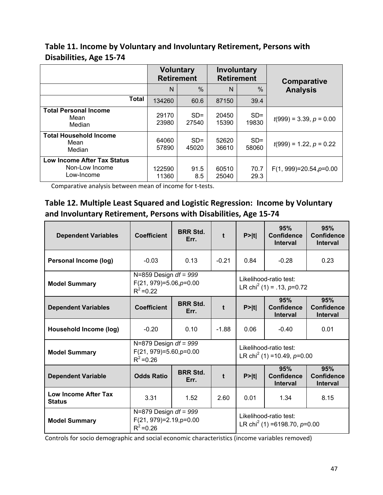## **Table 11. Income by Voluntary and Involuntary Retirement, Persons with Disabilities, Age 15‐74**

|                                                                    | <b>Voluntary</b><br><b>Retirement</b> |                 | Involuntary<br><b>Retirement</b> |                 | Comparative<br><b>Analysis</b> |  |
|--------------------------------------------------------------------|---------------------------------------|-----------------|----------------------------------|-----------------|--------------------------------|--|
|                                                                    | $\%$<br>N                             |                 | N                                | $\%$            |                                |  |
| <b>Total</b>                                                       | 134260                                | 60.6            | 87150                            | 39.4            |                                |  |
| <b>Total Personal Income</b><br>Mean<br>Median                     | 29170<br>23980                        | $SD =$<br>27540 | 20450<br>15390                   | $SD =$<br>19830 | $t(999) = 3.39, p = 0.00$      |  |
| <b>Total Household Income</b><br>Mean<br>Median                    | 64060<br>57890                        | $SD =$<br>45020 | 52620<br>36610                   | $SD =$<br>58060 | $t(999) = 1.22, p = 0.22$      |  |
| <b>Low Income After Tax Status</b><br>Non-Low Income<br>Low-Income | 122590<br>11360                       | 91.5<br>8.5     | 60510<br>25040                   | 70.7<br>29.3    | $F(1, 999)=20.54, p=0.00$      |  |

Comparative analysis between mean of income for t‐tests.

## **Table 12. Multiple Least Squared and Logistic Regression: Income by Voluntary and Involuntary Retirement, Persons with Disabilities, Age 15‐74**

| <b>Dependent Variables</b>            | <b>Coefficient</b>                                                      | <b>BRR Std.</b><br>Err. | $\ddagger$ | P >  t                                                               | 95%<br><b>Confidence</b><br><b>Interval</b> | 95%<br><b>Confidence</b><br><b>Interval</b> |
|---------------------------------------|-------------------------------------------------------------------------|-------------------------|------------|----------------------------------------------------------------------|---------------------------------------------|---------------------------------------------|
| Personal Income (log)                 | $-0.03$                                                                 | 0.13                    | $-0.21$    | 0.84                                                                 | $-0.28$                                     | 0.23                                        |
| <b>Model Summary</b>                  | N=859 Design $df = 999$<br>$F(21, 979)=5.06, p=0.00$<br>$R^2 = 0.22$    |                         |            | Likelihood-ratio test:<br>LR chi <sup>2</sup> (1) = .13, $p=0.72$    |                                             |                                             |
| <b>Dependent Variables</b>            | <b>Coefficient</b>                                                      | <b>BRR Std.</b><br>Err. | t          | P >  t                                                               | 95%<br><b>Confidence</b><br><b>Interval</b> | 95%<br><b>Confidence</b><br><b>Interval</b> |
| Household Income (log)                | $-0.20$                                                                 | 0.10                    | $-1.88$    | 0.06                                                                 | $-0.40$                                     | 0.01                                        |
| <b>Model Summary</b>                  | N=879 Design $df = 999$<br>$F(21, 979)=5.60, p=0.00$<br>$R^2 = 0.26$    |                         |            | Likelihood-ratio test:<br>LR chi <sup>2</sup> (1) = 10.49, $p=0.00$  |                                             |                                             |
| <b>Dependent Variable</b>             | <b>Odds Ratio</b>                                                       | <b>BRR Std.</b><br>Err. | t          | P >  t                                                               | 95%<br><b>Confidence</b><br><b>Interval</b> | 95%<br><b>Confidence</b><br><b>Interval</b> |
| Low Income After Tax<br><b>Status</b> | 3.31                                                                    | 1.52                    | 2.60       | 0.01                                                                 | 1.34                                        | 8.15                                        |
| <b>Model Summary</b>                  | N=879 Design $df = 999$<br>$F(21, 979)=2.19$ , $p=0.00$<br>$R^2 = 0.26$ |                         |            | Likelihood-ratio test:<br>LR chi <sup>2</sup> (1) =6198.70, $p=0.00$ |                                             |                                             |

Controls for socio demographic and social economic characteristics (income variables removed)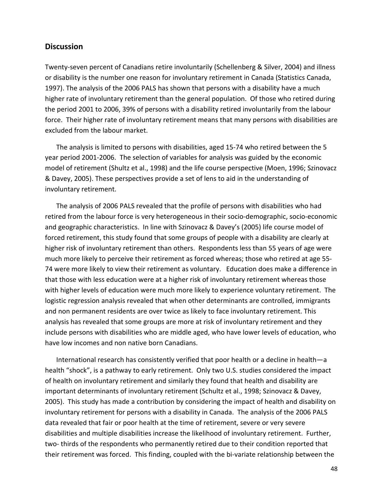### **Discussion**

Twenty‐seven percent of Canadians retire involuntarily (Schellenberg & Silver, 2004) and illness or disability is the number one reason for involuntary retirement in Canada (Statistics Canada, 1997). The analysis of the 2006 PALS has shown that persons with a disability have a much higher rate of involuntary retirement than the general population. Of those who retired during the period 2001 to 2006, 39% of persons with a disability retired involuntarily from the labour force. Their higher rate of involuntary retirement means that many persons with disabilities are excluded from the labour market.

The analysis is limited to persons with disabilities, aged 15‐74 who retired between the 5 year period 2001‐2006. The selection of variables for analysis was guided by the economic model of retirement (Shultz et al., 1998) and the life course perspective (Moen, 1996; Szinovacz & Davey, 2005). These perspectives provide a set of lens to aid in the understanding of involuntary retirement.

The analysis of 2006 PALS revealed that the profile of persons with disabilities who had retired from the labour force is very heterogeneous in their socio‐demographic, socio‐economic and geographic characteristics. In line with Szinovacz & Davey's (2005) life course model of forced retirement, this study found that some groups of people with a disability are clearly at higher risk of involuntary retirement than others. Respondents less than 55 years of age were much more likely to perceive their retirement as forced whereas; those who retired at age 55‐ 74 were more likely to view their retirement as voluntary. Education does make a difference in that those with less education were at a higher risk of involuntary retirement whereas those with higher levels of education were much more likely to experience voluntary retirement. The logistic regression analysis revealed that when other determinants are controlled, immigrants and non permanent residents are over twice as likely to face involuntary retirement. This analysis has revealed that some groups are more at risk of involuntary retirement and they include persons with disabilities who are middle aged, who have lower levels of education, who have low incomes and non native born Canadians.

International research has consistently verified that poor health or a decline in health—a health "shock", is a pathway to early retirement. Only two U.S. studies considered the impact of health on involuntary retirement and similarly they found that health and disability are important determinants of involuntary retirement (Schultz et al., 1998; Szinovacz & Davey, 2005). This study has made a contribution by considering the impact of health and disability on involuntary retirement for persons with a disability in Canada. The analysis of the 2006 PALS data revealed that fair or poor health at the time of retirement, severe or very severe disabilities and multiple disabilities increase the likelihood of involuntary retirement. Further, two‐ thirds of the respondents who permanently retired due to their condition reported that their retirement was forced. This finding, coupled with the bi‐variate relationship between the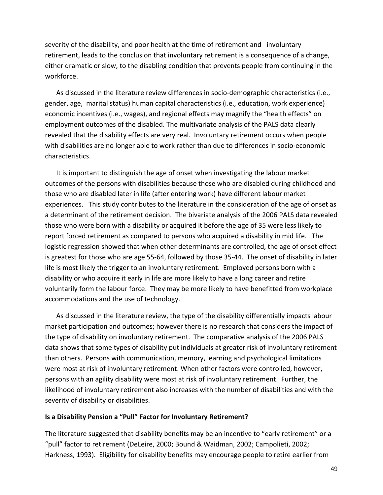severity of the disability, and poor health at the time of retirement and involuntary retirement, leads to the conclusion that involuntary retirement is a consequence of a change, either dramatic or slow, to the disabling condition that prevents people from continuing in the workforce.

As discussed in the literature review differences in socio-demographic characteristics (i.e., gender, age, marital status) human capital characteristics (i.e., education, work experience) economic incentives (i.e., wages), and regional effects may magnify the "health effects" on employment outcomes of the disabled. The multivariate analysis of the PALS data clearly revealed that the disability effects are very real. Involuntary retirement occurs when people with disabilities are no longer able to work rather than due to differences in socio‐economic characteristics.

It is important to distinguish the age of onset when investigating the labour market outcomes of the persons with disabilities because those who are disabled during childhood and those who are disabled later in life (after entering work) have different labour market experiences. This study contributes to the literature in the consideration of the age of onset as a determinant of the retirement decision. The bivariate analysis of the 2006 PALS data revealed those who were born with a disability or acquired it before the age of 35 were less likely to report forced retirement as compared to persons who acquired a disability in mid life. The logistic regression showed that when other determinants are controlled, the age of onset effect is greatest for those who are age 55‐64, followed by those 35‐44. The onset of disability in later life is most likely the trigger to an involuntary retirement. Employed persons born with a disability or who acquire it early in life are more likely to have a long career and retire voluntarily form the labour force. They may be more likely to have benefitted from workplace accommodations and the use of technology.

As discussed in the literature review, the type of the disability differentially impacts labour market participation and outcomes; however there is no research that considers the impact of the type of disability on involuntary retirement. The comparative analysis of the 2006 PALS data shows that some types of disability put individuals at greater risk of involuntary retirement than others. Persons with communication, memory, learning and psychological limitations were most at risk of involuntary retirement. When other factors were controlled, however, persons with an agility disability were most at risk of involuntary retirement. Further, the likelihood of involuntary retirement also increases with the number of disabilities and with the severity of disability or disabilities.

#### **Is a Disability Pension a "Pull" Factor for Involuntary Retirement?**

The literature suggested that disability benefits may be an incentive to "early retirement" or a "pull" factor to retirement (DeLeire, 2000; Bound & Waidman, 2002; Campolieti, 2002; Harkness, 1993). Eligibility for disability benefits may encourage people to retire earlier from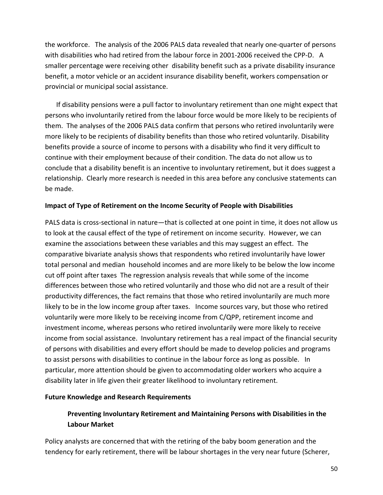the workforce. The analysis of the 2006 PALS data revealed that nearly one‐quarter of persons with disabilities who had retired from the labour force in 2001‐2006 received the CPP‐D. A smaller percentage were receiving other disability benefit such as a private disability insurance benefit, a motor vehicle or an accident insurance disability benefit, workers compensation or provincial or municipal social assistance.

If disability pensions were a pull factor to involuntary retirement than one might expect that persons who involuntarily retired from the labour force would be more likely to be recipients of them. The analyses of the 2006 PALS data confirm that persons who retired involuntarily were more likely to be recipients of disability benefits than those who retired voluntarily. Disability benefits provide a source of income to persons with a disability who find it very difficult to continue with their employment because of their condition. The data do not allow us to conclude that a disability benefit is an incentive to involuntary retirement, but it does suggest a relationship. Clearly more research is needed in this area before any conclusive statements can be made.

### **Impact of Type of Retirement on the Income Security of People with Disabilities**

PALS data is cross‐sectional in nature—that is collected at one point in time, it does not allow us to look at the causal effect of the type of retirement on income security. However, we can examine the associations between these variables and this may suggest an effect. The comparative bivariate analysis shows that respondents who retired involuntarily have lower total personal and median household incomes and are more likely to be below the low income cut off point after taxes The regression analysis reveals that while some of the income differences between those who retired voluntarily and those who did not are a result of their productivity differences, the fact remains that those who retired involuntarily are much more likely to be in the low income group after taxes. Income sources vary, but those who retired voluntarily were more likely to be receiving income from C/QPP, retirement income and investment income, whereas persons who retired involuntarily were more likely to receive income from social assistance. Involuntary retirement has a real impact of the financial security of persons with disabilities and every effort should be made to develop policies and programs to assist persons with disabilities to continue in the labour force as long as possible. In particular, more attention should be given to accommodating older workers who acquire a disability later in life given their greater likelihood to involuntary retirement.

#### **Future Knowledge and Research Requirements**

## **Preventing Involuntary Retirement and Maintaining Persons with Disabilities in the Labour Market**

Policy analysts are concerned that with the retiring of the baby boom generation and the tendency for early retirement, there will be labour shortages in the very near future (Scherer,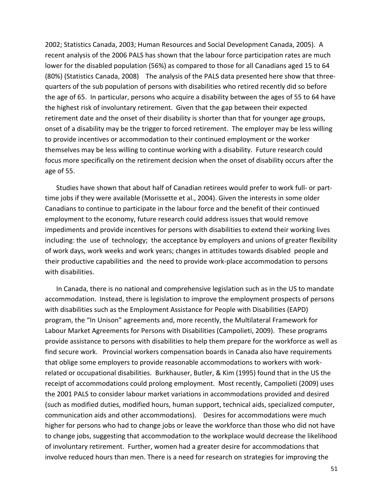2002; Statistics Canada, 2003; Human Resources and Social Development Canada, 2005). A recent analysis of the 2006 PALS has shown that the labour force participation rates are much lower for the disabled population (56%) as compared to those for all Canadians aged 15 to 64 (80%) (Statistics Canada, 2008) The analysis of the PALS data presented here show that three‐ quarters of the sub population of persons with disabilities who retired recently did so before the age of 65. In particular, persons who acquire a disability between the ages of 55 to 64 have the highest risk of involuntary retirement. Given that the gap between their expected retirement date and the onset of their disability is shorter than that for younger age groups, onset of a disability may be the trigger to forced retirement. The employer may be less willing to provide incentives or accommodation to their continued employment or the worker themselves may be less willing to continue working with a disability. Future research could focus more specifically on the retirement decision when the onset of disability occurs after the age of 55.

Studies have shown that about half of Canadian retirees would prefer to work full‐ or part‐ time jobs if they were available (Morissette et al., 2004). Given the interests in some older Canadians to continue to participate in the labour force and the benefit of their continued employment to the economy, future research could address issues that would remove impediments and provide incentives for persons with disabilities to extend their working lives including: the use of technology; the acceptance by employers and unions of greater flexibility of work days, work weeks and work years; changes in attitudes towards disabled people and their productive capabilities and the need to provide work‐place accommodation to persons with disabilities.

In Canada, there is no national and comprehensive legislation such as in the US to mandate accommodation. Instead, there is legislation to improve the employment prospects of persons with disabilities such as the Employment Assistance for People with Disabilities (EAPD) program, the "In Unison" agreements and, more recently, the Multilateral Framework for Labour Market Agreements for Persons with Disabilities (Campolieti, 2009). These programs provide assistance to persons with disabilities to help them prepare for the workforce as well as find secure work. Provincial workers compensation boards in Canada also have requirements that oblige some employers to provide reasonable accommodations to workers with work‐ related or occupational disabilities. Burkhauser, Butler, & Kim (1995) found that in the US the receipt of accommodations could prolong employment. Most recently, Campolieti (2009) uses the 2001 PALS to consider labour market variations in accommodations provided and desired (such as modified duties, modified hours, human support, technical aids, specialized computer, communication aids and other accommodations). Desires for accommodations were much higher for persons who had to change jobs or leave the workforce than those who did not have to change jobs, suggesting that accommodation to the workplace would decrease the likelihood of involuntary retirement. Further, women had a greater desire for accommodations that involve reduced hours than men. There is a need for research on strategies for improving the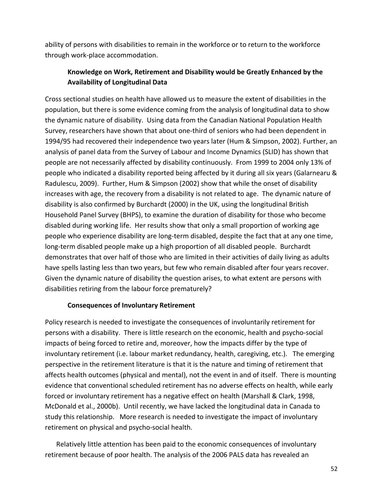ability of persons with disabilities to remain in the workforce or to return to the workforce through work‐place accommodation.

## **Knowledge on Work, Retirement and Disability would be Greatly Enhanced by the Availability of Longitudinal Data**

Cross sectional studies on health have allowed us to measure the extent of disabilities in the population, but there is some evidence coming from the analysis of longitudinal data to show the dynamic nature of disability. Using data from the Canadian National Population Health Survey, researchers have shown that about one‐third of seniors who had been dependent in 1994/95 had recovered their independence two years later (Hum & Simpson, 2002). Further, an analysis of panel data from the Survey of Labour and Income Dynamics (SLID) has shown that people are not necessarily affected by disability continuously. From 1999 to 2004 only 13% of people who indicated a disability reported being affected by it during all six years (Galarnearu & Radulescu, 2009). Further, Hum & Simpson (2002) show that while the onset of disability increases with age, the recovery from a disability is not related to age. The dynamic nature of disability is also confirmed by Burchardt (2000) in the UK, using the longitudinal British Household Panel Survey (BHPS), to examine the duration of disability for those who become disabled during working life. Her results show that only a small proportion of working age people who experience disability are long‐term disabled, despite the fact that at any one time, long‐term disabled people make up a high proportion of all disabled people. Burchardt demonstrates that over half of those who are limited in their activities of daily living as adults have spells lasting less than two years, but few who remain disabled after four years recover. Given the dynamic nature of disability the question arises, to what extent are persons with disabilities retiring from the labour force prematurely?

### **Consequences of Involuntary Retirement**

Policy research is needed to investigate the consequences of involuntarily retirement for persons with a disability. There is little research on the economic, health and psycho‐social impacts of being forced to retire and, moreover, how the impacts differ by the type of involuntary retirement (i.e. labour market redundancy, health, caregiving, etc.). The emerging perspective in the retirement literature is that it is the nature and timing of retirement that affects health outcomes (physical and mental), not the event in and of itself. There is mounting evidence that conventional scheduled retirement has no adverse effects on health, while early forced or involuntary retirement has a negative effect on health (Marshall & Clark, 1998, McDonald et al., 2000b). Until recently, we have lacked the longitudinal data in Canada to study this relationship. More research is needed to investigate the impact of involuntary retirement on physical and psycho‐social health.

Relatively little attention has been paid to the economic consequences of involuntary retirement because of poor health. The analysis of the 2006 PALS data has revealed an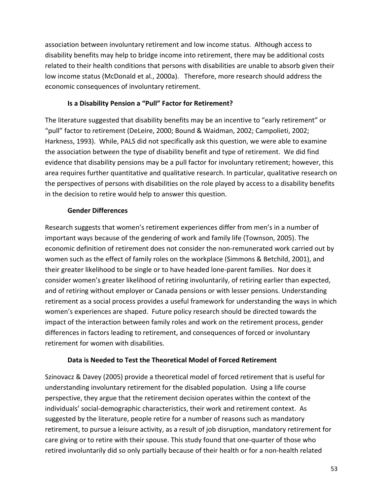association between involuntary retirement and low income status. Although access to disability benefits may help to bridge income into retirement, there may be additional costs related to their health conditions that persons with disabilities are unable to absorb given their low income status (McDonald et al., 2000a). Therefore, more research should address the economic consequences of involuntary retirement.

## **Is a Disability Pension a "Pull" Factor for Retirement?**

The literature suggested that disability benefits may be an incentive to "early retirement" or "pull" factor to retirement (DeLeire, 2000; Bound & Waidman, 2002; Campolieti, 2002; Harkness, 1993). While, PALS did not specifically ask this question, we were able to examine the association between the type of disability benefit and type of retirement. We did find evidence that disability pensions may be a pull factor for involuntary retirement; however, this area requires further quantitative and qualitative research. In particular, qualitative research on the perspectives of persons with disabilities on the role played by access to a disability benefits in the decision to retire would help to answer this question.

## **Gender Differences**

Research suggests that women's retirement experiences differ from men's in a number of important ways because of the gendering of work and family life (Townson, 2005). The economic definition of retirement does not consider the non-remunerated work carried out by women such as the effect of family roles on the workplace (Simmons & Betchild, 2001), and their greater likelihood to be single or to have headed lone‐parent families. Nor does it consider women's greater likelihood of retiring involuntarily, of retiring earlier than expected, and of retiring without employer or Canada pensions or with lesser pensions. Understanding retirement as a social process provides a useful framework for understanding the ways in which women's experiences are shaped. Future policy research should be directed towards the impact of the interaction between family roles and work on the retirement process, gender differences in factors leading to retirement, and consequences of forced or involuntary retirement for women with disabilities.

## **Data is Needed to Test the Theoretical Model of Forced Retirement**

Szinovacz & Davey (2005) provide a theoretical model of forced retirement that is useful for understanding involuntary retirement for the disabled population. Using a life course perspective, they argue that the retirement decision operates within the context of the individuals' social‐demographic characteristics, their work and retirement context. As suggested by the literature, people retire for a number of reasons such as mandatory retirement, to pursue a leisure activity, as a result of job disruption, mandatory retirement for care giving or to retire with their spouse. This study found that one‐quarter of those who retired involuntarily did so only partially because of their health or for a non‐health related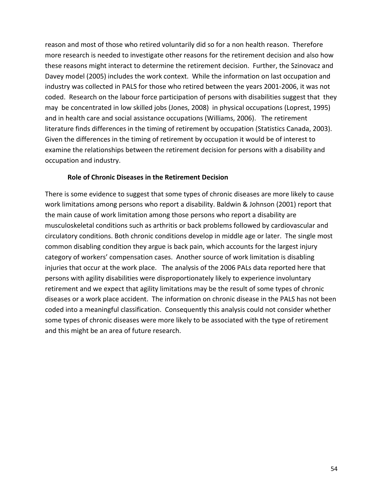reason and most of those who retired voluntarily did so for a non health reason. Therefore more research is needed to investigate other reasons for the retirement decision and also how these reasons might interact to determine the retirement decision. Further, the Szinovacz and Davey model (2005) includes the work context. While the information on last occupation and industry was collected in PALS for those who retired between the years 2001‐2006, it was not coded. Research on the labour force participation of persons with disabilities suggest that they may be concentrated in low skilled jobs (Jones, 2008) in physical occupations (Loprest, 1995) and in health care and social assistance occupations (Williams, 2006). The retirement literature finds differences in the timing of retirement by occupation (Statistics Canada, 2003). Given the differences in the timing of retirement by occupation it would be of interest to examine the relationships between the retirement decision for persons with a disability and occupation and industry.

### **Role of Chronic Diseases in the Retirement Decision**

There is some evidence to suggest that some types of chronic diseases are more likely to cause work limitations among persons who report a disability. Baldwin & Johnson (2001) report that the main cause of work limitation among those persons who report a disability are musculoskeletal conditions such as arthritis or back problems followed by cardiovascular and circulatory conditions. Both chronic conditions develop in middle age or later. The single most common disabling condition they argue is back pain, which accounts for the largest injury category of workers' compensation cases. Another source of work limitation is disabling injuries that occur at the work place. The analysis of the 2006 PALs data reported here that persons with agility disabilities were disproportionately likely to experience involuntary retirement and we expect that agility limitations may be the result of some types of chronic diseases or a work place accident. The information on chronic disease in the PALS has not been coded into a meaningful classification. Consequently this analysis could not consider whether some types of chronic diseases were more likely to be associated with the type of retirement and this might be an area of future research.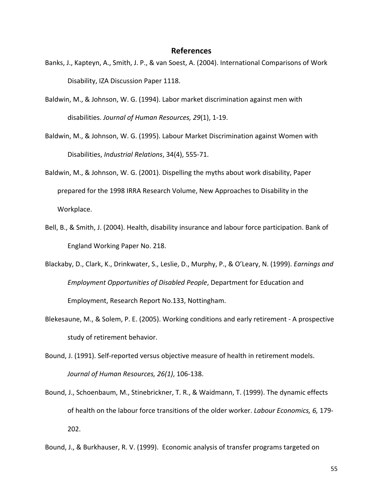#### **References**

- Banks, J., Kapteyn, A., Smith, J. P., & van Soest, A. (2004). International Comparisons of Work Disability, IZA Discussion Paper 1118.
- Baldwin, M., & Johnson, W. G. (1994). Labor market discrimination against men with disabilities. *Journal of Human Resources, 29*(1), 1‐19.
- Baldwin, M., & Johnson, W. G. (1995). Labour Market Discrimination against Women with Disabilities, *Industrial Relations*, 34(4), 555‐71.
- Baldwin, M., & Johnson, W. G. (2001). Dispelling the myths about work disability, Paper prepared for the 1998 IRRA Research Volume, New Approaches to Disability in the Workplace.
- Bell, B., & Smith, J. (2004). Health, disability insurance and labour force participation. Bank of England Working Paper No. 218.
- Blackaby, D., Clark, K., Drinkwater, S., Leslie, D., Murphy, P., & O'Leary, N. (1999). *Earnings and Employment Opportunities of Disabled People*, Department for Education and Employment, Research Report No.133, Nottingham.
- Blekesaune, M., & Solem, P. E. (2005). Working conditions and early retirement ‐ A prospective study of retirement behavior.
- Bound, J. (1991). Self-reported versus objective measure of health in retirement models. *Journal of Human Resources, 26(1)*, 106‐138.
- Bound, J., Schoenbaum, M., Stinebrickner, T. R., & Waidmann, T. (1999). The dynamic effects of health on the labour force transitions of the older worker. *Labour Economics, 6,* 179‐ 202.

Bound, J., & Burkhauser, R. V. (1999). Economic analysis of transfer programs targeted on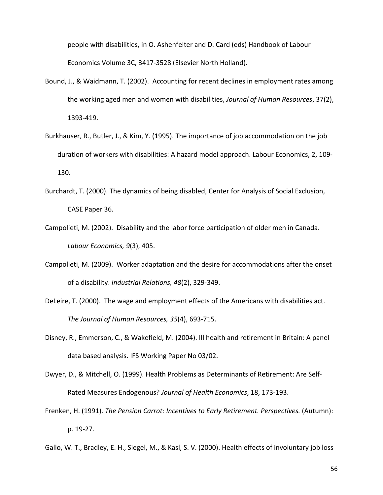people with disabilities, in O. Ashenfelter and D. Card (eds) Handbook of Labour Economics Volume 3C, 3417‐3528 (Elsevier North Holland).

- Bound, J., & Waidmann, T. (2002). Accounting for recent declines in employment rates among the working aged men and women with disabilities, *Journal of Human Resources*, 37(2), 1393‐419.
- Burkhauser, R., Butler, J., & Kim, Y. (1995). The importance of job accommodation on the job duration of workers with disabilities: A hazard model approach. Labour Economics, 2, 109‐ 130.
- Burchardt, T. (2000). The dynamics of being disabled, Center for Analysis of Social Exclusion, CASE Paper 36.
- Campolieti, M. (2002). Disability and the labor force participation of older men in Canada. *Labour Economics, 9*(3), 405.
- Campolieti, M. (2009). Worker adaptation and the desire for accommodations after the onset of a disability. *Industrial Relations, 48*(2), 329‐349.
- DeLeire, T. (2000). The wage and employment effects of the Americans with disabilities act. *The Journal of Human Resources, 35*(4), 693‐715.
- Disney, R., Emmerson, C., & Wakefield, M. (2004). Ill health and retirement in Britain: A panel data based analysis. IFS Working Paper No 03/02.
- Dwyer, D., & Mitchell, O. (1999). Health Problems as Determinants of Retirement: Are Self‐ Rated Measures Endogenous? *Journal of Health Economics*, 18, 173‐193.
- Frenken, H. (1991). *The Pension Carrot: Incentives to Early Retirement. Perspectives.* (Autumn): p. 19‐27.
- Gallo, W. T., Bradley, E. H., Siegel, M., & Kasl, S. V. (2000). Health effects of involuntary job loss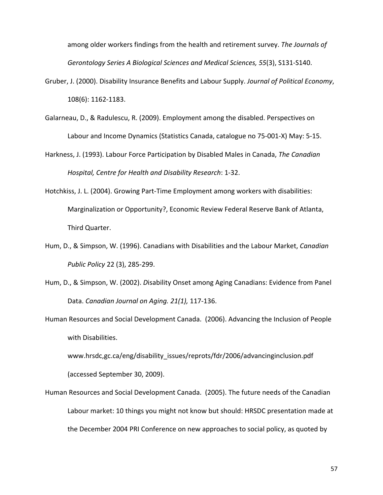among older workers findings from the health and retirement survey. *The Journals of Gerontology Series A Biological Sciences and Medical Sciences, 55*(3), S131‐S140.

- Gruber, J. (2000). Disability Insurance Benefits and Labour Supply. *Journal of Political Economy*, 108(6): 1162‐1183.
- Galarneau, D., & Radulescu, R. (2009). Employment among the disabled. Perspectives on Labour and Income Dynamics (Statistics Canada, catalogue no 75‐001‐X) May: 5‐15.
- Harkness, J. (1993). Labour Force Participation by Disabled Males in Canada, *The Canadian Hospital, Centre for Health and Disability Research*: 1‐32.
- Hotchkiss, J. L. (2004). Growing Part-Time Employment among workers with disabilities: Marginalization or Opportunity?, Economic Review Federal Reserve Bank of Atlanta, Third Quarter.
- Hum, D., & Simpson, W. (1996). Canadians with Disabilities and the Labour Market, *Canadian Public Policy* 22 (3), 285‐299.
- Hum, D., & Simpson, W. (2002). *D*isability Onset among Aging Canadians: Evidence from Panel Data. *Canadian Journal on Aging. 21(1),* 117‐136.
- Human Resources and Social Development Canada. (2006). Advancing the Inclusion of People with Disabilities.

www.hrsdc,gc.ca/eng/disability\_issues/reprots/fdr/2006/advancinginclusion.pdf (accessed September 30, 2009).

Human Resources and Social Development Canada. (2005). The future needs of the Canadian Labour market: 10 things you might not know but should: HRSDC presentation made at the December 2004 PRI Conference on new approaches to social policy, as quoted by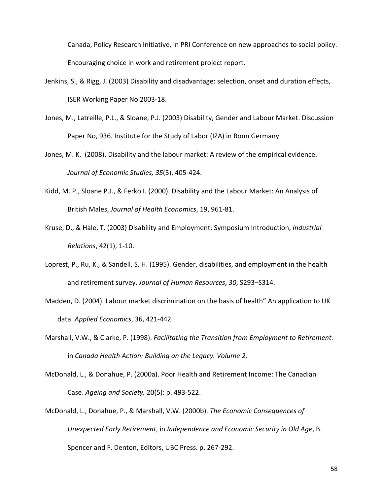Canada, Policy Research Initiative, in PRI Conference on new approaches to social policy. Encouraging choice in work and retirement project report.

- Jenkins, S., & Rigg, J. (2003) Disability and disadvantage: selection, onset and duration effects, ISER Working Paper No 2003‐18.
- Jones, M., Latreille, P.L., & Sloane, P.J. (2003) Disability, Gender and Labour Market. Discussion Paper No, 936. Institute for the Study of Labor (IZA) in Bonn Germany
- Jones, M. K. (2008). Disability and the labour market: A review of the empirical evidence. *Journal of Economic Studies, 35*(5), 405‐424.
- Kidd, M. P., Sloane P.J., & Ferko I. (2000). Disability and the Labour Market: An Analysis of British Males, *Journal of Health Economics*, 19, 961‐81.
- Kruse, D., & Hale, T. (2003) Disability and Employment: Symposium Introduction, *Industrial Relations*, 42(1), 1‐10.
- Loprest, P., Ru, K., & Sandell, S. H. (1995). Gender, disabilities, and employment in the health and retirement survey. *Journal of Human Resources*, *30*, S293–S314.
- Madden, D. (2004). Labour market discrimination on the basis of health" An application to UK data. *Applied Economics*, 36, 421‐442.
- Marshall, V.W., & Clarke, P. (1998). *Facilitating the Transition from Employment to Retirement.* in *Canada Health Action: Building on the Legacy. Volume 2*.
- McDonald, L., & Donahue, P. (2000a). Poor Health and Retirement Income: The Canadian Case. *Ageing and Society,* 20(5): p. 493‐522.
- McDonald, L., Donahue, P., & Marshall, V.W. (2000b). *The Economic Consequences of Unexpected Early Retirement*, in *Independence and Economic Security in Old Age*, B. Spencer and F. Denton, Editors, UBC Press. p. 267‐292.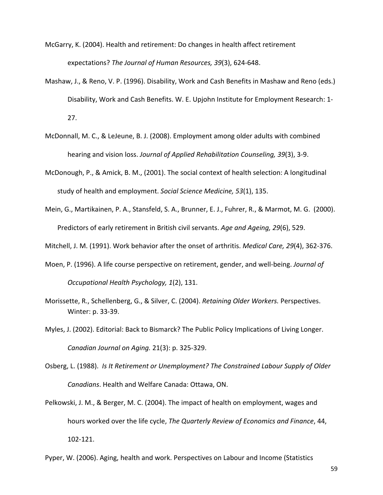McGarry, K. (2004). Health and retirement: Do changes in health affect retirement expectations? *The Journal of Human Resources, 39*(3), 624‐648.

- Mashaw, J., & Reno, V. P. (1996). Disability, Work and Cash Benefits in Mashaw and Reno (eds.) Disability, Work and Cash Benefits. W. E. Upjohn Institute for Employment Research: 1‐ 27.
- McDonnall, M. C., & LeJeune, B. J. (2008). Employment among older adults with combined hearing and vision loss. *Journal of Applied Rehabilitation Counseling, 39*(3), 3‐9.
- McDonough, P., & Amick, B. M., (2001). The social context of health selection: A longitudinal study of health and employment. *Social Science Medicine, 53*(1), 135.
- Mein, G., Martikainen, P. A., Stansfeld, S. A., Brunner, E. J., Fuhrer, R., & Marmot, M. G. (2000). Predictors of early retirement in British civil servants. *Age and Ageing, 29*(6), 529.

Mitchell, J. M. (1991). Work behavior after the onset of arthritis. *Medical Care, 29*(4), 362‐376.

- Moen, P. (1996). A life course perspective on retirement, gender, and well‐being. *Journal of Occupational Health Psychology, 1*(2), 131.
- Morissette, R., Schellenberg, G., & Silver, C. (2004). *Retaining Older Workers.* Perspectives. Winter: p. 33‐39.
- Myles, J. (2002). Editorial: Back to Bismarck? The Public Policy Implications of Living Longer. *Canadian Journal on Aging.* 21(3): p. 325‐329.
- Osberg, L. (1988). *Is It Retirement or Unemployment? The Constrained Labour Supply of Older Canadians*. Health and Welfare Canada: Ottawa, ON.
- Pelkowski, J. M., & Berger, M. C. (2004). The impact of health on employment, wages and hours worked over the life cycle, *The Quarterly Review of Economics and Finance*, 44, 102‐121.
- Pyper, W. (2006). Aging, health and work. Perspectives on Labour and Income (Statistics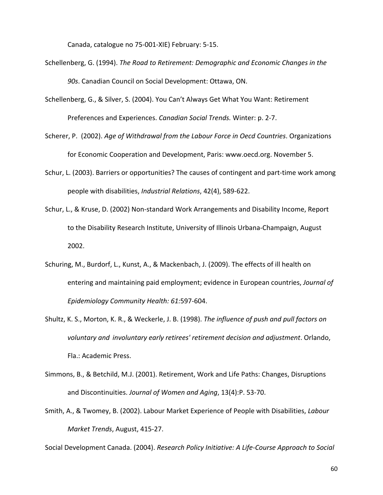Canada, catalogue no 75‐001‐XIE) February: 5‐15.

- Schellenberg, G. (1994). *The Road to Retirement: Demographic and Economic Changes in the 90s*. Canadian Council on Social Development: Ottawa, ON.
- Schellenberg, G., & Silver, S. (2004). You Can't Always Get What You Want: Retirement Preferences and Experiences. *Canadian Social Trends.* Winter: p. 2‐7.
- Scherer, P. (2002). *Age of Withdrawal from the Labour Force in Oecd Countries*. Organizations for Economic Cooperation and Development, Paris: www.oecd.org. November 5.
- Schur, L. (2003). Barriers or opportunities? The causes of contingent and part-time work among people with disabilities, *Industrial Relations*, 42(4), 589‐622.
- Schur, L., & Kruse, D. (2002) Non‐standard Work Arrangements and Disability Income, Report to the Disability Research Institute, University of Illinois Urbana‐Champaign, August 2002.
- Schuring, M., Burdorf, L., Kunst, A., & Mackenbach, J. (2009). The effects of ill health on entering and maintaining paid employment; evidence in European countries, *Journal of Epidemiology Community Health: 61:*597‐604.
- Shultz, K. S., Morton, K. R., & Weckerle, J. B. (1998). *The influence of push and pull factors on voluntary and involuntary early retirees' retirement decision and adjustment*. Orlando, Fla.: Academic Press.
- Simmons, B., & Betchild, M.J. (2001). Retirement, Work and Life Paths: Changes, Disruptions and Discontinuities. *Journal of Women and Aging*, 13(4):P. 53‐70.
- Smith, A., & Twomey, B. (2002). Labour Market Experience of People with Disabilities, *Labour Market Trends*, August, 415‐27.

Social Development Canada. (2004). *Research Policy Initiative: A Life‐Course Approach to Social* 

60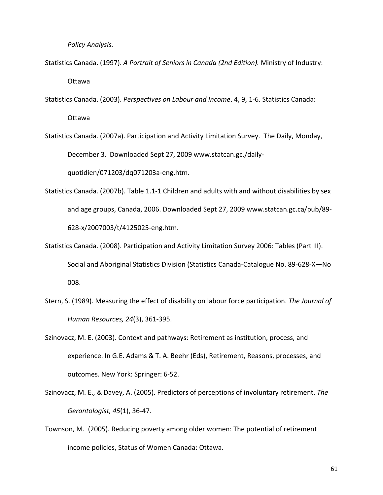*Policy Analysis.*

- Statistics Canada. (1997). *A Portrait of Seniors in Canada (2nd Edition).* Ministry of Industry: Ottawa
- Statistics Canada. (2003). *Perspectives on Labour and Income*. 4, 9, 1‐6. Statistics Canada: Ottawa
- Statistics Canada. (2007a). Participation and Activity Limitation Survey. The Daily, Monday, December 3. Downloaded Sept 27, 2009 www.statcan.gc./daily‐ quotidien/071203/dq071203a‐eng.htm.
- Statistics Canada. (2007b). Table 1.1‐1 Children and adults with and without disabilities by sex and age groups, Canada, 2006. Downloaded Sept 27, 2009 www.statcan.gc.ca/pub/89‐ 628‐x/2007003/t/4125025‐eng.htm.
- Statistics Canada. (2008). Participation and Activity Limitation Survey 2006: Tables (Part III). Social and Aboriginal Statistics Division (Statistics Canada‐Catalogue No. 89‐628‐X—No 008.
- Stern, S. (1989). Measuring the effect of disability on labour force participation. *The Journal of Human Resources, 24*(3), 361‐395.
- Szinovacz, M. E. (2003). Context and pathways: Retirement as institution, process, and experience. In G.E. Adams & T. A. Beehr (Eds), Retirement, Reasons, processes, and outcomes. New York: Springer: 6‐52.
- Szinovacz, M. E., & Davey, A. (2005). Predictors of perceptions of involuntary retirement. *The Gerontologist, 45*(1), 36‐47.
- Townson, M. (2005). Reducing poverty among older women: The potential of retirement income policies, Status of Women Canada: Ottawa.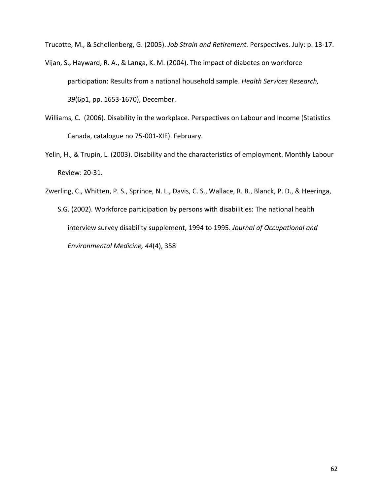Trucotte, M., & Schellenberg, G. (2005). *Job Strain and Retirement.* Perspectives. July: p. 13‐17.

- Vijan, S., Hayward, R. A., & Langa, K. M. (2004). The impact of diabetes on workforce participation: Results from a national household sample. *Health Services Research, 39*(6p1, pp. 1653‐1670), December.
- Williams, C. (2006). Disability in the workplace. Perspectives on Labour and Income (Statistics Canada, catalogue no 75‐001‐XIE). February.
- Yelin, H., & Trupin, L. (2003). Disability and the characteristics of employment. Monthly Labour Review: 20‐31.
- Zwerling, C., Whitten, P. S., Sprince, N. L., Davis, C. S., Wallace, R. B., Blanck, P. D., & Heeringa,
	- S.G. (2002). Workforce participation by persons with disabilities: The national health interview survey disability supplement, 1994 to 1995. *Journal of Occupational and Environmental Medicine, 44*(4), 358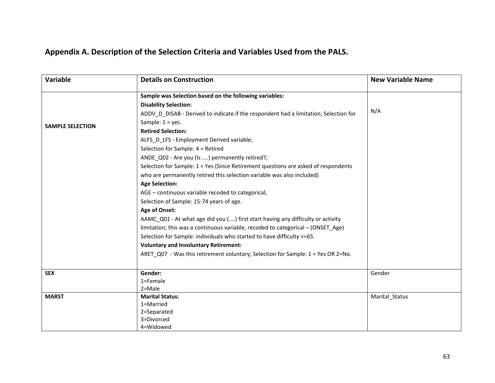# **Appendix A. Description of the Selection Criteria and Variables Used from the PALS.**

| Variable                | <b>Details on Construction</b>                                                       | <b>New Variable Name</b> |
|-------------------------|--------------------------------------------------------------------------------------|--------------------------|
|                         | Sample was Selection based on the following variables:                               |                          |
|                         | <b>Disability Selection:</b>                                                         |                          |
|                         | ADDV D DISAB - Derived to indicate if the respondent had a limitation; Selection for | N/A                      |
| <b>SAMPLE SELECTION</b> | Sample: $1 = yes$ .                                                                  |                          |
|                         | <b>Retired Selection:</b>                                                            |                          |
|                         | ALFS D LFS - Employment Derived variable;                                            |                          |
|                         | Selection for Sample: 4 = Retired                                                    |                          |
|                         | ANDE Q02 - Are you (Is ) permanently retired?;                                       |                          |
|                         | Selection for Sample: 1 = Yes (Since Retirement questions are asked of respondents   |                          |
|                         | who are permanently retired this selection variable was also included)               |                          |
|                         | <b>Age Selection:</b>                                                                |                          |
|                         | AGE - continuous variable recoded to categorical,                                    |                          |
|                         | Selection of Sample: 15-74 years of age.                                             |                          |
|                         | Age of Onset:                                                                        |                          |
|                         | AAMC_Q01 - At what age did you () first start having any difficulty or activity      |                          |
|                         | limitation; this was a continuous variable, recoded to categorical - (ONSET Age)     |                          |
|                         | Selection for Sample: individuals who started to have difficulty <= 65.              |                          |
|                         | <b>Voluntary and Involuntary Retirement:</b>                                         |                          |
|                         | ARET_Q07 - Was this retirement voluntary; Selection for Sample: 1 = Yes OR 2=No.     |                          |
| <b>SEX</b>              | Gender:                                                                              | Gender                   |
|                         | 1=Female                                                                             |                          |
|                         | $2 = Male$                                                                           |                          |
| <b>MARST</b>            | <b>Marital Status:</b>                                                               | Marital_Status           |
|                         | 1=Married                                                                            |                          |
|                         | 2=Separated<br>3=Divorced                                                            |                          |
|                         | 4=Widowed                                                                            |                          |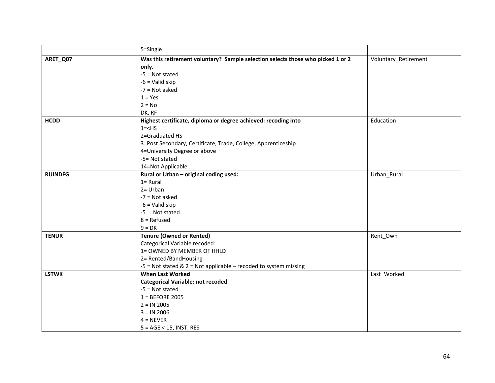|                | 5=Single                                                                        |                      |
|----------------|---------------------------------------------------------------------------------|----------------------|
| ARET_Q07       | Was this retirement voluntary? Sample selection selects those who picked 1 or 2 | Voluntary_Retirement |
|                | only.                                                                           |                      |
|                | $-5$ = Not stated                                                               |                      |
|                | $-6$ = Valid skip                                                               |                      |
|                | $-7$ = Not asked                                                                |                      |
|                | $1 = Yes$                                                                       |                      |
|                | $2 = No$                                                                        |                      |
|                | DK, RF                                                                          |                      |
| <b>HCDD</b>    | Highest certificate, diploma or degree achieved: recoding into                  | Education            |
|                | $1 = < HS$                                                                      |                      |
|                | 2=Graduated HS                                                                  |                      |
|                | 3=Post Secondary, Certificate, Trade, College, Apprenticeship                   |                      |
|                | 4=University Degree or above                                                    |                      |
|                | -5= Not stated                                                                  |                      |
|                | 14=Not Applicable                                                               |                      |
| <b>RUINDFG</b> | Rural or Urban - original coding used:                                          | Urban_Rural          |
|                | $1 = Rural$                                                                     |                      |
|                | $2 = Urban$                                                                     |                      |
|                | $-7$ = Not asked                                                                |                      |
|                | $-6$ = Valid skip                                                               |                      |
|                | $-5$ = Not stated                                                               |                      |
|                | $8 =$ Refused                                                                   |                      |
|                | $9 = DK$                                                                        |                      |
| <b>TENUR</b>   | <b>Tenure (Owned or Rented)</b>                                                 | Rent_Own             |
|                | Categorical Variable recoded:                                                   |                      |
|                | 1= OWNED BY MEMBER OF HHLD                                                      |                      |
|                | 2= Rented/BandHousing                                                           |                      |
|                | $-5$ = Not stated & 2 = Not applicable – recoded to system missing              |                      |
| <b>LSTWK</b>   | <b>When Last Worked</b>                                                         | Last_Worked          |
|                | <b>Categorical Variable: not recoded</b>                                        |                      |
|                | $-5$ = Not stated                                                               |                      |
|                | $1 = BEFORE 2005$                                                               |                      |
|                | $2 = IN 2005$                                                                   |                      |
|                | $3 = IN 2006$                                                                   |                      |
|                | $4 = NEVER$                                                                     |                      |
|                | $5 = AGE < 15$ , INST. RES                                                      |                      |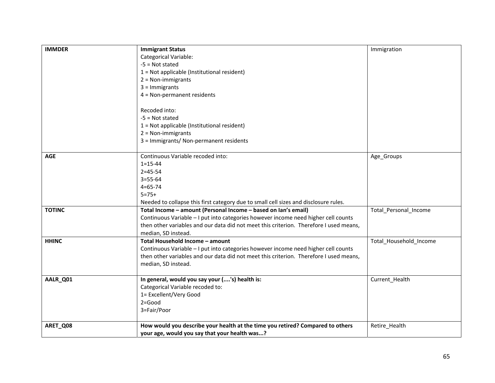| <b>IMMDER</b> | <b>Immigrant Status</b>                                                                | Immigration            |
|---------------|----------------------------------------------------------------------------------------|------------------------|
|               | <b>Categorical Variable:</b>                                                           |                        |
|               | $-5$ = Not stated                                                                      |                        |
|               | 1 = Not applicable (Institutional resident)                                            |                        |
|               | $2 = Non-immigrams$                                                                    |                        |
|               | $3 =$ Immigrants                                                                       |                        |
|               | 4 = Non-permanent residents                                                            |                        |
|               |                                                                                        |                        |
|               | Recoded into:                                                                          |                        |
|               | $-5$ = Not stated                                                                      |                        |
|               | 1 = Not applicable (Institutional resident)                                            |                        |
|               | $2 = Non-immigrams$                                                                    |                        |
|               | 3 = Immigrants/ Non-permanent residents                                                |                        |
|               |                                                                                        |                        |
| <b>AGE</b>    | Continuous Variable recoded into:                                                      | Age_Groups             |
|               | $1 = 15 - 44$                                                                          |                        |
|               | $2 = 45 - 54$                                                                          |                        |
|               | $3 = 55 - 64$                                                                          |                        |
|               | $4 = 65 - 74$                                                                          |                        |
|               | $5 = 75+$                                                                              |                        |
|               | Needed to collapse this first category due to small cell sizes and disclosure rules.   |                        |
| <b>TOTINC</b> | Total Income - amount (Personal Income - based on Ian's email)                         | Total_Personal_Income  |
|               | Continuous Variable - I put into categories however income need higher cell counts     |                        |
|               | then other variables and our data did not meet this criterion. Therefore I used means, |                        |
|               | median, SD instead.                                                                    |                        |
| <b>HHINC</b>  | Total Household Income - amount                                                        | Total_Household_Income |
|               | Continuous Variable - I put into categories however income need higher cell counts     |                        |
|               | then other variables and our data did not meet this criterion. Therefore I used means, |                        |
|               | median, SD instead.                                                                    |                        |
| AALR_Q01      | In general, would you say your ('s) health is:                                         | Current_Health         |
|               | Categorical Variable recoded to:                                                       |                        |
|               | 1= Excellent/Very Good                                                                 |                        |
|               | $2 = Good$                                                                             |                        |
|               | 3=Fair/Poor                                                                            |                        |
|               |                                                                                        |                        |
| ARET_Q08      | How would you describe your health at the time you retired? Compared to others         | Retire_Health          |
|               | your age, would you say that your health was?                                          |                        |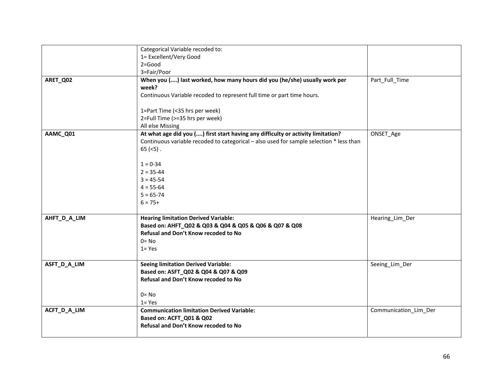|              | Categorical Variable recoded to:                                                        |                       |
|--------------|-----------------------------------------------------------------------------------------|-----------------------|
|              | 1= Excellent/Very Good                                                                  |                       |
|              | $2 = Good$                                                                              |                       |
|              | 3=Fair/Poor                                                                             |                       |
| ARET_Q02     | When you () last worked, how many hours did you (he/she) usually work per               | Part_Full_Time        |
|              | week?                                                                                   |                       |
|              | Continuous Variable recoded to represent full time or part time hours.                  |                       |
|              |                                                                                         |                       |
|              | 1=Part Time (<35 hrs per week)                                                          |                       |
|              | 2=Full Time (>=35 hrs per week)                                                         |                       |
|              | All else Missing                                                                        |                       |
| AAMC_Q01     | At what age did you () first start having any difficulty or activity limitation?        | ONSET_Age             |
|              | Continuous variable recoded to categorical - also used for sample selection * less than |                       |
|              | $65$ (<5).                                                                              |                       |
|              |                                                                                         |                       |
|              | $1 = 0 - 34$                                                                            |                       |
|              | $2 = 35 - 44$                                                                           |                       |
|              | $3 = 45 - 54$                                                                           |                       |
|              | $4 = 55 - 64$                                                                           |                       |
|              | $5 = 65 - 74$                                                                           |                       |
|              | $6 = 75+$                                                                               |                       |
|              |                                                                                         |                       |
| AHFT_D_A_LIM | <b>Hearing limitation Derived Variable:</b>                                             | Hearing_Lim_Der       |
|              | Based on: AHFT_Q02 & Q03 & Q04 & Q05 & Q06 & Q07 & Q08                                  |                       |
|              | Refusal and Don't Know recoded to No                                                    |                       |
|              | $0 = No$                                                                                |                       |
|              | $1 = Yes$                                                                               |                       |
|              |                                                                                         |                       |
| ASFT_D_A_LIM | <b>Seeing limitation Derived Variable:</b>                                              | Seeing_Lim_Der        |
|              | Based on: ASFT_Q02 & Q04 & Q07 & Q09                                                    |                       |
|              | Refusal and Don't Know recoded to No                                                    |                       |
|              |                                                                                         |                       |
|              | $0 = No$                                                                                |                       |
|              | $1 = Yes$                                                                               |                       |
| ACFT_D_A_LIM | <b>Communication limitation Derived Variable:</b>                                       | Communication_Lim_Der |
|              | Based on: ACFT_Q01 & Q02                                                                |                       |
|              | Refusal and Don't Know recoded to No                                                    |                       |
|              |                                                                                         |                       |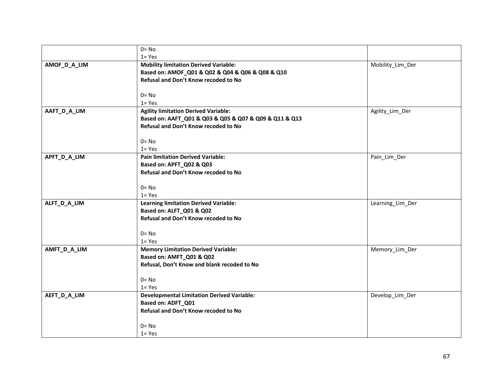|              | $0 = No$                                               |                  |
|--------------|--------------------------------------------------------|------------------|
|              | $1 = Yes$                                              |                  |
| AMOF_D_A_LIM | <b>Mobility limitation Derived Variable:</b>           | Mobility_Lim_Der |
|              | Based on: AMOF_Q01 & Q02 & Q04 & Q06 & Q08 & Q10       |                  |
|              | Refusal and Don't Know recoded to No                   |                  |
|              | $0 = No$                                               |                  |
|              | $1 = Yes$                                              |                  |
| AAFT_D_A_LIM | <b>Agility limitation Derived Variable:</b>            | Agility_Lim_Der  |
|              | Based on: AAFT_Q01 & Q03 & Q05 & Q07 & Q09 & Q11 & Q13 |                  |
|              | Refusal and Don't Know recoded to No                   |                  |
|              | $0 = No$                                               |                  |
|              | $1 = Yes$                                              |                  |
| APFT_D_A_LIM | <b>Pain limitation Derived Variable:</b>               | Pain_Lim_Der     |
|              | Based on: APFT_Q02 & Q03                               |                  |
|              | Refusal and Don't Know recoded to No                   |                  |
|              |                                                        |                  |
|              | $0 = No$                                               |                  |
|              | $1 = Yes$                                              |                  |
| ALFT_D_A_LIM | <b>Learning limitation Derived Variable:</b>           | Learning_Lim_Der |
|              | Based on: ALFT_Q01 & Q02                               |                  |
|              | Refusal and Don't Know recoded to No                   |                  |
|              | $0 = No$                                               |                  |
|              | $1 = Yes$                                              |                  |
| AMFT_D_A_LIM | <b>Memory Limitation Derived Variable:</b>             | Memory_Lim_Der   |
|              | Based on: AMFT_Q01 & Q02                               |                  |
|              | Refusal, Don't Know and blank recoded to No            |                  |
|              | $0 = No$                                               |                  |
|              | $1 = Yes$                                              |                  |
| AEFT_D_A_LIM | <b>Developmental Limitation Derived Variable:</b>      | Develop_Lim_Der  |
|              | Based on: ADFT_Q01                                     |                  |
|              | Refusal and Don't Know recoded to No                   |                  |
|              |                                                        |                  |
|              | $0 = No$                                               |                  |
|              | $1 = Yes$                                              |                  |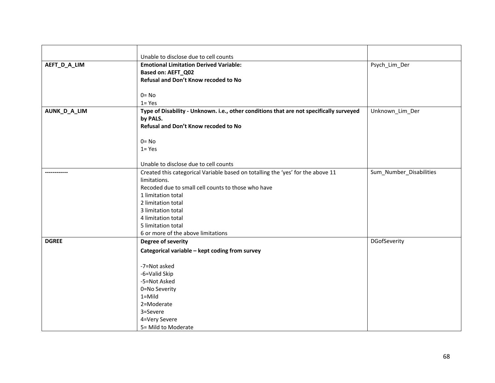|              | Unable to disclose due to cell counts                                                   |                         |
|--------------|-----------------------------------------------------------------------------------------|-------------------------|
| AEFT_D_A_LIM | <b>Emotional Limitation Derived Variable:</b>                                           | Psych_Lim_Der           |
|              | <b>Based on: AEFT_Q02</b>                                                               |                         |
|              | Refusal and Don't Know recoded to No                                                    |                         |
|              |                                                                                         |                         |
|              | $0 = No$                                                                                |                         |
|              | $1 = Yes$                                                                               |                         |
| AUNK_D_A_LIM | Type of Disability - Unknown. i.e., other conditions that are not specifically surveyed | Unknown_Lim_Der         |
|              | by PALS.                                                                                |                         |
|              | Refusal and Don't Know recoded to No                                                    |                         |
|              |                                                                                         |                         |
|              | $0 = No$                                                                                |                         |
|              | $1 = Yes$                                                                               |                         |
|              | Unable to disclose due to cell counts                                                   |                         |
|              | Created this categorical Variable based on totalling the 'yes' for the above 11         | Sum_Number_Disabilities |
|              | limitations.                                                                            |                         |
|              | Recoded due to small cell counts to those who have                                      |                         |
|              | 1 limitation total                                                                      |                         |
|              | 2 limitation total                                                                      |                         |
|              | 3 limitation total                                                                      |                         |
|              | 4 limitation total                                                                      |                         |
|              | 5 limitation total                                                                      |                         |
|              | 6 or more of the above limitations                                                      |                         |
| <b>DGREE</b> | Degree of severity                                                                      | DGofSeverity            |
|              | Categorical variable - kept coding from survey                                          |                         |
|              |                                                                                         |                         |
|              | -7=Not asked                                                                            |                         |
|              | -6=Valid Skip                                                                           |                         |
|              | -5=Not Asked                                                                            |                         |
|              | 0=No Severity                                                                           |                         |
|              | $1 =$ Mild                                                                              |                         |
|              | 2=Moderate                                                                              |                         |
|              | 3=Severe                                                                                |                         |
|              | 4=Very Severe                                                                           |                         |
|              | 5= Mild to Moderate                                                                     |                         |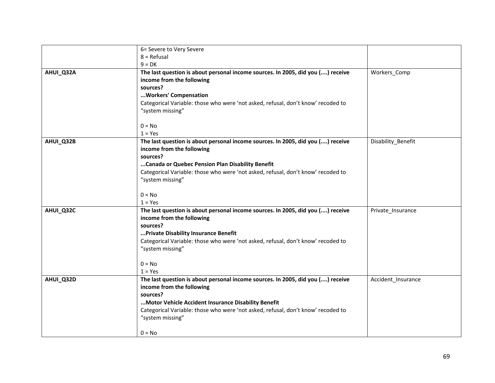|           | 6= Severe to Very Severe                                                                                     |                    |
|-----------|--------------------------------------------------------------------------------------------------------------|--------------------|
|           | $8 = Refusal$                                                                                                |                    |
|           | $9 = DK$                                                                                                     |                    |
| AHUI_Q32A | The last question is about personal income sources. In 2005, did you () receive                              | Workers_Comp       |
|           | income from the following                                                                                    |                    |
|           | sources?                                                                                                     |                    |
|           | Workers' Compensation                                                                                        |                    |
|           | Categorical Variable: those who were 'not asked, refusal, don't know' recoded to                             |                    |
|           | "system missing"                                                                                             |                    |
|           | $0 = No$                                                                                                     |                    |
|           | $1 = Yes$                                                                                                    |                    |
| AHUI_Q32B | The last question is about personal income sources. In 2005, did you () receive<br>income from the following | Disability_Benefit |
|           | sources?                                                                                                     |                    |
|           | Canada or Quebec Pension Plan Disability Benefit                                                             |                    |
|           | Categorical Variable: those who were 'not asked, refusal, don't know' recoded to                             |                    |
|           | "system missing"                                                                                             |                    |
|           | $0 = No$                                                                                                     |                    |
|           | $1 = Yes$                                                                                                    |                    |
| AHUI_Q32C | The last question is about personal income sources. In 2005, did you () receive                              | Private_Insurance  |
|           | income from the following                                                                                    |                    |
|           | sources?                                                                                                     |                    |
|           | Private Disability Insurance Benefit                                                                         |                    |
|           | Categorical Variable: those who were 'not asked, refusal, don't know' recoded to<br>"system missing"         |                    |
|           | $0 = No$                                                                                                     |                    |
|           | $1 = Yes$                                                                                                    |                    |
| AHUI_Q32D | The last question is about personal income sources. In 2005, did you () receive                              | Accident_Insurance |
|           | income from the following                                                                                    |                    |
|           | sources?                                                                                                     |                    |
|           | Motor Vehicle Accident Insurance Disability Benefit                                                          |                    |
|           | Categorical Variable: those who were 'not asked, refusal, don't know' recoded to                             |                    |
|           | "system missing"                                                                                             |                    |
|           | $0 = No$                                                                                                     |                    |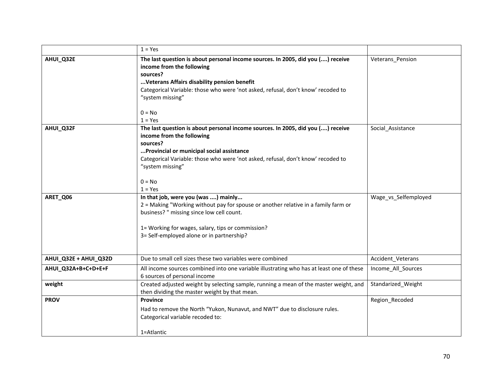|                       | $1 = Yes$                                                                                                                                                                                                                                                                                                |                      |
|-----------------------|----------------------------------------------------------------------------------------------------------------------------------------------------------------------------------------------------------------------------------------------------------------------------------------------------------|----------------------|
| AHUI_Q32E             | The last question is about personal income sources. In 2005, did you () receive<br>income from the following<br>sources?<br>Veterans Affairs disability pension benefit<br>Categorical Variable: those who were 'not asked, refusal, don't know' recoded to<br>"system missing"<br>$0 = No$<br>$1 = Yes$ | Veterans_Pension     |
| AHUI_Q32F             | The last question is about personal income sources. In 2005, did you () receive<br>income from the following<br>sources?<br>Provincial or municipal social assistance<br>Categorical Variable: those who were 'not asked, refusal, don't know' recoded to<br>"system missing"<br>$0 = No$<br>$1 = Yes$   | Social Assistance    |
| ARET_Q06              | In that job, were you (was ) mainly<br>2 = Making "Working without pay for spouse or another relative in a family farm or<br>business? " missing since low cell count.<br>1= Working for wages, salary, tips or commission?<br>3= Self-employed alone or in partnership?                                 | Wage_vs_Selfemployed |
| AHUI_Q32E + AHUI_Q32D | Due to small cell sizes these two variables were combined                                                                                                                                                                                                                                                | Accident_Veterans    |
| AHUI_Q32A+B+C+D+E+F   | All income sources combined into one variable illustrating who has at least one of these<br>6 sources of personal income                                                                                                                                                                                 | Income All Sources   |
| weight                | Created adjusted weight by selecting sample, running a mean of the master weight, and<br>then dividing the master weight by that mean.                                                                                                                                                                   | Standarized_Weight   |
| <b>PROV</b>           | Province<br>Had to remove the North "Yukon, Nunavut, and NWT" due to disclosure rules.<br>Categorical variable recoded to:<br>1=Atlantic                                                                                                                                                                 | Region_Recoded       |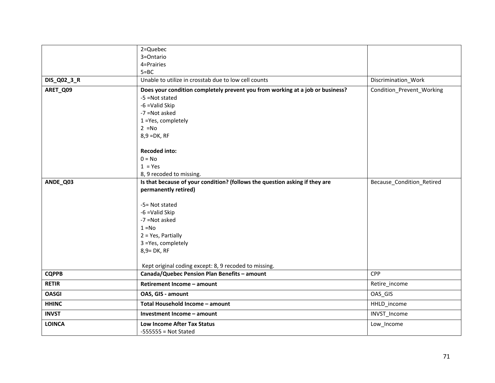|               | 2=Quebec                                                                      |                           |
|---------------|-------------------------------------------------------------------------------|---------------------------|
|               | 3=Ontario                                                                     |                           |
|               | 4=Prairies                                                                    |                           |
|               | $5 = BC$<br>Unable to utilize in crosstab due to low cell counts              |                           |
| DIS_Q02_3_R   |                                                                               | Discrimination_Work       |
| ARET_Q09      | Does your condition completely prevent you from working at a job or business? | Condition_Prevent_Working |
|               | -5 = Not stated                                                               |                           |
|               | -6 = Valid Skip<br>-7 = Not asked                                             |                           |
|               | 1 = Yes, completely                                                           |                           |
|               | $2 = No$                                                                      |                           |
|               | $8,9 = DK, RF$                                                                |                           |
|               |                                                                               |                           |
|               | <b>Recoded into:</b>                                                          |                           |
|               | $0 = No$                                                                      |                           |
|               | $1 = Yes$                                                                     |                           |
|               | 8, 9 recoded to missing.                                                      |                           |
| ANDE_Q03      | Is that because of your condition? (follows the question asking if they are   | Because_Condition_Retired |
|               | permanently retired)                                                          |                           |
|               | -5= Not stated                                                                |                           |
|               | -6 = Valid Skip                                                               |                           |
|               | -7 = Not asked                                                                |                           |
|               | $1 = No$                                                                      |                           |
|               | $2 = Yes$ , Partially                                                         |                           |
|               | 3 = Yes, completely                                                           |                           |
|               | 8,9= DK, RF                                                                   |                           |
|               |                                                                               |                           |
|               | Kept original coding except: 8, 9 recoded to missing.                         |                           |
| <b>CQPPB</b>  | Canada/Quebec Pension Plan Benefits - amount                                  | CPP                       |
| <b>RETIR</b>  | Retirement Income - amount                                                    | Retire_income             |
| <b>OASGI</b>  | OAS, GIS - amount                                                             | OAS_GIS                   |
| <b>HHINC</b>  | Total Household Income - amount                                               | HHLD_income               |
| <b>INVST</b>  | Investment Income - amount                                                    | INVST_Income              |
| <b>LOINCA</b> | Low Income After Tax Status                                                   | Low_Income                |
|               | $-555555 = Not State$                                                         |                           |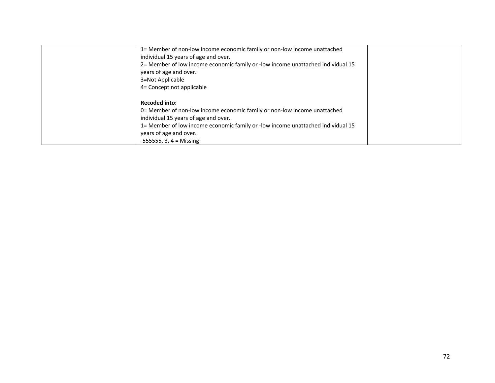| 1= Member of non-low income economic family or non-low income unattached           |  |
|------------------------------------------------------------------------------------|--|
| individual 15 years of age and over.                                               |  |
| 2= Member of low income economic family or -low income unattached individual 15    |  |
| years of age and over.                                                             |  |
| 3=Not Applicable                                                                   |  |
| 4= Concept not applicable                                                          |  |
|                                                                                    |  |
| <b>Recoded into:</b>                                                               |  |
| 0= Member of non-low income economic family or non-low income unattached           |  |
| individual 15 years of age and over.                                               |  |
| 15 15 15 Member of low income economic family or -low income unattached individual |  |
| years of age and over.                                                             |  |
| $-555555$ , 3, 4 = Missing                                                         |  |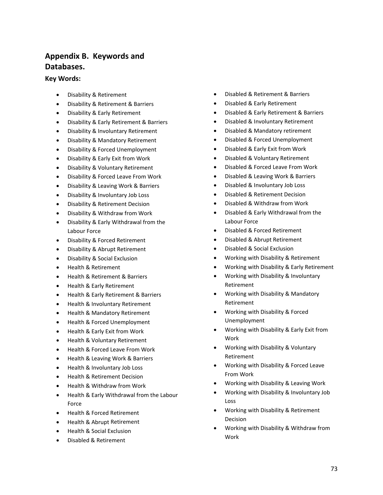# **Appendix B. Keywords and Databases.**

#### **Key Words:**

- Disability & Retirement
- Disability & Retirement & Barriers
- Disability & Early Retirement
- Disability & Early Retirement & Barriers
- Disability & Involuntary Retirement
- Disability & Mandatory Retirement
- Disability & Forced Unemployment
- Disability & Early Exit from Work
- Disability & Voluntary Retirement
- Disability & Forced Leave From Work
- Disability & Leaving Work & Barriers
- Disability & Involuntary Job Loss
- Disability & Retirement Decision
- Disability & Withdraw from Work
- Disability & Early Withdrawal from the Labour Force
- Disability & Forced Retirement
- Disability & Abrupt Retirement
- Disability & Social Exclusion
- Health & Retirement
- Health & Retirement & Barriers
- Health & Early Retirement
- Health & Early Retirement & Barriers
- Health & Involuntary Retirement
- Health & Mandatory Retirement
- Health & Forced Unemployment
- Health & Early Exit from Work
- Health & Voluntary Retirement
- Health & Forced Leave From Work
- Health & Leaving Work & Barriers
- Health & Involuntary Job Loss
- Health & Retirement Decision
- Health & Withdraw from Work
- Health & Early Withdrawal from the Labour Force
- Health & Forced Retirement
- Health & Abrupt Retirement
- Health & Social Exclusion
- Disabled & Retirement
- Disabled & Retirement & Barriers
- Disabled & Early Retirement
- Disabled & Early Retirement & Barriers
- Disabled & Involuntary Retirement
- Disabled & Mandatory retirement
- Disabled & Forced Unemployment
- Disabled & Early Exit from Work
- Disabled & Voluntary Retirement
- Disabled & Forced Leave From Work
- Disabled & Leaving Work & Barriers
- Disabled & Involuntary Job Loss
- Disabled & Retirement Decision
- Disabled & Withdraw from Work
- Disabled & Early Withdrawal from the Labour Force
- Disabled & Forced Retirement
- Disabled & Abrupt Retirement
- Disabled & Social Exclusion
- Working with Disability & Retirement
- Working with Disability & Early Retirement
- Working with Disability & Involuntary Retirement
- Working with Disability & Mandatory Retirement
- Working with Disability & Forced Unemployment
- Working with Disability & Early Exit from Work
- Working with Disability & Voluntary Retirement
- Working with Disability & Forced Leave From Work
- Working with Disability & Leaving Work
- Working with Disability & Involuntary Job Loss
- Working with Disability & Retirement Decision
- Working with Disability & Withdraw from Work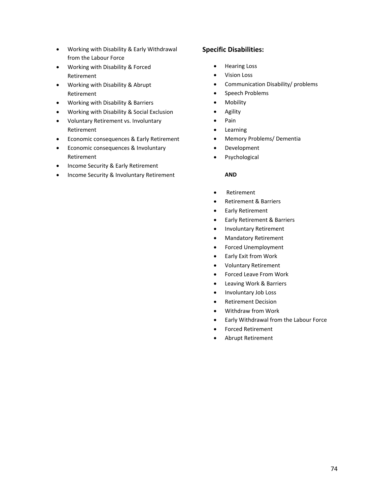- Working with Disability & Early Withdrawal from the Labour Force
- Working with Disability & Forced Retirement
- Working with Disability & Abrupt Retirement
- Working with Disability & Barriers
- Working with Disability & Social Exclusion
- Voluntary Retirement vs. Involuntary Retirement
- Economic consequences & Early Retirement
- Economic consequences & Involuntary Retirement
- Income Security & Early Retirement
- Income Security & Involuntary Retirement

### **Specific Disabilities:**

- Hearing Loss
- Vision Loss
- Communication Disability/ problems
- Speech Problems
- Mobility
- Agility
- Pain
- Learning
- Memory Problems/ Dementia
- Development
- Psychological

#### **AND**

- Retirement
- Retirement & Barriers
- Early Retirement
- Early Retirement & Barriers
- Involuntary Retirement
- Mandatory Retirement
- Forced Unemployment
- Early Exit from Work
- Voluntary Retirement
- Forced Leave From Work
- Leaving Work & Barriers
- Involuntary Job Loss
- Retirement Decision
- Withdraw from Work
- Early Withdrawal from the Labour Force
- Forced Retirement
- Abrupt Retirement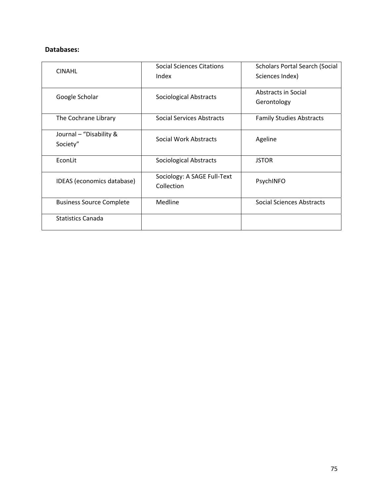## **Databases:**

| <b>CINAHL</b>                       | Social Sciences Citations<br>Index        | <b>Scholars Portal Search (Social</b><br>Sciences Index) |
|-------------------------------------|-------------------------------------------|----------------------------------------------------------|
| Google Scholar                      | <b>Sociological Abstracts</b>             | Abstracts in Social<br>Gerontology                       |
| The Cochrane Library                | <b>Social Services Abstracts</b>          | <b>Family Studies Abstracts</b>                          |
| Journal - "Disability &<br>Society" | Social Work Abstracts                     | Ageline                                                  |
| EconLit                             | <b>Sociological Abstracts</b>             | <b>JSTOR</b>                                             |
| IDEAS (economics database)          | Sociology: A SAGE Full-Text<br>Collection | PsychINFO                                                |
| <b>Business Source Complete</b>     | Medline                                   | Social Sciences Abstracts                                |
| <b>Statistics Canada</b>            |                                           |                                                          |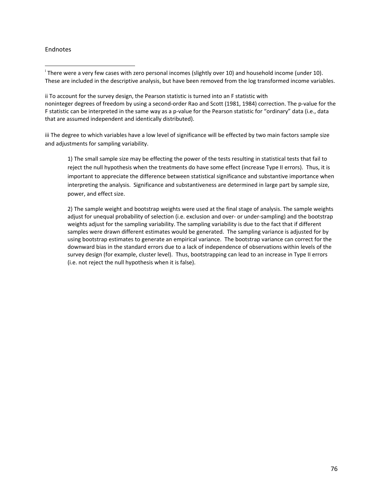#### Endnotes

ii To account for the survey design, the Pearson statistic is turned into an F statistic with noninteger degrees of freedom by using a second-order Rao and Scott (1981, 1984) correction. The p-value for the F statistic can be interpreted in the same way as a p-value for the Pearson statistic for "ordinary" data (i.e., data that are assumed independent and identically distributed).

iii The degree to which variables have a low level of significance will be effected by two main factors sample size and adjustments for sampling variability.

1) The small sample size may be effecting the power of the tests resulting in statistical tests that fail to reject the null hypothesis when the treatments do have some effect (increase Type II errors). Thus, it is important to appreciate the difference between statistical significance and substantive importance when interpreting the analysis. Significance and substantiveness are determined in large part by sample size, power, and effect size.

2) The sample weight and bootstrap weights were used at the final stage of analysis. The sample weights adjust for unequal probability of selection (i.e. exclusion and over‐ or under‐sampling) and the bootstrap weights adjust for the sampling variability. The sampling variability is due to the fact that if different samples were drawn different estimates would be generated. The sampling variance is adjusted for by using bootstrap estimates to generate an empirical variance. The bootstrap variance can correct for the downward bias in the standard errors due to a lack of independence of observations within levels of the survey design (for example, cluster level). Thus, bootstrapping can lead to an increase in Type II errors (i.e. not reject the null hypothesis when it is false).

 <sup>i</sup> There were a very few cases with zero personal incomes (slightly over 10) and household income (under 10). These are included in the descriptive analysis, but have been removed from the log transformed income variables.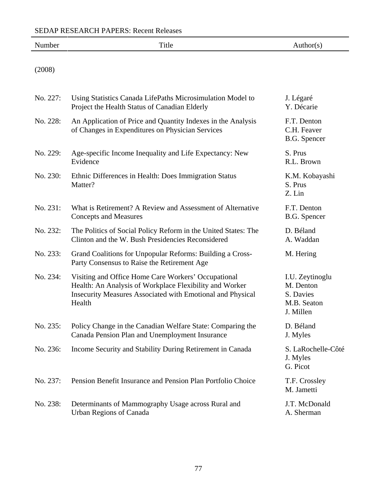| Number   | Title                                                                                                                                                                                  | Author(s)                                                             |
|----------|----------------------------------------------------------------------------------------------------------------------------------------------------------------------------------------|-----------------------------------------------------------------------|
| (2008)   |                                                                                                                                                                                        |                                                                       |
| No. 227: | Using Statistics Canada LifePaths Microsimulation Model to<br>Project the Health Status of Canadian Elderly                                                                            | J. Légaré<br>Y. Décarie                                               |
| No. 228: | An Application of Price and Quantity Indexes in the Analysis<br>of Changes in Expenditures on Physician Services                                                                       | F.T. Denton<br>C.H. Feaver<br>B.G. Spencer                            |
| No. 229: | Age-specific Income Inequality and Life Expectancy: New<br>Evidence                                                                                                                    | S. Prus<br>R.L. Brown                                                 |
| No. 230: | Ethnic Differences in Health: Does Immigration Status<br>Matter?                                                                                                                       | K.M. Kobayashi<br>S. Prus<br>Z. Lin                                   |
| No. 231: | What is Retirement? A Review and Assessment of Alternative<br><b>Concepts and Measures</b>                                                                                             | F.T. Denton<br>B.G. Spencer                                           |
| No. 232: | The Politics of Social Policy Reform in the United States: The<br>Clinton and the W. Bush Presidencies Reconsidered                                                                    | D. Béland<br>A. Waddan                                                |
| No. 233: | Grand Coalitions for Unpopular Reforms: Building a Cross-<br>Party Consensus to Raise the Retirement Age                                                                               | M. Hering                                                             |
| No. 234: | Visiting and Office Home Care Workers' Occupational<br>Health: An Analysis of Workplace Flexibility and Worker<br>Insecurity Measures Associated with Emotional and Physical<br>Health | I.U. Zeytinoglu<br>M. Denton<br>S. Davies<br>M.B. Seaton<br>J. Millen |
| No. 235: | Policy Change in the Canadian Welfare State: Comparing the<br>Canada Pension Plan and Unemployment Insurance                                                                           | D. Béland<br>J. Myles                                                 |
| No. 236: | Income Security and Stability During Retirement in Canada                                                                                                                              | S. LaRochelle-Côté<br>J. Myles<br>G. Picot                            |
| No. 237: | Pension Benefit Insurance and Pension Plan Portfolio Choice                                                                                                                            | T.F. Crossley<br>M. Jametti                                           |
| No. 238: | Determinants of Mammography Usage across Rural and<br><b>Urban Regions of Canada</b>                                                                                                   | J.T. McDonald<br>A. Sherman                                           |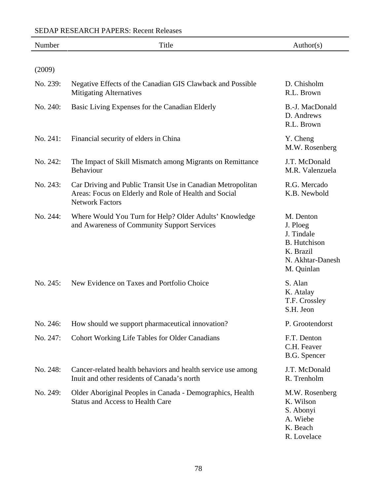| Number   | Title                                                                                                                                          | Author(s)                                                                                                 |
|----------|------------------------------------------------------------------------------------------------------------------------------------------------|-----------------------------------------------------------------------------------------------------------|
| (2009)   |                                                                                                                                                |                                                                                                           |
| No. 239: | Negative Effects of the Canadian GIS Clawback and Possible<br><b>Mitigating Alternatives</b>                                                   | D. Chisholm<br>R.L. Brown                                                                                 |
| No. 240: | Basic Living Expenses for the Canadian Elderly                                                                                                 | B.-J. MacDonald<br>D. Andrews<br>R.L. Brown                                                               |
| No. 241: | Financial security of elders in China                                                                                                          | Y. Cheng<br>M.W. Rosenberg                                                                                |
| No. 242: | The Impact of Skill Mismatch among Migrants on Remittance<br>Behaviour                                                                         | J.T. McDonald<br>M.R. Valenzuela                                                                          |
| No. 243: | Car Driving and Public Transit Use in Canadian Metropolitan<br>Areas: Focus on Elderly and Role of Health and Social<br><b>Network Factors</b> | R.G. Mercado<br>K.B. Newbold                                                                              |
| No. 244: | Where Would You Turn for Help? Older Adults' Knowledge<br>and Awareness of Community Support Services                                          | M. Denton<br>J. Ploeg<br>J. Tindale<br><b>B.</b> Hutchison<br>K. Brazil<br>N. Akhtar-Danesh<br>M. Quinlan |
| No. 245: | New Evidence on Taxes and Portfolio Choice                                                                                                     | S. Alan<br>K. Atalay<br>T.F. Crossley<br>S.H. Jeon                                                        |
| No. 246: | How should we support pharmaceutical innovation?                                                                                               | P. Grootendorst                                                                                           |
| No. 247: | <b>Cohort Working Life Tables for Older Canadians</b>                                                                                          | F.T. Denton<br>C.H. Feaver<br>B.G. Spencer                                                                |
| No. 248: | Cancer-related health behaviors and health service use among<br>Inuit and other residents of Canada's north                                    | J.T. McDonald<br>R. Trenholm                                                                              |
| No. 249: | Older Aboriginal Peoples in Canada - Demographics, Health<br><b>Status and Access to Health Care</b>                                           | M.W. Rosenberg<br>K. Wilson<br>S. Abonyi<br>A. Wiebe<br>K. Beach                                          |

R. Lovelace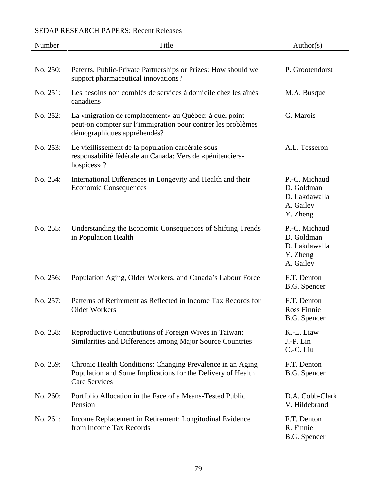## SEDAP RESEARCH PAPERS: Recent Releases

| Number   | Title                                                                                                                                                 | Author(s)                                                             |
|----------|-------------------------------------------------------------------------------------------------------------------------------------------------------|-----------------------------------------------------------------------|
| No. 250: | Patents, Public-Private Partnerships or Prizes: How should we                                                                                         | P. Grootendorst                                                       |
| No. 251: | support pharmaceutical innovations?<br>Les besoins non comblés de services à domicile chez les aînés                                                  | M.A. Busque                                                           |
| No. 252: | canadiens                                                                                                                                             | G. Marois                                                             |
|          | La «migration de remplacement» au Québec: à quel point<br>peut-on compter sur l'immigration pour contrer les problèmes<br>démographiques appréhendés? |                                                                       |
| No. 253: | Le vieillissement de la population carcérale sous<br>responsabilité fédérale au Canada: Vers de «pénitenciers-<br>hospices»?                          | A.L. Tesseron                                                         |
| No. 254: | International Differences in Longevity and Health and their<br><b>Economic Consequences</b>                                                           | P.-C. Michaud<br>D. Goldman<br>D. Lakdawalla<br>A. Gailey<br>Y. Zheng |
| No. 255: | Understanding the Economic Consequences of Shifting Trends<br>in Population Health                                                                    | P.-C. Michaud<br>D. Goldman<br>D. Lakdawalla<br>Y. Zheng<br>A. Gailey |
| No. 256: | Population Aging, Older Workers, and Canada's Labour Force                                                                                            | F.T. Denton<br>B.G. Spencer                                           |
| No. 257: | Patterns of Retirement as Reflected in Income Tax Records for<br><b>Older Workers</b>                                                                 | F.T. Denton<br>Ross Finnie<br>B.G. Spencer                            |
| No. 258: | Reproductive Contributions of Foreign Wives in Taiwan:<br>Similarities and Differences among Major Source Countries                                   | K.-L. Liaw<br>J.-P. Lin<br>C.-C. Liu                                  |
| No. 259: | Chronic Health Conditions: Changing Prevalence in an Aging<br>Population and Some Implications for the Delivery of Health<br><b>Care Services</b>     | F.T. Denton<br>B.G. Spencer                                           |
| No. 260: | Portfolio Allocation in the Face of a Means-Tested Public<br>Pension                                                                                  | D.A. Cobb-Clark<br>V. Hildebrand                                      |
| No. 261: | Income Replacement in Retirement: Longitudinal Evidence<br>from Income Tax Records                                                                    | F.T. Denton<br>R. Finnie<br>B.G. Spencer                              |